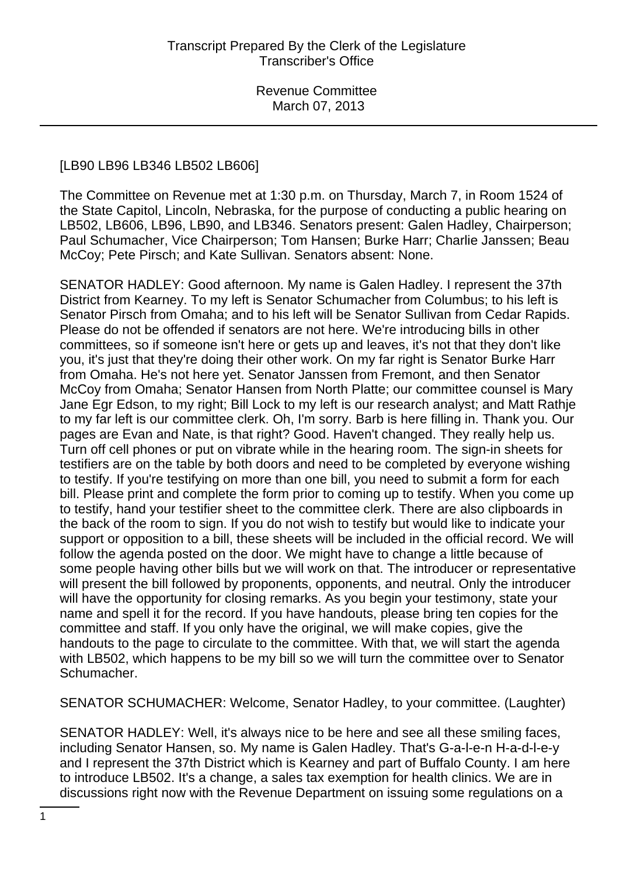#### [LB90 LB96 LB346 LB502 LB606]

The Committee on Revenue met at 1:30 p.m. on Thursday, March 7, in Room 1524 of the State Capitol, Lincoln, Nebraska, for the purpose of conducting a public hearing on LB502, LB606, LB96, LB90, and LB346. Senators present: Galen Hadley, Chairperson; Paul Schumacher, Vice Chairperson; Tom Hansen; Burke Harr; Charlie Janssen; Beau McCoy; Pete Pirsch; and Kate Sullivan. Senators absent: None.

SENATOR HADLEY: Good afternoon. My name is Galen Hadley. I represent the 37th District from Kearney. To my left is Senator Schumacher from Columbus; to his left is Senator Pirsch from Omaha; and to his left will be Senator Sullivan from Cedar Rapids. Please do not be offended if senators are not here. We're introducing bills in other committees, so if someone isn't here or gets up and leaves, it's not that they don't like you, it's just that they're doing their other work. On my far right is Senator Burke Harr from Omaha. He's not here yet. Senator Janssen from Fremont, and then Senator McCoy from Omaha; Senator Hansen from North Platte; our committee counsel is Mary Jane Egr Edson, to my right; Bill Lock to my left is our research analyst; and Matt Rathje to my far left is our committee clerk. Oh, I'm sorry. Barb is here filling in. Thank you. Our pages are Evan and Nate, is that right? Good. Haven't changed. They really help us. Turn off cell phones or put on vibrate while in the hearing room. The sign-in sheets for testifiers are on the table by both doors and need to be completed by everyone wishing to testify. If you're testifying on more than one bill, you need to submit a form for each bill. Please print and complete the form prior to coming up to testify. When you come up to testify, hand your testifier sheet to the committee clerk. There are also clipboards in the back of the room to sign. If you do not wish to testify but would like to indicate your support or opposition to a bill, these sheets will be included in the official record. We will follow the agenda posted on the door. We might have to change a little because of some people having other bills but we will work on that. The introducer or representative will present the bill followed by proponents, opponents, and neutral. Only the introducer will have the opportunity for closing remarks. As you begin your testimony, state your name and spell it for the record. If you have handouts, please bring ten copies for the committee and staff. If you only have the original, we will make copies, give the handouts to the page to circulate to the committee. With that, we will start the agenda with LB502, which happens to be my bill so we will turn the committee over to Senator Schumacher.

SENATOR SCHUMACHER: Welcome, Senator Hadley, to your committee. (Laughter)

SENATOR HADLEY: Well, it's always nice to be here and see all these smiling faces, including Senator Hansen, so. My name is Galen Hadley. That's G-a-l-e-n H-a-d-l-e-y and I represent the 37th District which is Kearney and part of Buffalo County. I am here to introduce LB502. It's a change, a sales tax exemption for health clinics. We are in discussions right now with the Revenue Department on issuing some regulations on a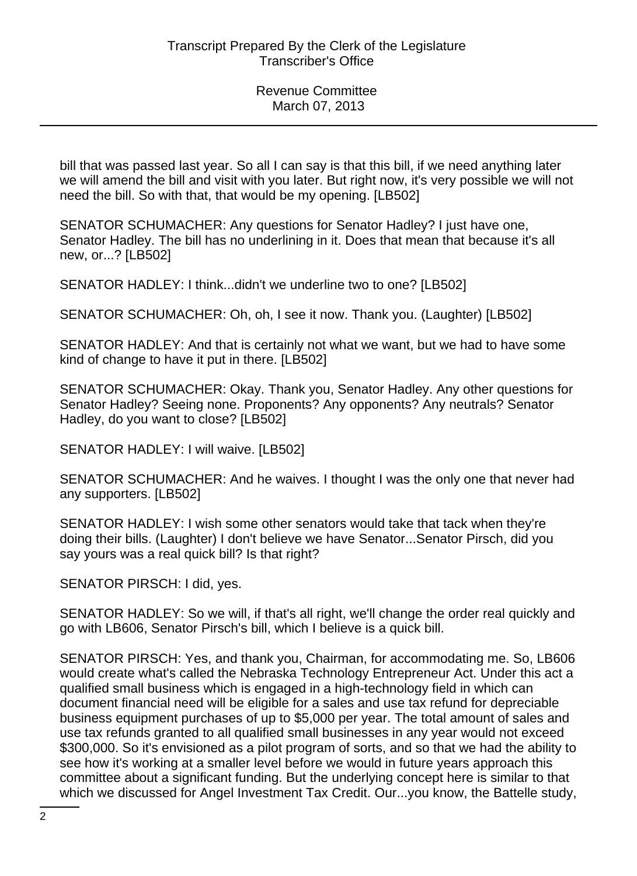bill that was passed last year. So all I can say is that this bill, if we need anything later we will amend the bill and visit with you later. But right now, it's very possible we will not need the bill. So with that, that would be my opening. [LB502]

SENATOR SCHUMACHER: Any questions for Senator Hadley? I just have one, Senator Hadley. The bill has no underlining in it. Does that mean that because it's all new, or...? [LB502]

SENATOR HADLEY: I think...didn't we underline two to one? [LB502]

SENATOR SCHUMACHER: Oh, oh, I see it now. Thank you. (Laughter) [LB502]

SENATOR HADLEY: And that is certainly not what we want, but we had to have some kind of change to have it put in there. [LB502]

SENATOR SCHUMACHER: Okay. Thank you, Senator Hadley. Any other questions for Senator Hadley? Seeing none. Proponents? Any opponents? Any neutrals? Senator Hadley, do you want to close? [LB502]

SENATOR HADLEY: I will waive. [LB502]

SENATOR SCHUMACHER: And he waives. I thought I was the only one that never had any supporters. [LB502]

SENATOR HADLEY: I wish some other senators would take that tack when they're doing their bills. (Laughter) I don't believe we have Senator...Senator Pirsch, did you say yours was a real quick bill? Is that right?

SENATOR PIRSCH: I did, yes.

SENATOR HADLEY: So we will, if that's all right, we'll change the order real quickly and go with LB606, Senator Pirsch's bill, which I believe is a quick bill.

SENATOR PIRSCH: Yes, and thank you, Chairman, for accommodating me. So, LB606 would create what's called the Nebraska Technology Entrepreneur Act. Under this act a qualified small business which is engaged in a high-technology field in which can document financial need will be eligible for a sales and use tax refund for depreciable business equipment purchases of up to \$5,000 per year. The total amount of sales and use tax refunds granted to all qualified small businesses in any year would not exceed \$300,000. So it's envisioned as a pilot program of sorts, and so that we had the ability to see how it's working at a smaller level before we would in future years approach this committee about a significant funding. But the underlying concept here is similar to that which we discussed for Angel Investment Tax Credit. Our...you know, the Battelle study,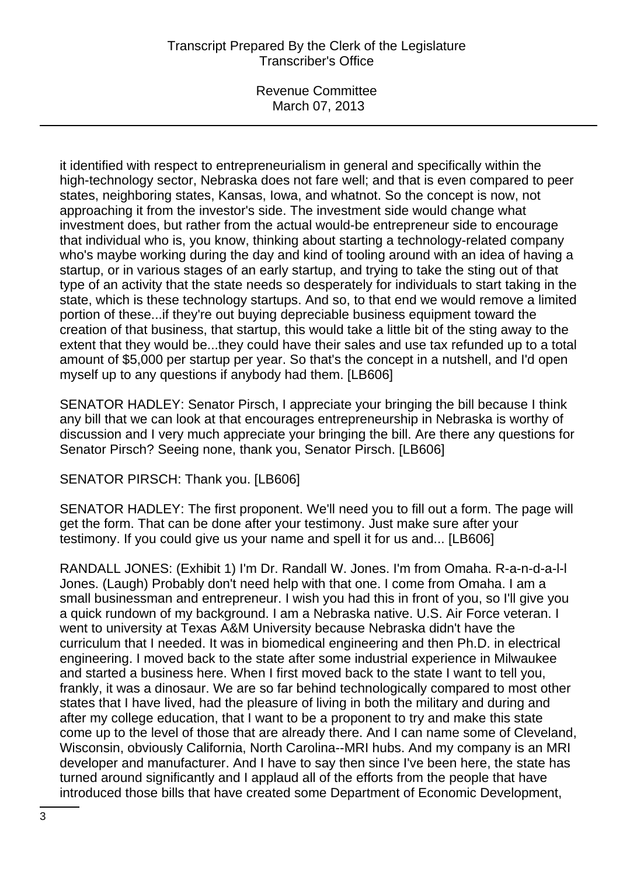Revenue Committee March 07, 2013

it identified with respect to entrepreneurialism in general and specifically within the high-technology sector, Nebraska does not fare well; and that is even compared to peer states, neighboring states, Kansas, Iowa, and whatnot. So the concept is now, not approaching it from the investor's side. The investment side would change what investment does, but rather from the actual would-be entrepreneur side to encourage that individual who is, you know, thinking about starting a technology-related company who's maybe working during the day and kind of tooling around with an idea of having a startup, or in various stages of an early startup, and trying to take the sting out of that type of an activity that the state needs so desperately for individuals to start taking in the state, which is these technology startups. And so, to that end we would remove a limited portion of these...if they're out buying depreciable business equipment toward the creation of that business, that startup, this would take a little bit of the sting away to the extent that they would be...they could have their sales and use tax refunded up to a total amount of \$5,000 per startup per year. So that's the concept in a nutshell, and I'd open myself up to any questions if anybody had them. [LB606]

SENATOR HADLEY: Senator Pirsch, I appreciate your bringing the bill because I think any bill that we can look at that encourages entrepreneurship in Nebraska is worthy of discussion and I very much appreciate your bringing the bill. Are there any questions for Senator Pirsch? Seeing none, thank you, Senator Pirsch. [LB606]

SENATOR PIRSCH: Thank you. [LB606]

SENATOR HADLEY: The first proponent. We'll need you to fill out a form. The page will get the form. That can be done after your testimony. Just make sure after your testimony. If you could give us your name and spell it for us and... [LB606]

RANDALL JONES: (Exhibit 1) I'm Dr. Randall W. Jones. I'm from Omaha. R-a-n-d-a-l-l Jones. (Laugh) Probably don't need help with that one. I come from Omaha. I am a small businessman and entrepreneur. I wish you had this in front of you, so I'll give you a quick rundown of my background. I am a Nebraska native. U.S. Air Force veteran. I went to university at Texas A&M University because Nebraska didn't have the curriculum that I needed. It was in biomedical engineering and then Ph.D. in electrical engineering. I moved back to the state after some industrial experience in Milwaukee and started a business here. When I first moved back to the state I want to tell you, frankly, it was a dinosaur. We are so far behind technologically compared to most other states that I have lived, had the pleasure of living in both the military and during and after my college education, that I want to be a proponent to try and make this state come up to the level of those that are already there. And I can name some of Cleveland, Wisconsin, obviously California, North Carolina--MRI hubs. And my company is an MRI developer and manufacturer. And I have to say then since I've been here, the state has turned around significantly and I applaud all of the efforts from the people that have introduced those bills that have created some Department of Economic Development,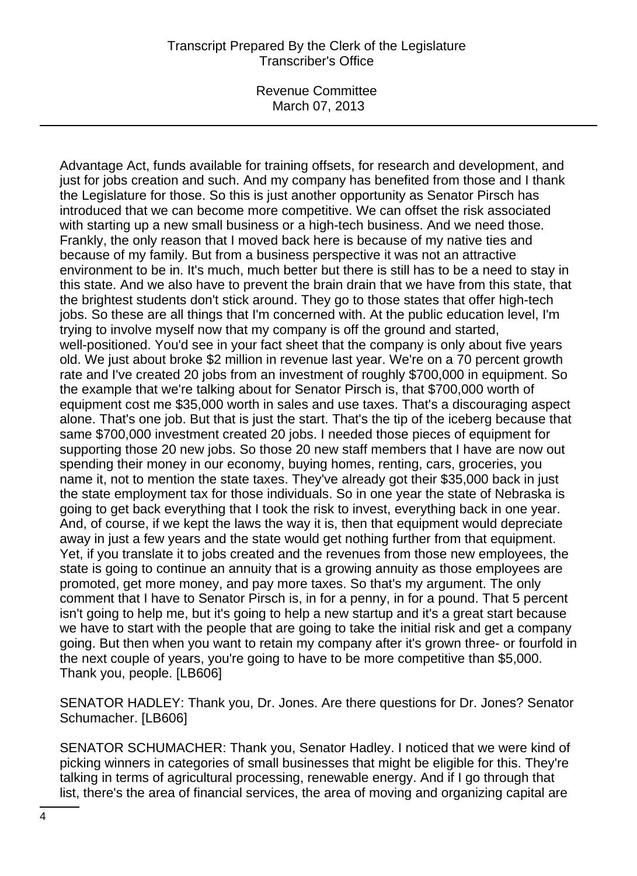Revenue Committee March 07, 2013

Advantage Act, funds available for training offsets, for research and development, and just for jobs creation and such. And my company has benefited from those and I thank the Legislature for those. So this is just another opportunity as Senator Pirsch has introduced that we can become more competitive. We can offset the risk associated with starting up a new small business or a high-tech business. And we need those. Frankly, the only reason that I moved back here is because of my native ties and because of my family. But from a business perspective it was not an attractive environment to be in. It's much, much better but there is still has to be a need to stay in this state. And we also have to prevent the brain drain that we have from this state, that the brightest students don't stick around. They go to those states that offer high-tech jobs. So these are all things that I'm concerned with. At the public education level, I'm trying to involve myself now that my company is off the ground and started, well-positioned. You'd see in your fact sheet that the company is only about five years old. We just about broke \$2 million in revenue last year. We're on a 70 percent growth rate and I've created 20 jobs from an investment of roughly \$700,000 in equipment. So the example that we're talking about for Senator Pirsch is, that \$700,000 worth of equipment cost me \$35,000 worth in sales and use taxes. That's a discouraging aspect alone. That's one job. But that is just the start. That's the tip of the iceberg because that same \$700,000 investment created 20 jobs. I needed those pieces of equipment for supporting those 20 new jobs. So those 20 new staff members that I have are now out spending their money in our economy, buying homes, renting, cars, groceries, you name it, not to mention the state taxes. They've already got their \$35,000 back in just the state employment tax for those individuals. So in one year the state of Nebraska is going to get back everything that I took the risk to invest, everything back in one year. And, of course, if we kept the laws the way it is, then that equipment would depreciate away in just a few years and the state would get nothing further from that equipment. Yet, if you translate it to jobs created and the revenues from those new employees, the state is going to continue an annuity that is a growing annuity as those employees are promoted, get more money, and pay more taxes. So that's my argument. The only comment that I have to Senator Pirsch is, in for a penny, in for a pound. That 5 percent isn't going to help me, but it's going to help a new startup and it's a great start because we have to start with the people that are going to take the initial risk and get a company going. But then when you want to retain my company after it's grown three- or fourfold in the next couple of years, you're going to have to be more competitive than \$5,000. Thank you, people. [LB606]

SENATOR HADLEY: Thank you, Dr. Jones. Are there questions for Dr. Jones? Senator Schumacher. [LB606]

SENATOR SCHUMACHER: Thank you, Senator Hadley. I noticed that we were kind of picking winners in categories of small businesses that might be eligible for this. They're talking in terms of agricultural processing, renewable energy. And if I go through that list, there's the area of financial services, the area of moving and organizing capital are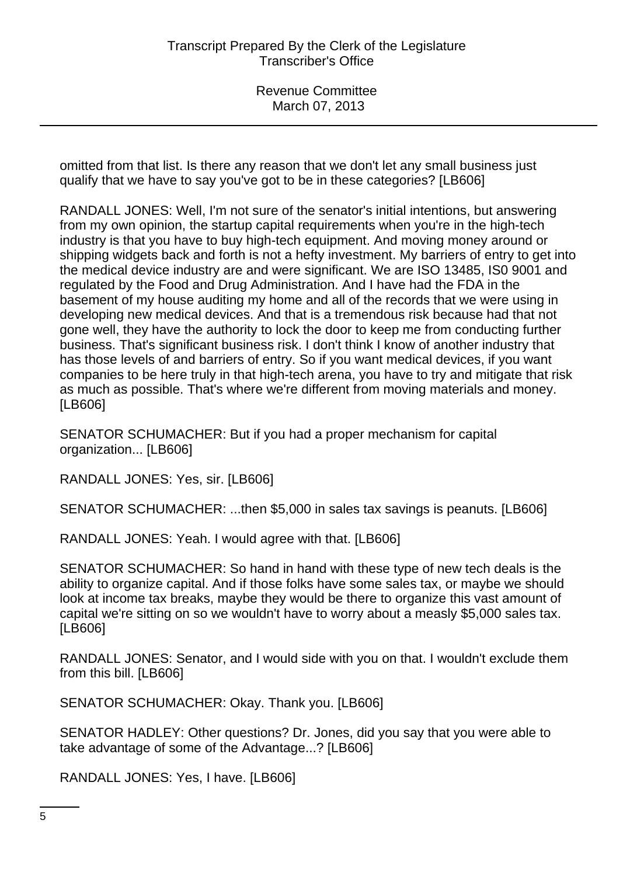omitted from that list. Is there any reason that we don't let any small business just qualify that we have to say you've got to be in these categories? [LB606]

RANDALL JONES: Well, I'm not sure of the senator's initial intentions, but answering from my own opinion, the startup capital requirements when you're in the high-tech industry is that you have to buy high-tech equipment. And moving money around or shipping widgets back and forth is not a hefty investment. My barriers of entry to get into the medical device industry are and were significant. We are ISO 13485, IS0 9001 and regulated by the Food and Drug Administration. And I have had the FDA in the basement of my house auditing my home and all of the records that we were using in developing new medical devices. And that is a tremendous risk because had that not gone well, they have the authority to lock the door to keep me from conducting further business. That's significant business risk. I don't think I know of another industry that has those levels of and barriers of entry. So if you want medical devices, if you want companies to be here truly in that high-tech arena, you have to try and mitigate that risk as much as possible. That's where we're different from moving materials and money. [LB606]

SENATOR SCHUMACHER: But if you had a proper mechanism for capital organization... [LB606]

RANDALL JONES: Yes, sir. [LB606]

SENATOR SCHUMACHER: ...then \$5,000 in sales tax savings is peanuts. [LB606]

RANDALL JONES: Yeah. I would agree with that. [LB606]

SENATOR SCHUMACHER: So hand in hand with these type of new tech deals is the ability to organize capital. And if those folks have some sales tax, or maybe we should look at income tax breaks, maybe they would be there to organize this vast amount of capital we're sitting on so we wouldn't have to worry about a measly \$5,000 sales tax. [LB606]

RANDALL JONES: Senator, and I would side with you on that. I wouldn't exclude them from this bill. [LB606]

SENATOR SCHUMACHER: Okay. Thank you. [LB606]

SENATOR HADLEY: Other questions? Dr. Jones, did you say that you were able to take advantage of some of the Advantage...? [LB606]

RANDALL JONES: Yes, I have. [LB606]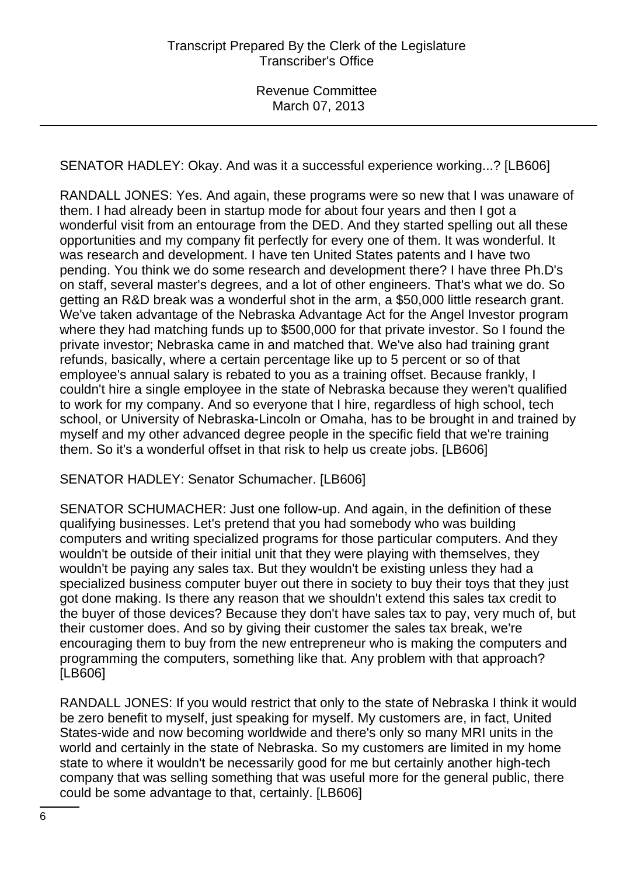SENATOR HADLEY: Okay. And was it a successful experience working...? [LB606]

RANDALL JONES: Yes. And again, these programs were so new that I was unaware of them. I had already been in startup mode for about four years and then I got a wonderful visit from an entourage from the DED. And they started spelling out all these opportunities and my company fit perfectly for every one of them. It was wonderful. It was research and development. I have ten United States patents and I have two pending. You think we do some research and development there? I have three Ph.D's on staff, several master's degrees, and a lot of other engineers. That's what we do. So getting an R&D break was a wonderful shot in the arm, a \$50,000 little research grant. We've taken advantage of the Nebraska Advantage Act for the Angel Investor program where they had matching funds up to \$500,000 for that private investor. So I found the private investor; Nebraska came in and matched that. We've also had training grant refunds, basically, where a certain percentage like up to 5 percent or so of that employee's annual salary is rebated to you as a training offset. Because frankly, I couldn't hire a single employee in the state of Nebraska because they weren't qualified to work for my company. And so everyone that I hire, regardless of high school, tech school, or University of Nebraska-Lincoln or Omaha, has to be brought in and trained by myself and my other advanced degree people in the specific field that we're training them. So it's a wonderful offset in that risk to help us create jobs. [LB606]

# SENATOR HADLEY: Senator Schumacher. [LB606]

SENATOR SCHUMACHER: Just one follow-up. And again, in the definition of these qualifying businesses. Let's pretend that you had somebody who was building computers and writing specialized programs for those particular computers. And they wouldn't be outside of their initial unit that they were playing with themselves, they wouldn't be paying any sales tax. But they wouldn't be existing unless they had a specialized business computer buyer out there in society to buy their toys that they just got done making. Is there any reason that we shouldn't extend this sales tax credit to the buyer of those devices? Because they don't have sales tax to pay, very much of, but their customer does. And so by giving their customer the sales tax break, we're encouraging them to buy from the new entrepreneur who is making the computers and programming the computers, something like that. Any problem with that approach? [LB606]

RANDALL JONES: If you would restrict that only to the state of Nebraska I think it would be zero benefit to myself, just speaking for myself. My customers are, in fact, United States-wide and now becoming worldwide and there's only so many MRI units in the world and certainly in the state of Nebraska. So my customers are limited in my home state to where it wouldn't be necessarily good for me but certainly another high-tech company that was selling something that was useful more for the general public, there could be some advantage to that, certainly. [LB606]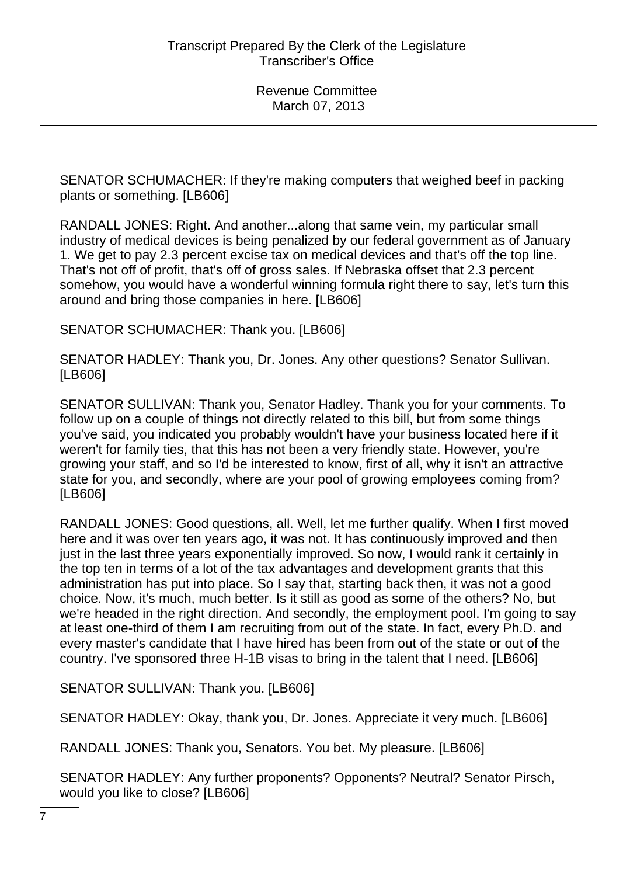SENATOR SCHUMACHER: If they're making computers that weighed beef in packing plants or something. [LB606]

RANDALL JONES: Right. And another...along that same vein, my particular small industry of medical devices is being penalized by our federal government as of January 1. We get to pay 2.3 percent excise tax on medical devices and that's off the top line. That's not off of profit, that's off of gross sales. If Nebraska offset that 2.3 percent somehow, you would have a wonderful winning formula right there to say, let's turn this around and bring those companies in here. [LB606]

SENATOR SCHUMACHER: Thank you. [LB606]

SENATOR HADLEY: Thank you, Dr. Jones. Any other questions? Senator Sullivan. [LB606]

SENATOR SULLIVAN: Thank you, Senator Hadley. Thank you for your comments. To follow up on a couple of things not directly related to this bill, but from some things you've said, you indicated you probably wouldn't have your business located here if it weren't for family ties, that this has not been a very friendly state. However, you're growing your staff, and so I'd be interested to know, first of all, why it isn't an attractive state for you, and secondly, where are your pool of growing employees coming from? [LB606]

RANDALL JONES: Good questions, all. Well, let me further qualify. When I first moved here and it was over ten years ago, it was not. It has continuously improved and then just in the last three years exponentially improved. So now, I would rank it certainly in the top ten in terms of a lot of the tax advantages and development grants that this administration has put into place. So I say that, starting back then, it was not a good choice. Now, it's much, much better. Is it still as good as some of the others? No, but we're headed in the right direction. And secondly, the employment pool. I'm going to say at least one-third of them I am recruiting from out of the state. In fact, every Ph.D. and every master's candidate that I have hired has been from out of the state or out of the country. I've sponsored three H-1B visas to bring in the talent that I need. [LB606]

SENATOR SULLIVAN: Thank you. [LB606]

SENATOR HADLEY: Okay, thank you, Dr. Jones. Appreciate it very much. [LB606]

RANDALL JONES: Thank you, Senators. You bet. My pleasure. [LB606]

SENATOR HADLEY: Any further proponents? Opponents? Neutral? Senator Pirsch, would you like to close? [LB606]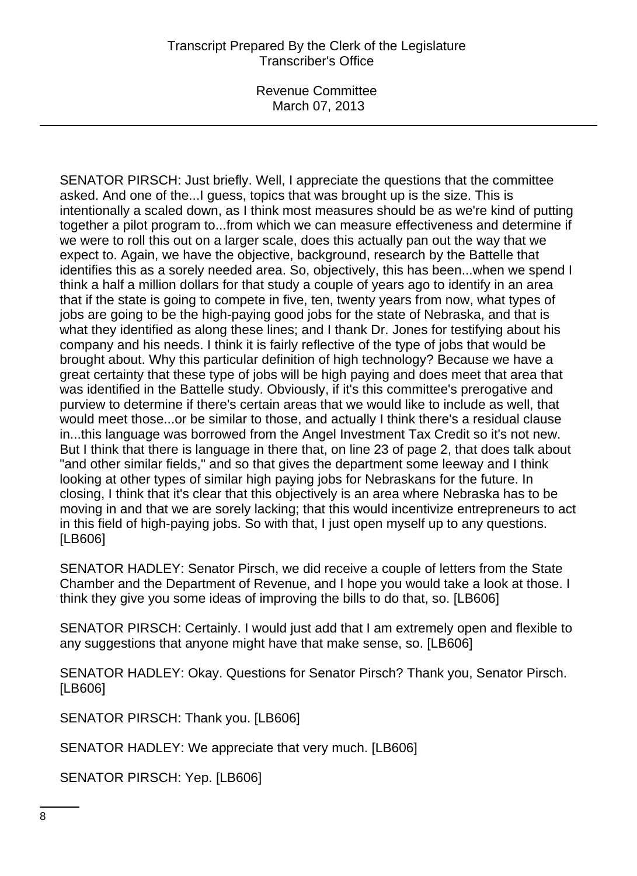Revenue Committee March 07, 2013

SENATOR PIRSCH: Just briefly. Well, I appreciate the questions that the committee asked. And one of the...I guess, topics that was brought up is the size. This is intentionally a scaled down, as I think most measures should be as we're kind of putting together a pilot program to...from which we can measure effectiveness and determine if we were to roll this out on a larger scale, does this actually pan out the way that we expect to. Again, we have the objective, background, research by the Battelle that identifies this as a sorely needed area. So, objectively, this has been...when we spend I think a half a million dollars for that study a couple of years ago to identify in an area that if the state is going to compete in five, ten, twenty years from now, what types of jobs are going to be the high-paying good jobs for the state of Nebraska, and that is what they identified as along these lines; and I thank Dr. Jones for testifying about his company and his needs. I think it is fairly reflective of the type of jobs that would be brought about. Why this particular definition of high technology? Because we have a great certainty that these type of jobs will be high paying and does meet that area that was identified in the Battelle study. Obviously, if it's this committee's prerogative and purview to determine if there's certain areas that we would like to include as well, that would meet those...or be similar to those, and actually I think there's a residual clause in...this language was borrowed from the Angel Investment Tax Credit so it's not new. But I think that there is language in there that, on line 23 of page 2, that does talk about "and other similar fields," and so that gives the department some leeway and I think looking at other types of similar high paying jobs for Nebraskans for the future. In closing, I think that it's clear that this objectively is an area where Nebraska has to be moving in and that we are sorely lacking; that this would incentivize entrepreneurs to act in this field of high-paying jobs. So with that, I just open myself up to any questions. [LB606]

SENATOR HADLEY: Senator Pirsch, we did receive a couple of letters from the State Chamber and the Department of Revenue, and I hope you would take a look at those. I think they give you some ideas of improving the bills to do that, so. [LB606]

SENATOR PIRSCH: Certainly. I would just add that I am extremely open and flexible to any suggestions that anyone might have that make sense, so. [LB606]

SENATOR HADLEY: Okay. Questions for Senator Pirsch? Thank you, Senator Pirsch. [LB606]

SENATOR PIRSCH: Thank you. [LB606]

SENATOR HADLEY: We appreciate that very much. [LB606]

SENATOR PIRSCH: Yep. [LB606]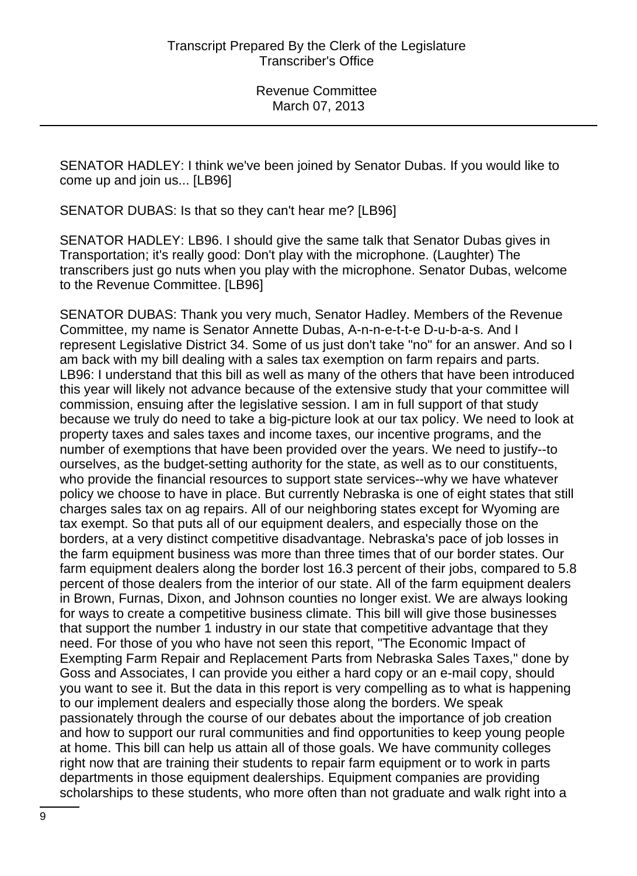SENATOR HADLEY: I think we've been joined by Senator Dubas. If you would like to come up and join us... [LB96]

SENATOR DUBAS: Is that so they can't hear me? [LB96]

SENATOR HADLEY: LB96. I should give the same talk that Senator Dubas gives in Transportation; it's really good: Don't play with the microphone. (Laughter) The transcribers just go nuts when you play with the microphone. Senator Dubas, welcome to the Revenue Committee. [LB96]

SENATOR DUBAS: Thank you very much, Senator Hadley. Members of the Revenue Committee, my name is Senator Annette Dubas, A-n-n-e-t-t-e D-u-b-a-s. And I represent Legislative District 34. Some of us just don't take "no" for an answer. And so I am back with my bill dealing with a sales tax exemption on farm repairs and parts. LB96: I understand that this bill as well as many of the others that have been introduced this year will likely not advance because of the extensive study that your committee will commission, ensuing after the legislative session. I am in full support of that study because we truly do need to take a big-picture look at our tax policy. We need to look at property taxes and sales taxes and income taxes, our incentive programs, and the number of exemptions that have been provided over the years. We need to justify--to ourselves, as the budget-setting authority for the state, as well as to our constituents, who provide the financial resources to support state services--why we have whatever policy we choose to have in place. But currently Nebraska is one of eight states that still charges sales tax on ag repairs. All of our neighboring states except for Wyoming are tax exempt. So that puts all of our equipment dealers, and especially those on the borders, at a very distinct competitive disadvantage. Nebraska's pace of job losses in the farm equipment business was more than three times that of our border states. Our farm equipment dealers along the border lost 16.3 percent of their jobs, compared to 5.8 percent of those dealers from the interior of our state. All of the farm equipment dealers in Brown, Furnas, Dixon, and Johnson counties no longer exist. We are always looking for ways to create a competitive business climate. This bill will give those businesses that support the number 1 industry in our state that competitive advantage that they need. For those of you who have not seen this report, "The Economic Impact of Exempting Farm Repair and Replacement Parts from Nebraska Sales Taxes," done by Goss and Associates, I can provide you either a hard copy or an e-mail copy, should you want to see it. But the data in this report is very compelling as to what is happening to our implement dealers and especially those along the borders. We speak passionately through the course of our debates about the importance of job creation and how to support our rural communities and find opportunities to keep young people at home. This bill can help us attain all of those goals. We have community colleges right now that are training their students to repair farm equipment or to work in parts departments in those equipment dealerships. Equipment companies are providing scholarships to these students, who more often than not graduate and walk right into a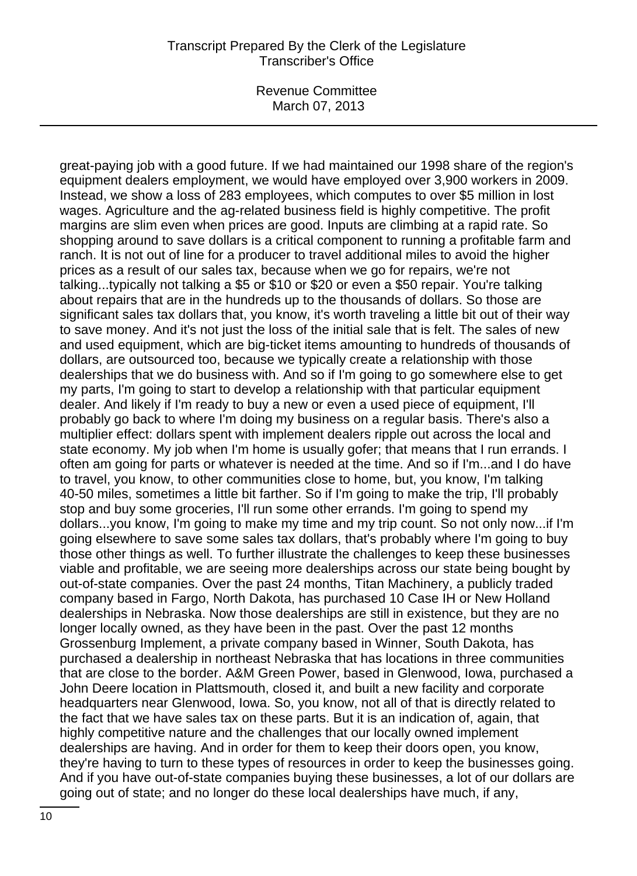Revenue Committee March 07, 2013

great-paying job with a good future. If we had maintained our 1998 share of the region's equipment dealers employment, we would have employed over 3,900 workers in 2009. Instead, we show a loss of 283 employees, which computes to over \$5 million in lost wages. Agriculture and the ag-related business field is highly competitive. The profit margins are slim even when prices are good. Inputs are climbing at a rapid rate. So shopping around to save dollars is a critical component to running a profitable farm and ranch. It is not out of line for a producer to travel additional miles to avoid the higher prices as a result of our sales tax, because when we go for repairs, we're not talking...typically not talking a \$5 or \$10 or \$20 or even a \$50 repair. You're talking about repairs that are in the hundreds up to the thousands of dollars. So those are significant sales tax dollars that, you know, it's worth traveling a little bit out of their way to save money. And it's not just the loss of the initial sale that is felt. The sales of new and used equipment, which are big-ticket items amounting to hundreds of thousands of dollars, are outsourced too, because we typically create a relationship with those dealerships that we do business with. And so if I'm going to go somewhere else to get my parts, I'm going to start to develop a relationship with that particular equipment dealer. And likely if I'm ready to buy a new or even a used piece of equipment, I'll probably go back to where I'm doing my business on a regular basis. There's also a multiplier effect: dollars spent with implement dealers ripple out across the local and state economy. My job when I'm home is usually gofer; that means that I run errands. I often am going for parts or whatever is needed at the time. And so if I'm...and I do have to travel, you know, to other communities close to home, but, you know, I'm talking 40-50 miles, sometimes a little bit farther. So if I'm going to make the trip, I'll probably stop and buy some groceries, I'll run some other errands. I'm going to spend my dollars...you know, I'm going to make my time and my trip count. So not only now...if I'm going elsewhere to save some sales tax dollars, that's probably where I'm going to buy those other things as well. To further illustrate the challenges to keep these businesses viable and profitable, we are seeing more dealerships across our state being bought by out-of-state companies. Over the past 24 months, Titan Machinery, a publicly traded company based in Fargo, North Dakota, has purchased 10 Case IH or New Holland dealerships in Nebraska. Now those dealerships are still in existence, but they are no longer locally owned, as they have been in the past. Over the past 12 months Grossenburg Implement, a private company based in Winner, South Dakota, has purchased a dealership in northeast Nebraska that has locations in three communities that are close to the border. A&M Green Power, based in Glenwood, Iowa, purchased a John Deere location in Plattsmouth, closed it, and built a new facility and corporate headquarters near Glenwood, Iowa. So, you know, not all of that is directly related to the fact that we have sales tax on these parts. But it is an indication of, again, that highly competitive nature and the challenges that our locally owned implement dealerships are having. And in order for them to keep their doors open, you know, they're having to turn to these types of resources in order to keep the businesses going. And if you have out-of-state companies buying these businesses, a lot of our dollars are going out of state; and no longer do these local dealerships have much, if any,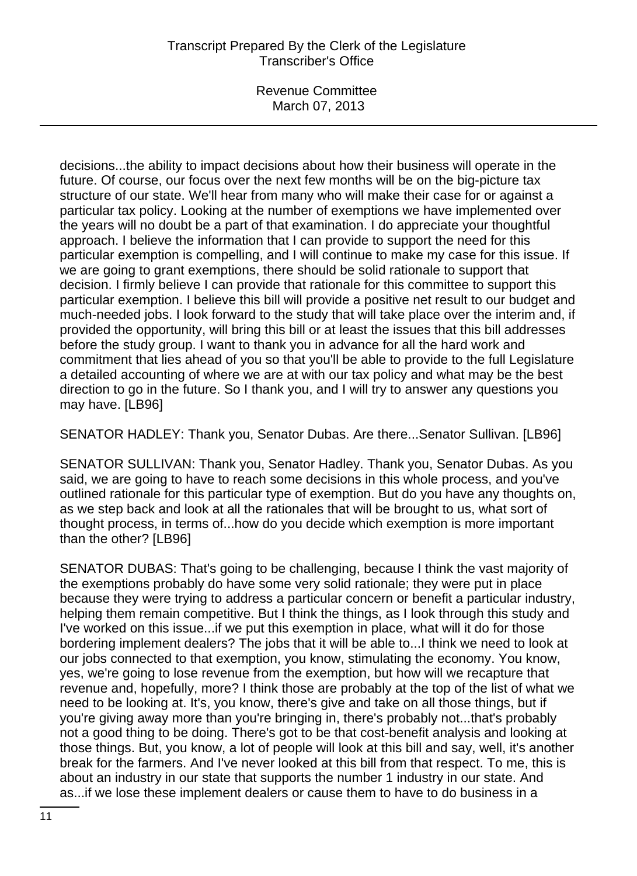Revenue Committee March 07, 2013

decisions...the ability to impact decisions about how their business will operate in the future. Of course, our focus over the next few months will be on the big-picture tax structure of our state. We'll hear from many who will make their case for or against a particular tax policy. Looking at the number of exemptions we have implemented over the years will no doubt be a part of that examination. I do appreciate your thoughtful approach. I believe the information that I can provide to support the need for this particular exemption is compelling, and I will continue to make my case for this issue. If we are going to grant exemptions, there should be solid rationale to support that decision. I firmly believe I can provide that rationale for this committee to support this particular exemption. I believe this bill will provide a positive net result to our budget and much-needed jobs. I look forward to the study that will take place over the interim and, if provided the opportunity, will bring this bill or at least the issues that this bill addresses before the study group. I want to thank you in advance for all the hard work and commitment that lies ahead of you so that you'll be able to provide to the full Legislature a detailed accounting of where we are at with our tax policy and what may be the best direction to go in the future. So I thank you, and I will try to answer any questions you may have. [LB96]

SENATOR HADLEY: Thank you, Senator Dubas. Are there...Senator Sullivan. [LB96]

SENATOR SULLIVAN: Thank you, Senator Hadley. Thank you, Senator Dubas. As you said, we are going to have to reach some decisions in this whole process, and you've outlined rationale for this particular type of exemption. But do you have any thoughts on, as we step back and look at all the rationales that will be brought to us, what sort of thought process, in terms of...how do you decide which exemption is more important than the other? [LB96]

SENATOR DUBAS: That's going to be challenging, because I think the vast majority of the exemptions probably do have some very solid rationale; they were put in place because they were trying to address a particular concern or benefit a particular industry, helping them remain competitive. But I think the things, as I look through this study and I've worked on this issue...if we put this exemption in place, what will it do for those bordering implement dealers? The jobs that it will be able to...I think we need to look at our jobs connected to that exemption, you know, stimulating the economy. You know, yes, we're going to lose revenue from the exemption, but how will we recapture that revenue and, hopefully, more? I think those are probably at the top of the list of what we need to be looking at. It's, you know, there's give and take on all those things, but if you're giving away more than you're bringing in, there's probably not...that's probably not a good thing to be doing. There's got to be that cost-benefit analysis and looking at those things. But, you know, a lot of people will look at this bill and say, well, it's another break for the farmers. And I've never looked at this bill from that respect. To me, this is about an industry in our state that supports the number 1 industry in our state. And as...if we lose these implement dealers or cause them to have to do business in a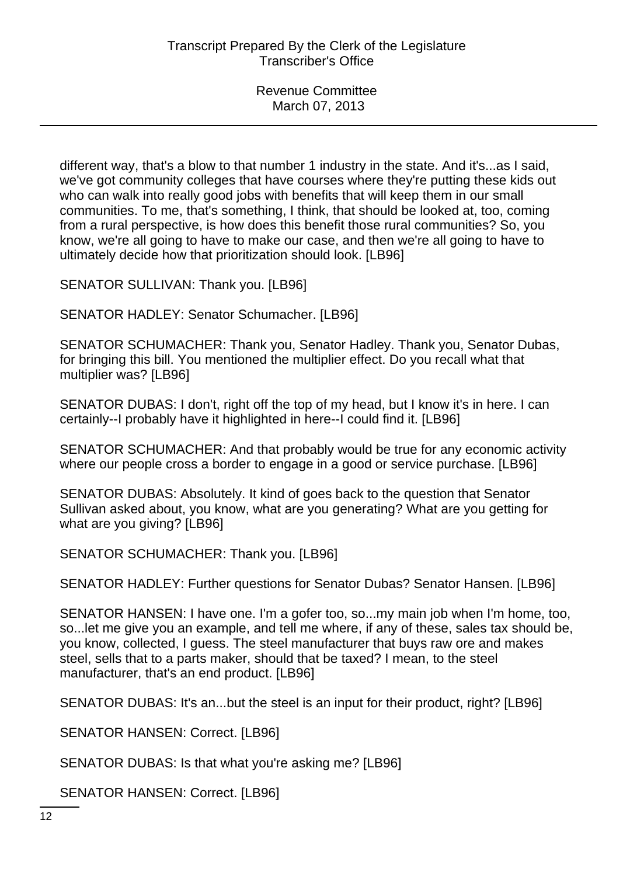different way, that's a blow to that number 1 industry in the state. And it's...as I said, we've got community colleges that have courses where they're putting these kids out who can walk into really good jobs with benefits that will keep them in our small communities. To me, that's something, I think, that should be looked at, too, coming from a rural perspective, is how does this benefit those rural communities? So, you know, we're all going to have to make our case, and then we're all going to have to ultimately decide how that prioritization should look. [LB96]

SENATOR SULLIVAN: Thank you. [LB96]

SENATOR HADLEY: Senator Schumacher. [LB96]

SENATOR SCHUMACHER: Thank you, Senator Hadley. Thank you, Senator Dubas, for bringing this bill. You mentioned the multiplier effect. Do you recall what that multiplier was? [LB96]

SENATOR DUBAS: I don't, right off the top of my head, but I know it's in here. I can certainly--I probably have it highlighted in here--I could find it. [LB96]

SENATOR SCHUMACHER: And that probably would be true for any economic activity where our people cross a border to engage in a good or service purchase. [LB96]

SENATOR DUBAS: Absolutely. It kind of goes back to the question that Senator Sullivan asked about, you know, what are you generating? What are you getting for what are you giving? [LB96]

SENATOR SCHUMACHER: Thank you. [LB96]

SENATOR HADLEY: Further questions for Senator Dubas? Senator Hansen. [LB96]

SENATOR HANSEN: I have one. I'm a gofer too, so...my main job when I'm home, too, so...let me give you an example, and tell me where, if any of these, sales tax should be, you know, collected, I guess. The steel manufacturer that buys raw ore and makes steel, sells that to a parts maker, should that be taxed? I mean, to the steel manufacturer, that's an end product. [LB96]

SENATOR DUBAS: It's an...but the steel is an input for their product, right? [LB96]

SENATOR HANSEN: Correct. [LB96]

SENATOR DUBAS: Is that what you're asking me? [LB96]

SENATOR HANSEN: Correct. [LB96]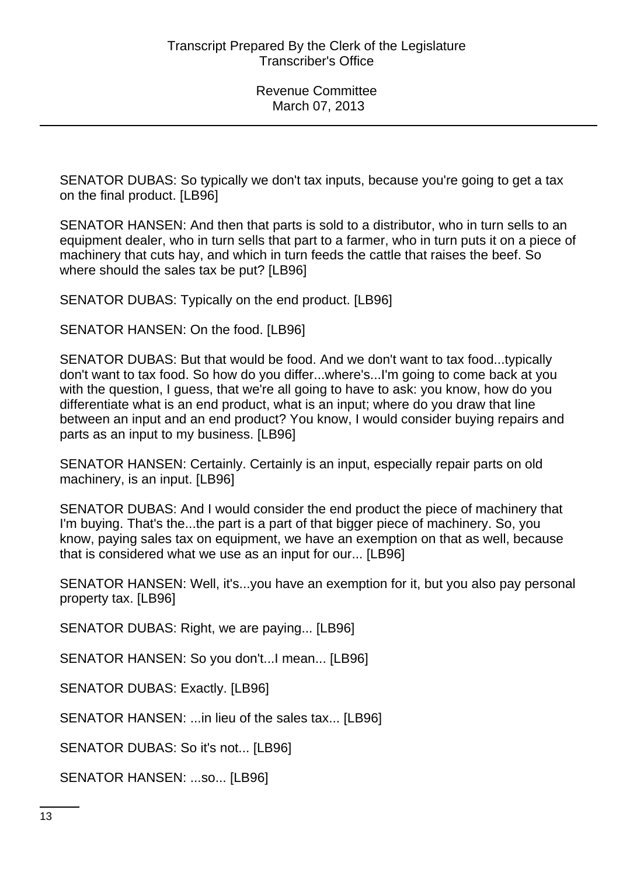SENATOR DUBAS: So typically we don't tax inputs, because you're going to get a tax on the final product. [LB96]

SENATOR HANSEN: And then that parts is sold to a distributor, who in turn sells to an equipment dealer, who in turn sells that part to a farmer, who in turn puts it on a piece of machinery that cuts hay, and which in turn feeds the cattle that raises the beef. So where should the sales tax be put? [LB96]

SENATOR DUBAS: Typically on the end product. [LB96]

SENATOR HANSEN: On the food. [LB96]

SENATOR DUBAS: But that would be food. And we don't want to tax food...typically don't want to tax food. So how do you differ...where's...I'm going to come back at you with the question, I guess, that we're all going to have to ask: you know, how do you differentiate what is an end product, what is an input; where do you draw that line between an input and an end product? You know, I would consider buying repairs and parts as an input to my business. [LB96]

SENATOR HANSEN: Certainly. Certainly is an input, especially repair parts on old machinery, is an input. [LB96]

SENATOR DUBAS: And I would consider the end product the piece of machinery that I'm buying. That's the...the part is a part of that bigger piece of machinery. So, you know, paying sales tax on equipment, we have an exemption on that as well, because that is considered what we use as an input for our... [LB96]

SENATOR HANSEN: Well, it's...you have an exemption for it, but you also pay personal property tax. [LB96]

SENATOR DUBAS: Right, we are paying... [LB96]

SENATOR HANSEN: So you don't...I mean... [LB96]

SENATOR DUBAS: Exactly. [LB96]

SENATOR HANSEN: ...in lieu of the sales tax... [LB96]

SENATOR DUBAS: So it's not... [LB96]

SENATOR HANSEN: ...so... [LB96]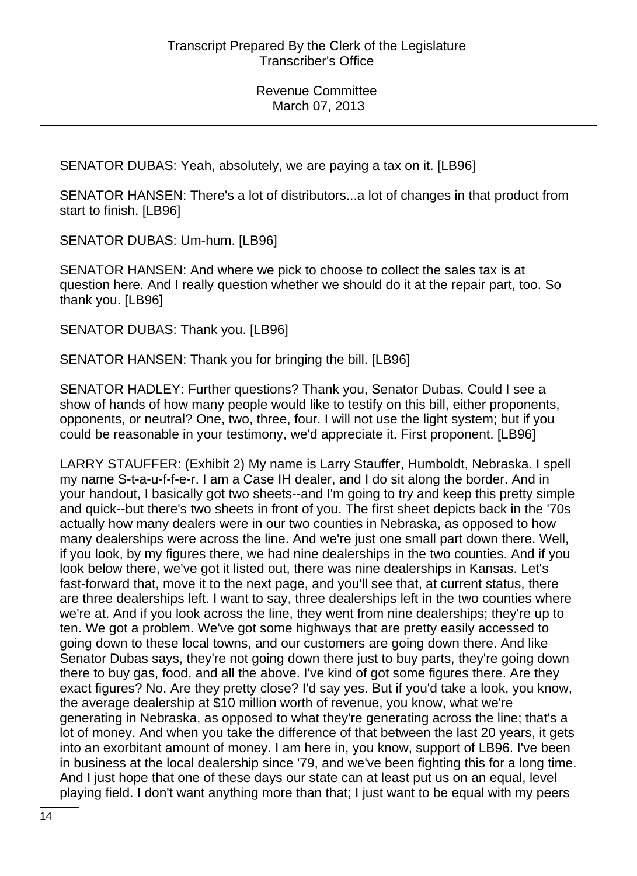SENATOR DUBAS: Yeah, absolutely, we are paying a tax on it. [LB96]

SENATOR HANSEN: There's a lot of distributors...a lot of changes in that product from start to finish. [LB96]

SENATOR DUBAS: Um-hum. [LB96]

SENATOR HANSEN: And where we pick to choose to collect the sales tax is at question here. And I really question whether we should do it at the repair part, too. So thank you. [LB96]

SENATOR DUBAS: Thank you. [LB96]

SENATOR HANSEN: Thank you for bringing the bill. [LB96]

SENATOR HADLEY: Further questions? Thank you, Senator Dubas. Could I see a show of hands of how many people would like to testify on this bill, either proponents, opponents, or neutral? One, two, three, four. I will not use the light system; but if you could be reasonable in your testimony, we'd appreciate it. First proponent. [LB96]

LARRY STAUFFER: (Exhibit 2) My name is Larry Stauffer, Humboldt, Nebraska. I spell my name S-t-a-u-f-f-e-r. I am a Case IH dealer, and I do sit along the border. And in your handout, I basically got two sheets--and I'm going to try and keep this pretty simple and quick--but there's two sheets in front of you. The first sheet depicts back in the '70s actually how many dealers were in our two counties in Nebraska, as opposed to how many dealerships were across the line. And we're just one small part down there. Well, if you look, by my figures there, we had nine dealerships in the two counties. And if you look below there, we've got it listed out, there was nine dealerships in Kansas. Let's fast-forward that, move it to the next page, and you'll see that, at current status, there are three dealerships left. I want to say, three dealerships left in the two counties where we're at. And if you look across the line, they went from nine dealerships; they're up to ten. We got a problem. We've got some highways that are pretty easily accessed to going down to these local towns, and our customers are going down there. And like Senator Dubas says, they're not going down there just to buy parts, they're going down there to buy gas, food, and all the above. I've kind of got some figures there. Are they exact figures? No. Are they pretty close? I'd say yes. But if you'd take a look, you know, the average dealership at \$10 million worth of revenue, you know, what we're generating in Nebraska, as opposed to what they're generating across the line; that's a lot of money. And when you take the difference of that between the last 20 years, it gets into an exorbitant amount of money. I am here in, you know, support of LB96. I've been in business at the local dealership since '79, and we've been fighting this for a long time. And I just hope that one of these days our state can at least put us on an equal, level playing field. I don't want anything more than that; I just want to be equal with my peers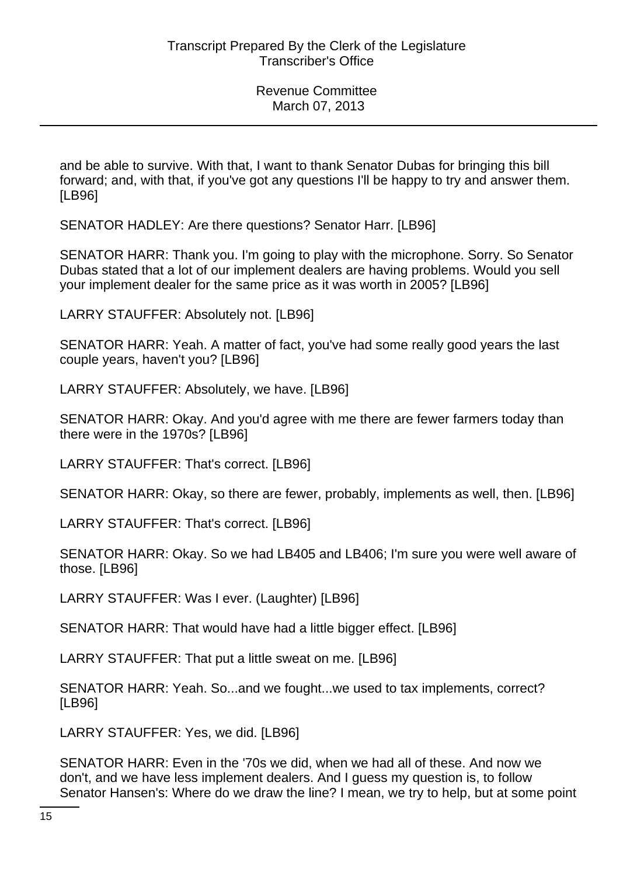and be able to survive. With that, I want to thank Senator Dubas for bringing this bill forward; and, with that, if you've got any questions I'll be happy to try and answer them. [LB96]

SENATOR HADLEY: Are there questions? Senator Harr. [LB96]

SENATOR HARR: Thank you. I'm going to play with the microphone. Sorry. So Senator Dubas stated that a lot of our implement dealers are having problems. Would you sell your implement dealer for the same price as it was worth in 2005? [LB96]

LARRY STAUFFER: Absolutely not. [LB96]

SENATOR HARR: Yeah. A matter of fact, you've had some really good years the last couple years, haven't you? [LB96]

LARRY STAUFFER: Absolutely, we have. [LB96]

SENATOR HARR: Okay. And you'd agree with me there are fewer farmers today than there were in the 1970s? [LB96]

LARRY STAUFFER: That's correct. [LB96]

SENATOR HARR: Okay, so there are fewer, probably, implements as well, then. [LB96]

LARRY STAUFFER: That's correct. [LB96]

SENATOR HARR: Okay. So we had LB405 and LB406; I'm sure you were well aware of those. [LB96]

LARRY STAUFFER: Was I ever. (Laughter) [LB96]

SENATOR HARR: That would have had a little bigger effect. [LB96]

LARRY STAUFFER: That put a little sweat on me. [LB96]

SENATOR HARR: Yeah. So...and we fought...we used to tax implements, correct? [LB96]

LARRY STAUFFER: Yes, we did. [LB96]

SENATOR HARR: Even in the '70s we did, when we had all of these. And now we don't, and we have less implement dealers. And I guess my question is, to follow Senator Hansen's: Where do we draw the line? I mean, we try to help, but at some point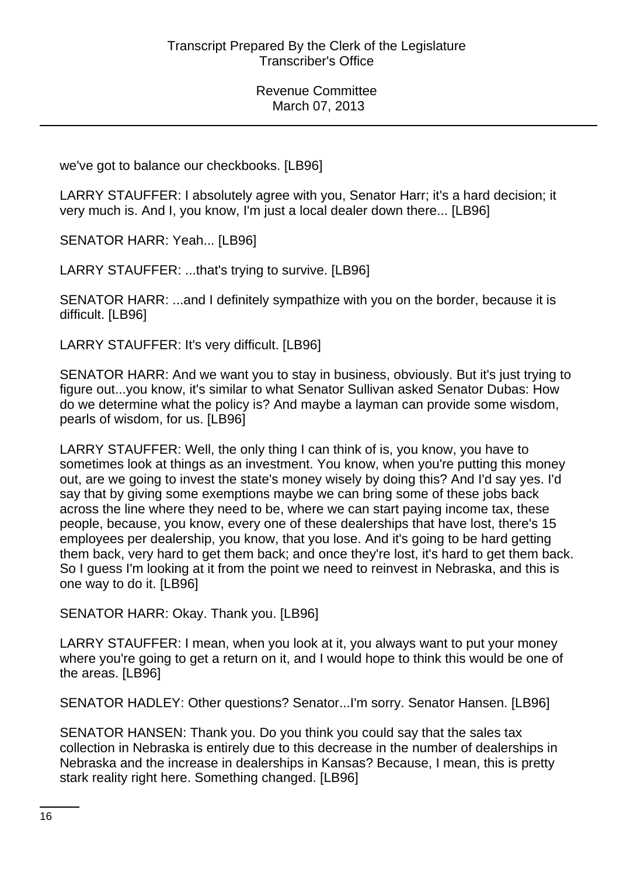we've got to balance our checkbooks. [LB96]

LARRY STAUFFER: I absolutely agree with you, Senator Harr; it's a hard decision; it very much is. And I, you know, I'm just a local dealer down there... [LB96]

SENATOR HARR: Yeah... [LB96]

LARRY STAUFFER: ...that's trying to survive. [LB96]

SENATOR HARR: ...and I definitely sympathize with you on the border, because it is difficult. [LB96]

LARRY STAUFFER: It's very difficult. [LB96]

SENATOR HARR: And we want you to stay in business, obviously. But it's just trying to figure out...you know, it's similar to what Senator Sullivan asked Senator Dubas: How do we determine what the policy is? And maybe a layman can provide some wisdom, pearls of wisdom, for us. [LB96]

LARRY STAUFFER: Well, the only thing I can think of is, you know, you have to sometimes look at things as an investment. You know, when you're putting this money out, are we going to invest the state's money wisely by doing this? And I'd say yes. I'd say that by giving some exemptions maybe we can bring some of these jobs back across the line where they need to be, where we can start paying income tax, these people, because, you know, every one of these dealerships that have lost, there's 15 employees per dealership, you know, that you lose. And it's going to be hard getting them back, very hard to get them back; and once they're lost, it's hard to get them back. So I guess I'm looking at it from the point we need to reinvest in Nebraska, and this is one way to do it. [LB96]

SENATOR HARR: Okay. Thank you. [LB96]

LARRY STAUFFER: I mean, when you look at it, you always want to put your money where you're going to get a return on it, and I would hope to think this would be one of the areas. [LB96]

SENATOR HADLEY: Other questions? Senator...I'm sorry. Senator Hansen. [LB96]

SENATOR HANSEN: Thank you. Do you think you could say that the sales tax collection in Nebraska is entirely due to this decrease in the number of dealerships in Nebraska and the increase in dealerships in Kansas? Because, I mean, this is pretty stark reality right here. Something changed. [LB96]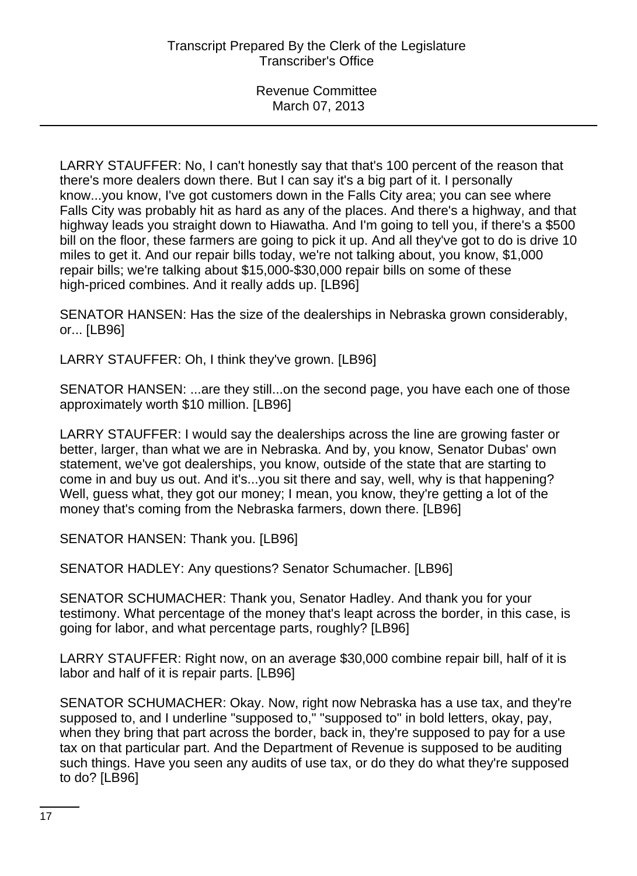LARRY STAUFFER: No, I can't honestly say that that's 100 percent of the reason that there's more dealers down there. But I can say it's a big part of it. I personally know...you know, I've got customers down in the Falls City area; you can see where Falls City was probably hit as hard as any of the places. And there's a highway, and that highway leads you straight down to Hiawatha. And I'm going to tell you, if there's a \$500 bill on the floor, these farmers are going to pick it up. And all they've got to do is drive 10 miles to get it. And our repair bills today, we're not talking about, you know, \$1,000 repair bills; we're talking about \$15,000-\$30,000 repair bills on some of these high-priced combines. And it really adds up. [LB96]

SENATOR HANSEN: Has the size of the dealerships in Nebraska grown considerably, or... [LB96]

LARRY STAUFFER: Oh, I think they've grown. [LB96]

SENATOR HANSEN: ...are they still...on the second page, you have each one of those approximately worth \$10 million. [LB96]

LARRY STAUFFER: I would say the dealerships across the line are growing faster or better, larger, than what we are in Nebraska. And by, you know, Senator Dubas' own statement, we've got dealerships, you know, outside of the state that are starting to come in and buy us out. And it's...you sit there and say, well, why is that happening? Well, guess what, they got our money; I mean, you know, they're getting a lot of the money that's coming from the Nebraska farmers, down there. [LB96]

SENATOR HANSEN: Thank you. [LB96]

SENATOR HADLEY: Any questions? Senator Schumacher. [LB96]

SENATOR SCHUMACHER: Thank you, Senator Hadley. And thank you for your testimony. What percentage of the money that's leapt across the border, in this case, is going for labor, and what percentage parts, roughly? [LB96]

LARRY STAUFFER: Right now, on an average \$30,000 combine repair bill, half of it is labor and half of it is repair parts. [LB96]

SENATOR SCHUMACHER: Okay. Now, right now Nebraska has a use tax, and they're supposed to, and I underline "supposed to," "supposed to" in bold letters, okay, pay, when they bring that part across the border, back in, they're supposed to pay for a use tax on that particular part. And the Department of Revenue is supposed to be auditing such things. Have you seen any audits of use tax, or do they do what they're supposed to do? [LB96]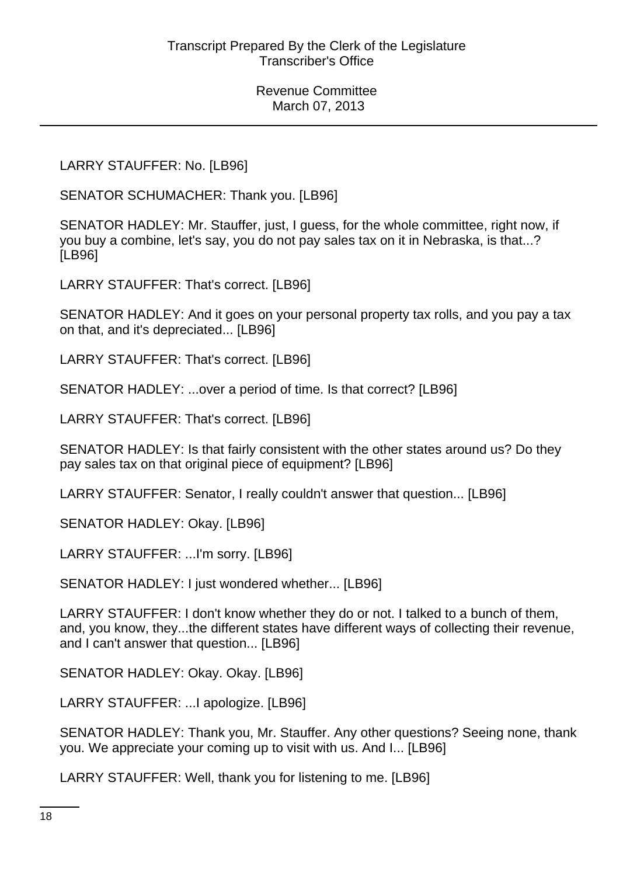LARRY STAUFFER: No. [LB96]

SENATOR SCHUMACHER: Thank you. [LB96]

SENATOR HADLEY: Mr. Stauffer, just, I guess, for the whole committee, right now, if you buy a combine, let's say, you do not pay sales tax on it in Nebraska, is that...? [LB96]

LARRY STAUFFER: That's correct. [LB96]

SENATOR HADLEY: And it goes on your personal property tax rolls, and you pay a tax on that, and it's depreciated... [LB96]

LARRY STAUFFER: That's correct. [LB96]

SENATOR HADLEY: ...over a period of time. Is that correct? [LB96]

LARRY STAUFFER: That's correct. [LB96]

SENATOR HADLEY: Is that fairly consistent with the other states around us? Do they pay sales tax on that original piece of equipment? [LB96]

LARRY STAUFFER: Senator, I really couldn't answer that question... [LB96]

SENATOR HADLEY: Okay. [LB96]

LARRY STAUFFER: ...I'm sorry. [LB96]

SENATOR HADLEY: I just wondered whether... [LB96]

LARRY STAUFFER: I don't know whether they do or not. I talked to a bunch of them, and, you know, they...the different states have different ways of collecting their revenue, and I can't answer that question... [LB96]

SENATOR HADLEY: Okay. Okay. [LB96]

LARRY STAUFFER: ...I apologize. [LB96]

SENATOR HADLEY: Thank you, Mr. Stauffer. Any other questions? Seeing none, thank you. We appreciate your coming up to visit with us. And I... [LB96]

LARRY STAUFFER: Well, thank you for listening to me. [LB96]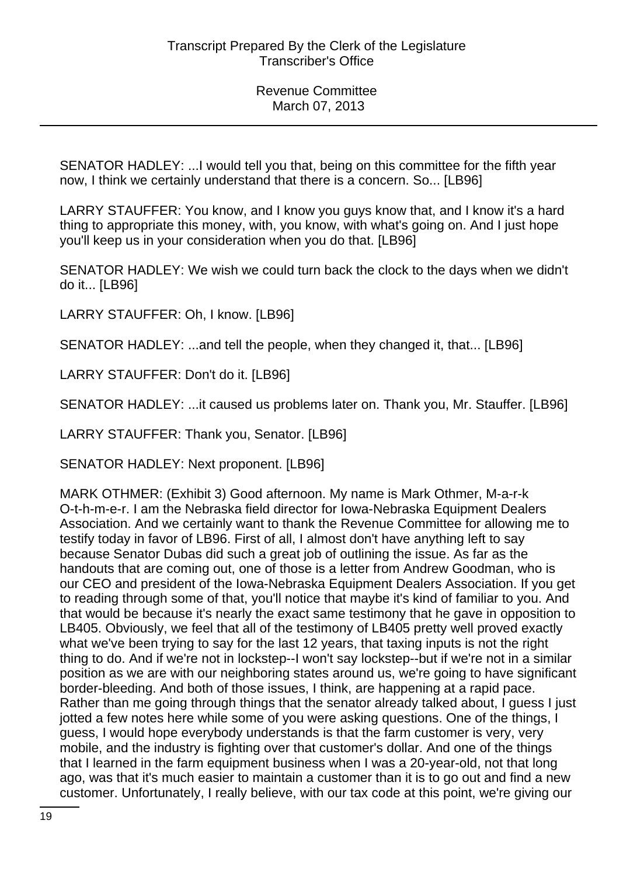SENATOR HADLEY: ...I would tell you that, being on this committee for the fifth year now, I think we certainly understand that there is a concern. So... [LB96]

LARRY STAUFFER: You know, and I know you guys know that, and I know it's a hard thing to appropriate this money, with, you know, with what's going on. And I just hope you'll keep us in your consideration when you do that. [LB96]

SENATOR HADLEY: We wish we could turn back the clock to the days when we didn't do it... [LB96]

LARRY STAUFFER: Oh, I know. [LB96]

SENATOR HADLEY: ...and tell the people, when they changed it, that... [LB96]

LARRY STAUFFER: Don't do it. [LB96]

SENATOR HADLEY: ...it caused us problems later on. Thank you, Mr. Stauffer. [LB96]

LARRY STAUFFER: Thank you, Senator. [LB96]

SENATOR HADLEY: Next proponent. [LB96]

MARK OTHMER: (Exhibit 3) Good afternoon. My name is Mark Othmer, M-a-r-k O-t-h-m-e-r. I am the Nebraska field director for Iowa-Nebraska Equipment Dealers Association. And we certainly want to thank the Revenue Committee for allowing me to testify today in favor of LB96. First of all, I almost don't have anything left to say because Senator Dubas did such a great job of outlining the issue. As far as the handouts that are coming out, one of those is a letter from Andrew Goodman, who is our CEO and president of the Iowa-Nebraska Equipment Dealers Association. If you get to reading through some of that, you'll notice that maybe it's kind of familiar to you. And that would be because it's nearly the exact same testimony that he gave in opposition to LB405. Obviously, we feel that all of the testimony of LB405 pretty well proved exactly what we've been trying to say for the last 12 years, that taxing inputs is not the right thing to do. And if we're not in lockstep--I won't say lockstep--but if we're not in a similar position as we are with our neighboring states around us, we're going to have significant border-bleeding. And both of those issues, I think, are happening at a rapid pace. Rather than me going through things that the senator already talked about, I guess I just jotted a few notes here while some of you were asking questions. One of the things, I guess, I would hope everybody understands is that the farm customer is very, very mobile, and the industry is fighting over that customer's dollar. And one of the things that I learned in the farm equipment business when I was a 20-year-old, not that long ago, was that it's much easier to maintain a customer than it is to go out and find a new customer. Unfortunately, I really believe, with our tax code at this point, we're giving our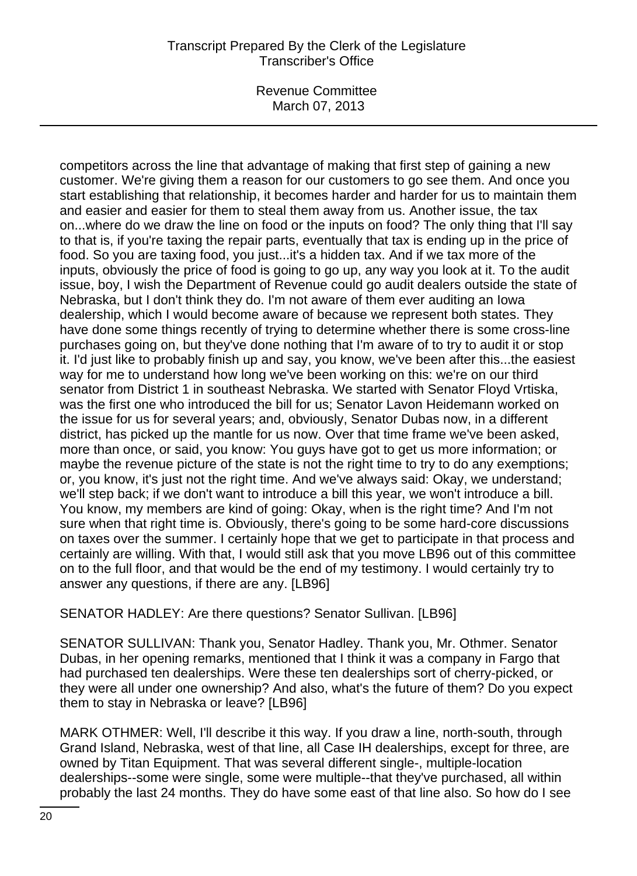Revenue Committee March 07, 2013

competitors across the line that advantage of making that first step of gaining a new customer. We're giving them a reason for our customers to go see them. And once you start establishing that relationship, it becomes harder and harder for us to maintain them and easier and easier for them to steal them away from us. Another issue, the tax on...where do we draw the line on food or the inputs on food? The only thing that I'll say to that is, if you're taxing the repair parts, eventually that tax is ending up in the price of food. So you are taxing food, you just...it's a hidden tax. And if we tax more of the inputs, obviously the price of food is going to go up, any way you look at it. To the audit issue, boy, I wish the Department of Revenue could go audit dealers outside the state of Nebraska, but I don't think they do. I'm not aware of them ever auditing an Iowa dealership, which I would become aware of because we represent both states. They have done some things recently of trying to determine whether there is some cross-line purchases going on, but they've done nothing that I'm aware of to try to audit it or stop it. I'd just like to probably finish up and say, you know, we've been after this...the easiest way for me to understand how long we've been working on this: we're on our third senator from District 1 in southeast Nebraska. We started with Senator Floyd Vrtiska, was the first one who introduced the bill for us; Senator Lavon Heidemann worked on the issue for us for several years; and, obviously, Senator Dubas now, in a different district, has picked up the mantle for us now. Over that time frame we've been asked, more than once, or said, you know: You guys have got to get us more information; or maybe the revenue picture of the state is not the right time to try to do any exemptions; or, you know, it's just not the right time. And we've always said: Okay, we understand; we'll step back; if we don't want to introduce a bill this year, we won't introduce a bill. You know, my members are kind of going: Okay, when is the right time? And I'm not sure when that right time is. Obviously, there's going to be some hard-core discussions on taxes over the summer. I certainly hope that we get to participate in that process and certainly are willing. With that, I would still ask that you move LB96 out of this committee on to the full floor, and that would be the end of my testimony. I would certainly try to answer any questions, if there are any. [LB96]

SENATOR HADLEY: Are there questions? Senator Sullivan. [LB96]

SENATOR SULLIVAN: Thank you, Senator Hadley. Thank you, Mr. Othmer. Senator Dubas, in her opening remarks, mentioned that I think it was a company in Fargo that had purchased ten dealerships. Were these ten dealerships sort of cherry-picked, or they were all under one ownership? And also, what's the future of them? Do you expect them to stay in Nebraska or leave? [LB96]

MARK OTHMER: Well, I'll describe it this way. If you draw a line, north-south, through Grand Island, Nebraska, west of that line, all Case IH dealerships, except for three, are owned by Titan Equipment. That was several different single-, multiple-location dealerships--some were single, some were multiple--that they've purchased, all within probably the last 24 months. They do have some east of that line also. So how do I see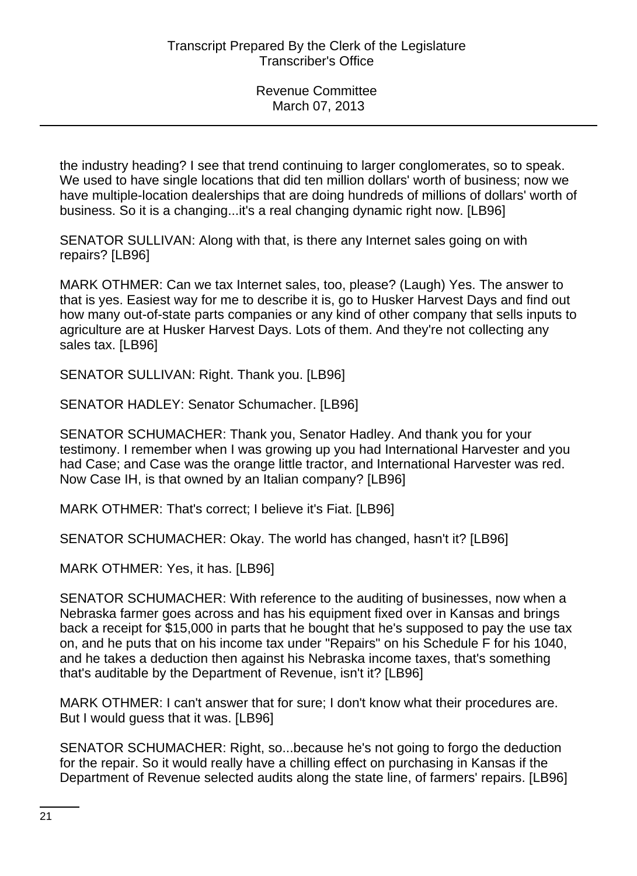the industry heading? I see that trend continuing to larger conglomerates, so to speak. We used to have single locations that did ten million dollars' worth of business; now we have multiple-location dealerships that are doing hundreds of millions of dollars' worth of business. So it is a changing...it's a real changing dynamic right now. [LB96]

SENATOR SULLIVAN: Along with that, is there any Internet sales going on with repairs? [LB96]

MARK OTHMER: Can we tax Internet sales, too, please? (Laugh) Yes. The answer to that is yes. Easiest way for me to describe it is, go to Husker Harvest Days and find out how many out-of-state parts companies or any kind of other company that sells inputs to agriculture are at Husker Harvest Days. Lots of them. And they're not collecting any sales tax. [LB96]

SENATOR SULLIVAN: Right. Thank you. [LB96]

SENATOR HADLEY: Senator Schumacher. [LB96]

SENATOR SCHUMACHER: Thank you, Senator Hadley. And thank you for your testimony. I remember when I was growing up you had International Harvester and you had Case; and Case was the orange little tractor, and International Harvester was red. Now Case IH, is that owned by an Italian company? [LB96]

MARK OTHMER: That's correct; I believe it's Fiat. [LB96]

SENATOR SCHUMACHER: Okay. The world has changed, hasn't it? [LB96]

MARK OTHMER: Yes, it has. [LB96]

SENATOR SCHUMACHER: With reference to the auditing of businesses, now when a Nebraska farmer goes across and has his equipment fixed over in Kansas and brings back a receipt for \$15,000 in parts that he bought that he's supposed to pay the use tax on, and he puts that on his income tax under "Repairs" on his Schedule F for his 1040, and he takes a deduction then against his Nebraska income taxes, that's something that's auditable by the Department of Revenue, isn't it? [LB96]

MARK OTHMER: I can't answer that for sure; I don't know what their procedures are. But I would guess that it was. [LB96]

SENATOR SCHUMACHER: Right, so...because he's not going to forgo the deduction for the repair. So it would really have a chilling effect on purchasing in Kansas if the Department of Revenue selected audits along the state line, of farmers' repairs. [LB96]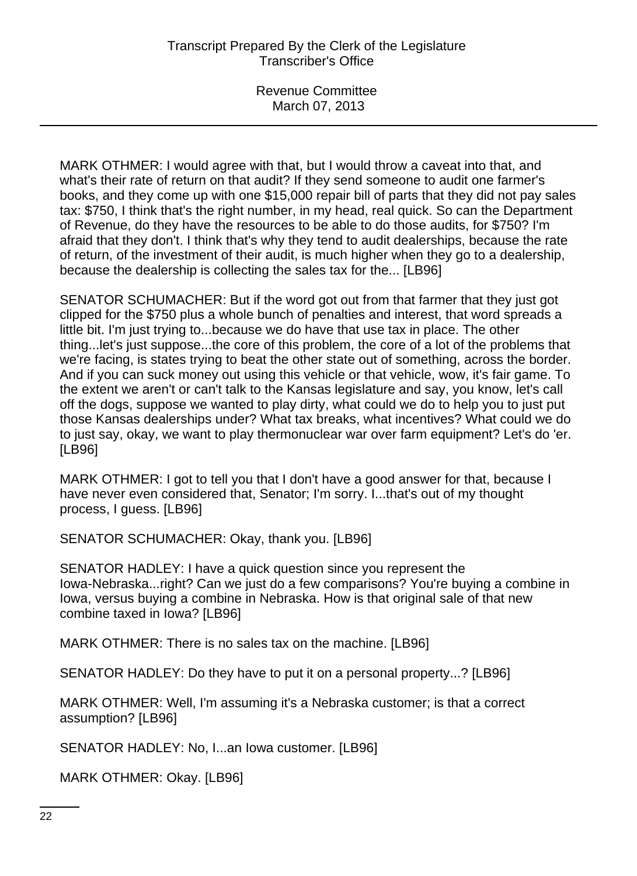MARK OTHMER: I would agree with that, but I would throw a caveat into that, and what's their rate of return on that audit? If they send someone to audit one farmer's books, and they come up with one \$15,000 repair bill of parts that they did not pay sales tax: \$750, I think that's the right number, in my head, real quick. So can the Department of Revenue, do they have the resources to be able to do those audits, for \$750? I'm afraid that they don't. I think that's why they tend to audit dealerships, because the rate of return, of the investment of their audit, is much higher when they go to a dealership, because the dealership is collecting the sales tax for the... [LB96]

SENATOR SCHUMACHER: But if the word got out from that farmer that they just got clipped for the \$750 plus a whole bunch of penalties and interest, that word spreads a little bit. I'm just trying to...because we do have that use tax in place. The other thing...let's just suppose...the core of this problem, the core of a lot of the problems that we're facing, is states trying to beat the other state out of something, across the border. And if you can suck money out using this vehicle or that vehicle, wow, it's fair game. To the extent we aren't or can't talk to the Kansas legislature and say, you know, let's call off the dogs, suppose we wanted to play dirty, what could we do to help you to just put those Kansas dealerships under? What tax breaks, what incentives? What could we do to just say, okay, we want to play thermonuclear war over farm equipment? Let's do 'er. [LB96]

MARK OTHMER: I got to tell you that I don't have a good answer for that, because I have never even considered that, Senator; I'm sorry. I...that's out of my thought process, I guess. [LB96]

SENATOR SCHUMACHER: Okay, thank you. [LB96]

SENATOR HADLEY: I have a quick question since you represent the Iowa-Nebraska...right? Can we just do a few comparisons? You're buying a combine in Iowa, versus buying a combine in Nebraska. How is that original sale of that new combine taxed in Iowa? [LB96]

MARK OTHMER: There is no sales tax on the machine. [LB96]

SENATOR HADLEY: Do they have to put it on a personal property...? [LB96]

MARK OTHMER: Well, I'm assuming it's a Nebraska customer; is that a correct assumption? [LB96]

SENATOR HADLEY: No, I...an Iowa customer. [LB96]

MARK OTHMER: Okay. [LB96]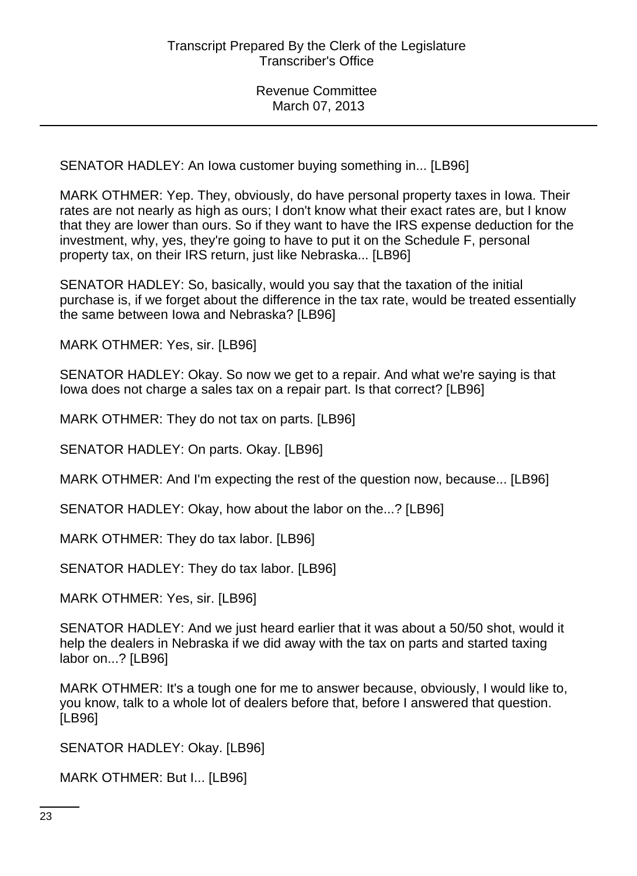SENATOR HADLEY: An Iowa customer buying something in... [LB96]

MARK OTHMER: Yep. They, obviously, do have personal property taxes in Iowa. Their rates are not nearly as high as ours; I don't know what their exact rates are, but I know that they are lower than ours. So if they want to have the IRS expense deduction for the investment, why, yes, they're going to have to put it on the Schedule F, personal property tax, on their IRS return, just like Nebraska... [LB96]

SENATOR HADLEY: So, basically, would you say that the taxation of the initial purchase is, if we forget about the difference in the tax rate, would be treated essentially the same between Iowa and Nebraska? [LB96]

MARK OTHMER: Yes, sir. [LB96]

SENATOR HADLEY: Okay. So now we get to a repair. And what we're saying is that Iowa does not charge a sales tax on a repair part. Is that correct? [LB96]

MARK OTHMER: They do not tax on parts. [LB96]

SENATOR HADLEY: On parts. Okay. [LB96]

MARK OTHMER: And I'm expecting the rest of the question now, because... [LB96]

SENATOR HADLEY: Okay, how about the labor on the...? [LB96]

MARK OTHMER: They do tax labor. [LB96]

SENATOR HADLEY: They do tax labor. [LB96]

MARK OTHMER: Yes, sir. [LB96]

SENATOR HADLEY: And we just heard earlier that it was about a 50/50 shot, would it help the dealers in Nebraska if we did away with the tax on parts and started taxing labor on...? [LB96]

MARK OTHMER: It's a tough one for me to answer because, obviously, I would like to, you know, talk to a whole lot of dealers before that, before I answered that question. [LB96]

SENATOR HADLEY: Okay. [LB96]

MARK OTHMER: But I... [LB96]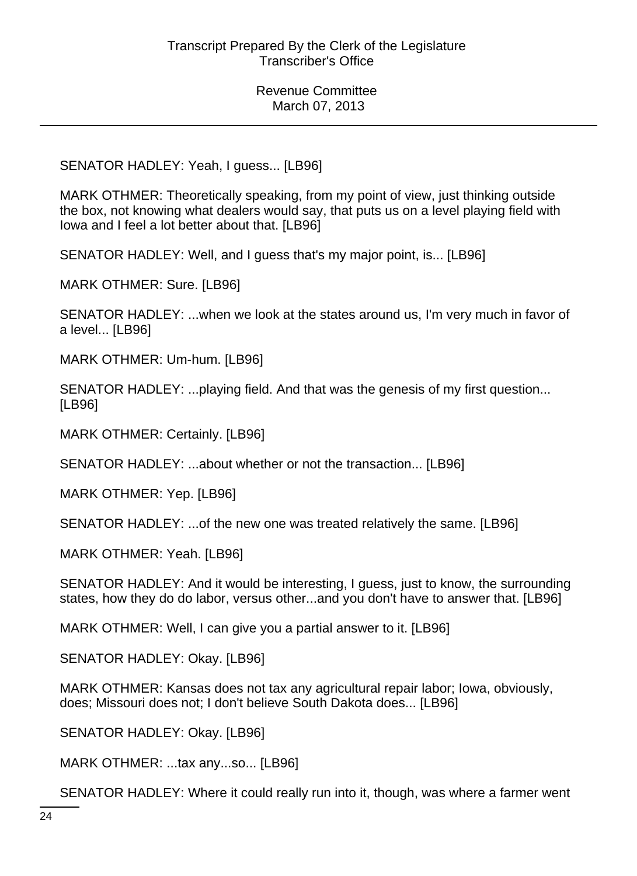SENATOR HADLEY: Yeah, I guess... [LB96]

MARK OTHMER: Theoretically speaking, from my point of view, just thinking outside the box, not knowing what dealers would say, that puts us on a level playing field with Iowa and I feel a lot better about that. [LB96]

SENATOR HADLEY: Well, and I guess that's my major point, is... [LB96]

MARK OTHMER: Sure. [LB96]

SENATOR HADLEY: ...when we look at the states around us, I'm very much in favor of a level... [LB96]

MARK OTHMER: Um-hum. [LB96]

SENATOR HADLEY: ...playing field. And that was the genesis of my first question... [LB96]

MARK OTHMER: Certainly. [LB96]

SENATOR HADLEY: ...about whether or not the transaction... [LB96]

MARK OTHMER: Yep. [LB96]

SENATOR HADLEY: ...of the new one was treated relatively the same. [LB96]

MARK OTHMER: Yeah. [LB96]

SENATOR HADLEY: And it would be interesting, I guess, just to know, the surrounding states, how they do do labor, versus other...and you don't have to answer that. [LB96]

MARK OTHMER: Well, I can give you a partial answer to it. [LB96]

SENATOR HADLEY: Okay. [LB96]

MARK OTHMER: Kansas does not tax any agricultural repair labor; Iowa, obviously, does; Missouri does not; I don't believe South Dakota does... [LB96]

SENATOR HADLEY: Okay. [LB96]

MARK OTHMER: ...tax any...so... [LB96]

SENATOR HADLEY: Where it could really run into it, though, was where a farmer went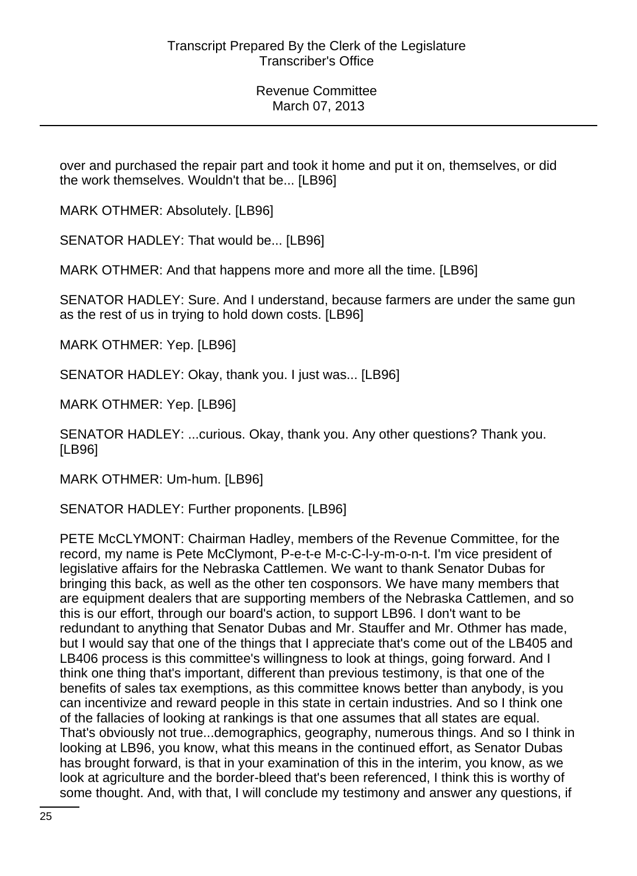over and purchased the repair part and took it home and put it on, themselves, or did the work themselves. Wouldn't that be... [LB96]

MARK OTHMER: Absolutely. [LB96]

SENATOR HADLEY: That would be... [LB96]

MARK OTHMER: And that happens more and more all the time. [LB96]

SENATOR HADLEY: Sure. And I understand, because farmers are under the same gun as the rest of us in trying to hold down costs. [LB96]

MARK OTHMER: Yep. [LB96]

SENATOR HADLEY: Okay, thank you. I just was... [LB96]

MARK OTHMER: Yep. [LB96]

SENATOR HADLEY: ...curious. Okay, thank you. Any other questions? Thank you. [LB96]

MARK OTHMER: Um-hum. [LB96]

SENATOR HADLEY: Further proponents. [LB96]

PETE McCLYMONT: Chairman Hadley, members of the Revenue Committee, for the record, my name is Pete McClymont, P-e-t-e M-c-C-l-y-m-o-n-t. I'm vice president of legislative affairs for the Nebraska Cattlemen. We want to thank Senator Dubas for bringing this back, as well as the other ten cosponsors. We have many members that are equipment dealers that are supporting members of the Nebraska Cattlemen, and so this is our effort, through our board's action, to support LB96. I don't want to be redundant to anything that Senator Dubas and Mr. Stauffer and Mr. Othmer has made, but I would say that one of the things that I appreciate that's come out of the LB405 and LB406 process is this committee's willingness to look at things, going forward. And I think one thing that's important, different than previous testimony, is that one of the benefits of sales tax exemptions, as this committee knows better than anybody, is you can incentivize and reward people in this state in certain industries. And so I think one of the fallacies of looking at rankings is that one assumes that all states are equal. That's obviously not true...demographics, geography, numerous things. And so I think in looking at LB96, you know, what this means in the continued effort, as Senator Dubas has brought forward, is that in your examination of this in the interim, you know, as we look at agriculture and the border-bleed that's been referenced, I think this is worthy of some thought. And, with that, I will conclude my testimony and answer any questions, if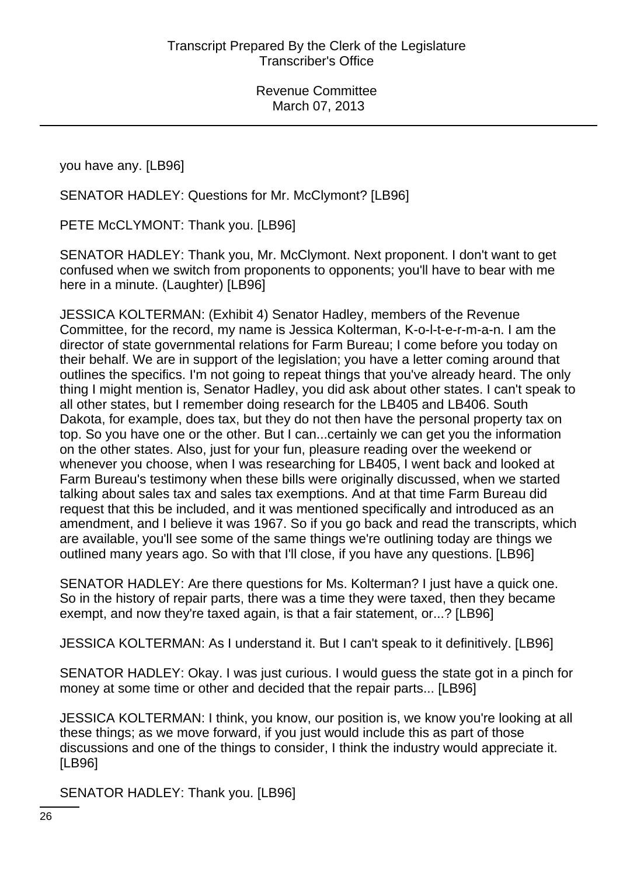you have any. [LB96]

SENATOR HADLEY: Questions for Mr. McClymont? [LB96]

PETE McCLYMONT: Thank you. [LB96]

SENATOR HADLEY: Thank you, Mr. McClymont. Next proponent. I don't want to get confused when we switch from proponents to opponents; you'll have to bear with me here in a minute. (Laughter) [LB96]

JESSICA KOLTERMAN: (Exhibit 4) Senator Hadley, members of the Revenue Committee, for the record, my name is Jessica Kolterman, K-o-l-t-e-r-m-a-n. I am the director of state governmental relations for Farm Bureau; I come before you today on their behalf. We are in support of the legislation; you have a letter coming around that outlines the specifics. I'm not going to repeat things that you've already heard. The only thing I might mention is, Senator Hadley, you did ask about other states. I can't speak to all other states, but I remember doing research for the LB405 and LB406. South Dakota, for example, does tax, but they do not then have the personal property tax on top. So you have one or the other. But I can...certainly we can get you the information on the other states. Also, just for your fun, pleasure reading over the weekend or whenever you choose, when I was researching for LB405, I went back and looked at Farm Bureau's testimony when these bills were originally discussed, when we started talking about sales tax and sales tax exemptions. And at that time Farm Bureau did request that this be included, and it was mentioned specifically and introduced as an amendment, and I believe it was 1967. So if you go back and read the transcripts, which are available, you'll see some of the same things we're outlining today are things we outlined many years ago. So with that I'll close, if you have any questions. [LB96]

SENATOR HADLEY: Are there questions for Ms. Kolterman? I just have a quick one. So in the history of repair parts, there was a time they were taxed, then they became exempt, and now they're taxed again, is that a fair statement, or...? [LB96]

JESSICA KOLTERMAN: As I understand it. But I can't speak to it definitively. [LB96]

SENATOR HADLEY: Okay. I was just curious. I would guess the state got in a pinch for money at some time or other and decided that the repair parts... [LB96]

JESSICA KOLTERMAN: I think, you know, our position is, we know you're looking at all these things; as we move forward, if you just would include this as part of those discussions and one of the things to consider, I think the industry would appreciate it. [LB96]

SENATOR HADLEY: Thank you. [LB96]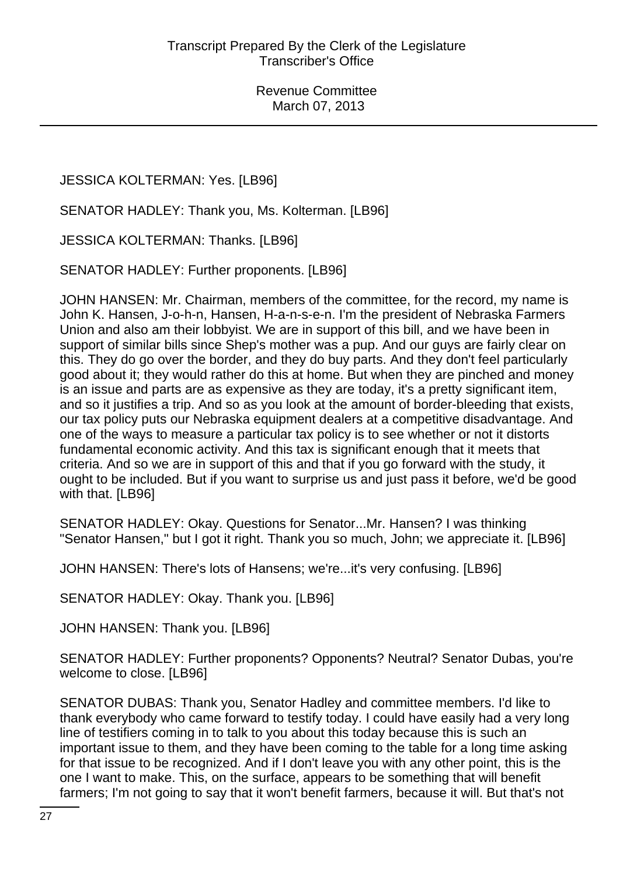# JESSICA KOLTERMAN: Yes. [LB96]

SENATOR HADLEY: Thank you, Ms. Kolterman. [LB96]

JESSICA KOLTERMAN: Thanks. [LB96]

SENATOR HADLEY: Further proponents. [LB96]

JOHN HANSEN: Mr. Chairman, members of the committee, for the record, my name is John K. Hansen, J-o-h-n, Hansen, H-a-n-s-e-n. I'm the president of Nebraska Farmers Union and also am their lobbyist. We are in support of this bill, and we have been in support of similar bills since Shep's mother was a pup. And our guys are fairly clear on this. They do go over the border, and they do buy parts. And they don't feel particularly good about it; they would rather do this at home. But when they are pinched and money is an issue and parts are as expensive as they are today, it's a pretty significant item, and so it justifies a trip. And so as you look at the amount of border-bleeding that exists, our tax policy puts our Nebraska equipment dealers at a competitive disadvantage. And one of the ways to measure a particular tax policy is to see whether or not it distorts fundamental economic activity. And this tax is significant enough that it meets that criteria. And so we are in support of this and that if you go forward with the study, it ought to be included. But if you want to surprise us and just pass it before, we'd be good with that. [LB96]

SENATOR HADLEY: Okay. Questions for Senator...Mr. Hansen? I was thinking "Senator Hansen," but I got it right. Thank you so much, John; we appreciate it. [LB96]

JOHN HANSEN: There's lots of Hansens; we're...it's very confusing. [LB96]

SENATOR HADLEY: Okay. Thank you. [LB96]

JOHN HANSEN: Thank you. [LB96]

SENATOR HADLEY: Further proponents? Opponents? Neutral? Senator Dubas, you're welcome to close. [LB96]

SENATOR DUBAS: Thank you, Senator Hadley and committee members. I'd like to thank everybody who came forward to testify today. I could have easily had a very long line of testifiers coming in to talk to you about this today because this is such an important issue to them, and they have been coming to the table for a long time asking for that issue to be recognized. And if I don't leave you with any other point, this is the one I want to make. This, on the surface, appears to be something that will benefit farmers; I'm not going to say that it won't benefit farmers, because it will. But that's not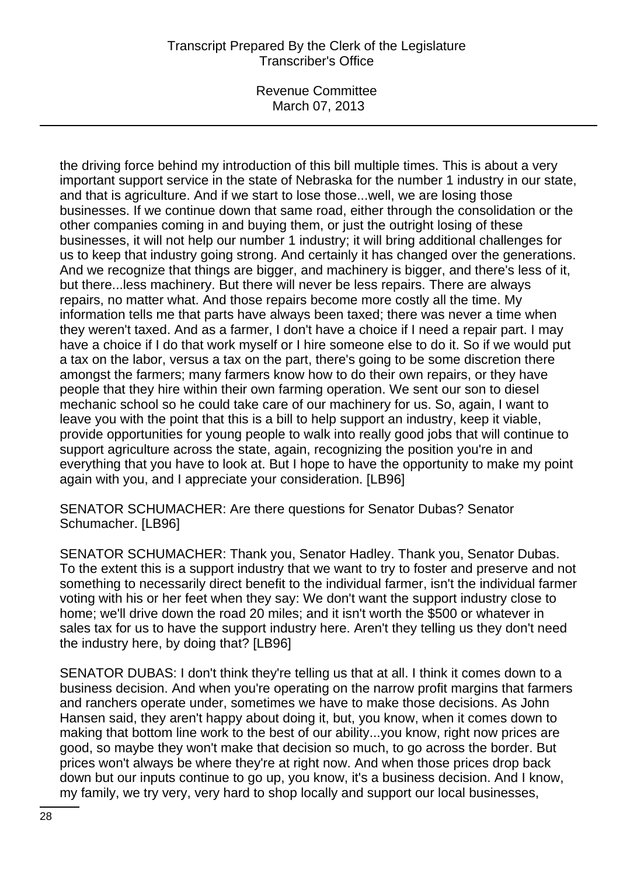Revenue Committee March 07, 2013

the driving force behind my introduction of this bill multiple times. This is about a very important support service in the state of Nebraska for the number 1 industry in our state, and that is agriculture. And if we start to lose those...well, we are losing those businesses. If we continue down that same road, either through the consolidation or the other companies coming in and buying them, or just the outright losing of these businesses, it will not help our number 1 industry; it will bring additional challenges for us to keep that industry going strong. And certainly it has changed over the generations. And we recognize that things are bigger, and machinery is bigger, and there's less of it, but there...less machinery. But there will never be less repairs. There are always repairs, no matter what. And those repairs become more costly all the time. My information tells me that parts have always been taxed; there was never a time when they weren't taxed. And as a farmer, I don't have a choice if I need a repair part. I may have a choice if I do that work myself or I hire someone else to do it. So if we would put a tax on the labor, versus a tax on the part, there's going to be some discretion there amongst the farmers; many farmers know how to do their own repairs, or they have people that they hire within their own farming operation. We sent our son to diesel mechanic school so he could take care of our machinery for us. So, again, I want to leave you with the point that this is a bill to help support an industry, keep it viable, provide opportunities for young people to walk into really good jobs that will continue to support agriculture across the state, again, recognizing the position you're in and everything that you have to look at. But I hope to have the opportunity to make my point again with you, and I appreciate your consideration. [LB96]

SENATOR SCHUMACHER: Are there questions for Senator Dubas? Senator Schumacher. [LB96]

SENATOR SCHUMACHER: Thank you, Senator Hadley. Thank you, Senator Dubas. To the extent this is a support industry that we want to try to foster and preserve and not something to necessarily direct benefit to the individual farmer, isn't the individual farmer voting with his or her feet when they say: We don't want the support industry close to home; we'll drive down the road 20 miles; and it isn't worth the \$500 or whatever in sales tax for us to have the support industry here. Aren't they telling us they don't need the industry here, by doing that? [LB96]

SENATOR DUBAS: I don't think they're telling us that at all. I think it comes down to a business decision. And when you're operating on the narrow profit margins that farmers and ranchers operate under, sometimes we have to make those decisions. As John Hansen said, they aren't happy about doing it, but, you know, when it comes down to making that bottom line work to the best of our ability...you know, right now prices are good, so maybe they won't make that decision so much, to go across the border. But prices won't always be where they're at right now. And when those prices drop back down but our inputs continue to go up, you know, it's a business decision. And I know, my family, we try very, very hard to shop locally and support our local businesses,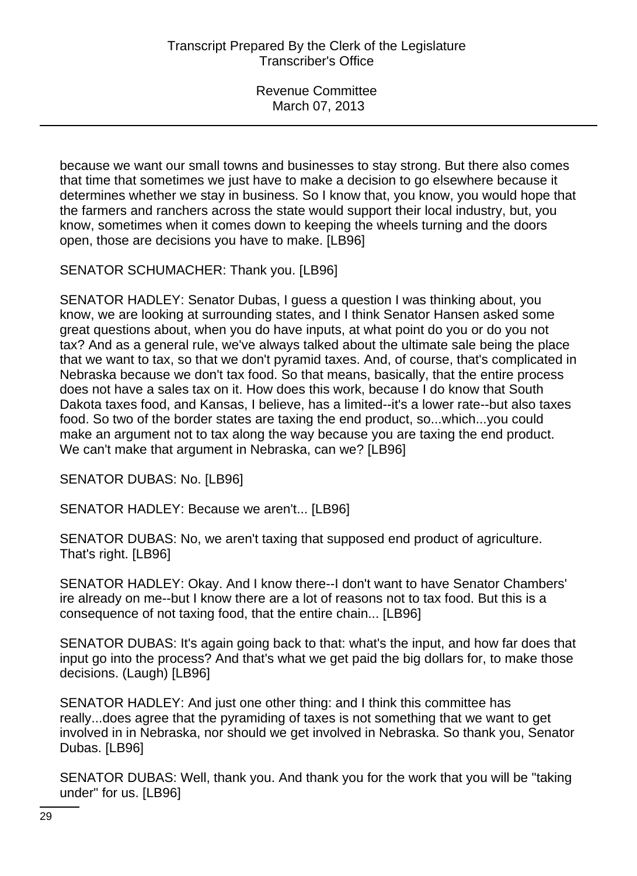because we want our small towns and businesses to stay strong. But there also comes that time that sometimes we just have to make a decision to go elsewhere because it determines whether we stay in business. So I know that, you know, you would hope that the farmers and ranchers across the state would support their local industry, but, you know, sometimes when it comes down to keeping the wheels turning and the doors open, those are decisions you have to make. [LB96]

SENATOR SCHUMACHER: Thank you. [LB96]

SENATOR HADLEY: Senator Dubas, I guess a question I was thinking about, you know, we are looking at surrounding states, and I think Senator Hansen asked some great questions about, when you do have inputs, at what point do you or do you not tax? And as a general rule, we've always talked about the ultimate sale being the place that we want to tax, so that we don't pyramid taxes. And, of course, that's complicated in Nebraska because we don't tax food. So that means, basically, that the entire process does not have a sales tax on it. How does this work, because I do know that South Dakota taxes food, and Kansas, I believe, has a limited--it's a lower rate--but also taxes food. So two of the border states are taxing the end product, so...which...you could make an argument not to tax along the way because you are taxing the end product. We can't make that argument in Nebraska, can we? [LB96]

SENATOR DUBAS: No. [LB96]

SENATOR HADLEY: Because we aren't... [LB96]

SENATOR DUBAS: No, we aren't taxing that supposed end product of agriculture. That's right. [LB96]

SENATOR HADLEY: Okay. And I know there--I don't want to have Senator Chambers' ire already on me--but I know there are a lot of reasons not to tax food. But this is a consequence of not taxing food, that the entire chain... [LB96]

SENATOR DUBAS: It's again going back to that: what's the input, and how far does that input go into the process? And that's what we get paid the big dollars for, to make those decisions. (Laugh) [LB96]

SENATOR HADLEY: And just one other thing: and I think this committee has really...does agree that the pyramiding of taxes is not something that we want to get involved in in Nebraska, nor should we get involved in Nebraska. So thank you, Senator Dubas. [LB96]

SENATOR DUBAS: Well, thank you. And thank you for the work that you will be "taking under" for us. [LB96]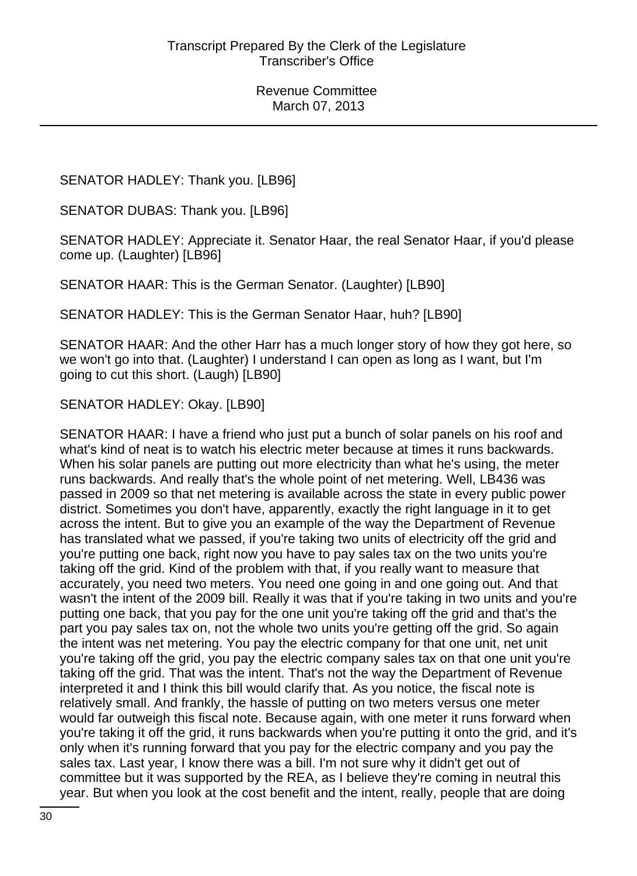SENATOR HADLEY: Thank you. [LB96]

SENATOR DUBAS: Thank you. [LB96]

SENATOR HADLEY: Appreciate it. Senator Haar, the real Senator Haar, if you'd please come up. (Laughter) [LB96]

SENATOR HAAR: This is the German Senator. (Laughter) [LB90]

SENATOR HADLEY: This is the German Senator Haar, huh? [LB90]

SENATOR HAAR: And the other Harr has a much longer story of how they got here, so we won't go into that. (Laughter) I understand I can open as long as I want, but I'm going to cut this short. (Laugh) [LB90]

SENATOR HADLEY: Okay. [LB90]

SENATOR HAAR: I have a friend who just put a bunch of solar panels on his roof and what's kind of neat is to watch his electric meter because at times it runs backwards. When his solar panels are putting out more electricity than what he's using, the meter runs backwards. And really that's the whole point of net metering. Well, LB436 was passed in 2009 so that net metering is available across the state in every public power district. Sometimes you don't have, apparently, exactly the right language in it to get across the intent. But to give you an example of the way the Department of Revenue has translated what we passed, if you're taking two units of electricity off the grid and you're putting one back, right now you have to pay sales tax on the two units you're taking off the grid. Kind of the problem with that, if you really want to measure that accurately, you need two meters. You need one going in and one going out. And that wasn't the intent of the 2009 bill. Really it was that if you're taking in two units and you're putting one back, that you pay for the one unit you're taking off the grid and that's the part you pay sales tax on, not the whole two units you're getting off the grid. So again the intent was net metering. You pay the electric company for that one unit, net unit you're taking off the grid, you pay the electric company sales tax on that one unit you're taking off the grid. That was the intent. That's not the way the Department of Revenue interpreted it and I think this bill would clarify that. As you notice, the fiscal note is relatively small. And frankly, the hassle of putting on two meters versus one meter would far outweigh this fiscal note. Because again, with one meter it runs forward when you're taking it off the grid, it runs backwards when you're putting it onto the grid, and it's only when it's running forward that you pay for the electric company and you pay the sales tax. Last year, I know there was a bill. I'm not sure why it didn't get out of committee but it was supported by the REA, as I believe they're coming in neutral this year. But when you look at the cost benefit and the intent, really, people that are doing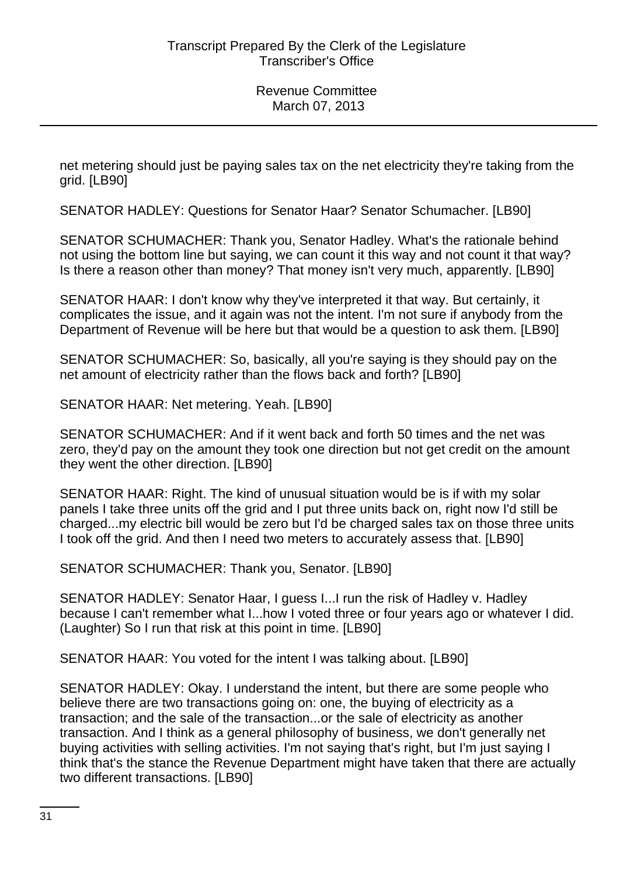net metering should just be paying sales tax on the net electricity they're taking from the grid. [LB90]

SENATOR HADLEY: Questions for Senator Haar? Senator Schumacher. [LB90]

SENATOR SCHUMACHER: Thank you, Senator Hadley. What's the rationale behind not using the bottom line but saying, we can count it this way and not count it that way? Is there a reason other than money? That money isn't very much, apparently. [LB90]

SENATOR HAAR: I don't know why they've interpreted it that way. But certainly, it complicates the issue, and it again was not the intent. I'm not sure if anybody from the Department of Revenue will be here but that would be a question to ask them. [LB90]

SENATOR SCHUMACHER: So, basically, all you're saying is they should pay on the net amount of electricity rather than the flows back and forth? [LB90]

SENATOR HAAR: Net metering. Yeah. [LB90]

SENATOR SCHUMACHER: And if it went back and forth 50 times and the net was zero, they'd pay on the amount they took one direction but not get credit on the amount they went the other direction. [LB90]

SENATOR HAAR: Right. The kind of unusual situation would be is if with my solar panels I take three units off the grid and I put three units back on, right now I'd still be charged...my electric bill would be zero but I'd be charged sales tax on those three units I took off the grid. And then I need two meters to accurately assess that. [LB90]

SENATOR SCHUMACHER: Thank you, Senator. [LB90]

SENATOR HADLEY: Senator Haar, I guess I...I run the risk of Hadley v. Hadley because I can't remember what I...how I voted three or four years ago or whatever I did. (Laughter) So I run that risk at this point in time. [LB90]

SENATOR HAAR: You voted for the intent I was talking about. [LB90]

SENATOR HADLEY: Okay. I understand the intent, but there are some people who believe there are two transactions going on: one, the buying of electricity as a transaction; and the sale of the transaction...or the sale of electricity as another transaction. And I think as a general philosophy of business, we don't generally net buying activities with selling activities. I'm not saying that's right, but I'm just saying I think that's the stance the Revenue Department might have taken that there are actually two different transactions. [LB90]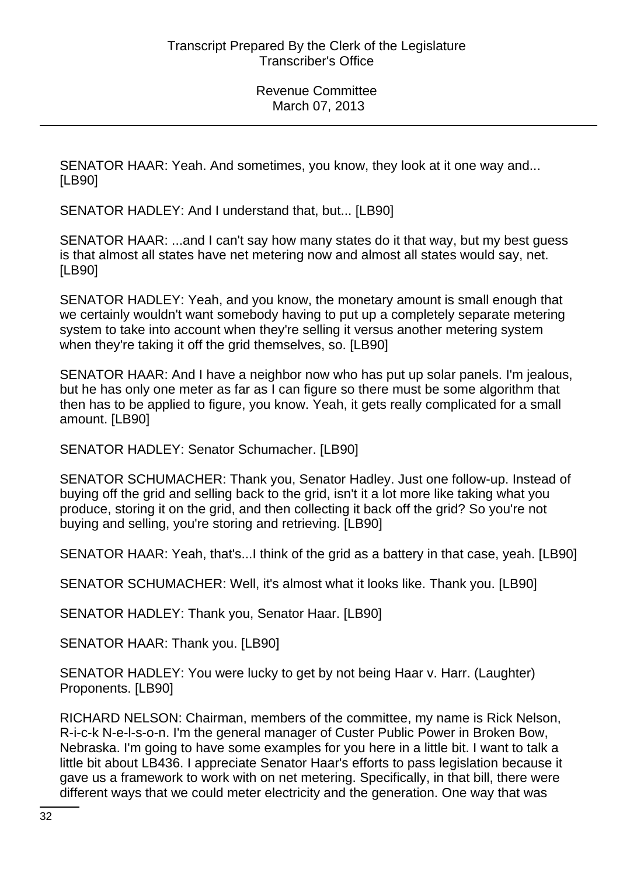SENATOR HAAR: Yeah. And sometimes, you know, they look at it one way and... [LB90]

SENATOR HADLEY: And I understand that, but... [LB90]

SENATOR HAAR: ...and I can't say how many states do it that way, but my best guess is that almost all states have net metering now and almost all states would say, net. [LB90]

SENATOR HADLEY: Yeah, and you know, the monetary amount is small enough that we certainly wouldn't want somebody having to put up a completely separate metering system to take into account when they're selling it versus another metering system when they're taking it off the grid themselves, so. [LB90]

SENATOR HAAR: And I have a neighbor now who has put up solar panels. I'm jealous, but he has only one meter as far as I can figure so there must be some algorithm that then has to be applied to figure, you know. Yeah, it gets really complicated for a small amount. [LB90]

SENATOR HADLEY: Senator Schumacher. [LB90]

SENATOR SCHUMACHER: Thank you, Senator Hadley. Just one follow-up. Instead of buying off the grid and selling back to the grid, isn't it a lot more like taking what you produce, storing it on the grid, and then collecting it back off the grid? So you're not buying and selling, you're storing and retrieving. [LB90]

SENATOR HAAR: Yeah, that's...I think of the grid as a battery in that case, yeah. [LB90]

SENATOR SCHUMACHER: Well, it's almost what it looks like. Thank you. [LB90]

SENATOR HADLEY: Thank you, Senator Haar. [LB90]

SENATOR HAAR: Thank you. [LB90]

SENATOR HADLEY: You were lucky to get by not being Haar v. Harr. (Laughter) Proponents. [LB90]

RICHARD NELSON: Chairman, members of the committee, my name is Rick Nelson, R-i-c-k N-e-l-s-o-n. I'm the general manager of Custer Public Power in Broken Bow, Nebraska. I'm going to have some examples for you here in a little bit. I want to talk a little bit about LB436. I appreciate Senator Haar's efforts to pass legislation because it gave us a framework to work with on net metering. Specifically, in that bill, there were different ways that we could meter electricity and the generation. One way that was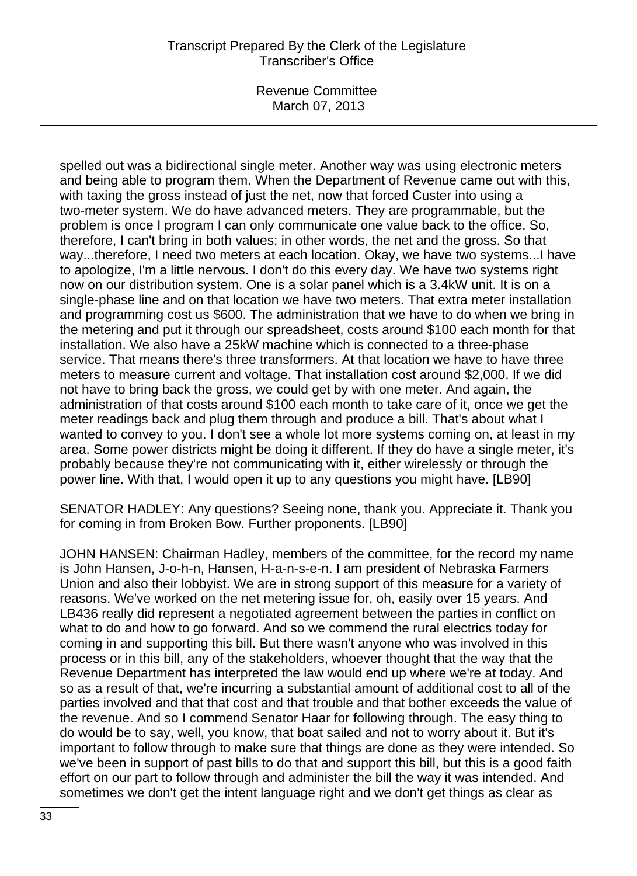Revenue Committee March 07, 2013

spelled out was a bidirectional single meter. Another way was using electronic meters and being able to program them. When the Department of Revenue came out with this, with taxing the gross instead of just the net, now that forced Custer into using a two-meter system. We do have advanced meters. They are programmable, but the problem is once I program I can only communicate one value back to the office. So, therefore, I can't bring in both values; in other words, the net and the gross. So that way...therefore, I need two meters at each location. Okay, we have two systems...I have to apologize, I'm a little nervous. I don't do this every day. We have two systems right now on our distribution system. One is a solar panel which is a 3.4kW unit. It is on a single-phase line and on that location we have two meters. That extra meter installation and programming cost us \$600. The administration that we have to do when we bring in the metering and put it through our spreadsheet, costs around \$100 each month for that installation. We also have a 25kW machine which is connected to a three-phase service. That means there's three transformers. At that location we have to have three meters to measure current and voltage. That installation cost around \$2,000. If we did not have to bring back the gross, we could get by with one meter. And again, the administration of that costs around \$100 each month to take care of it, once we get the meter readings back and plug them through and produce a bill. That's about what I wanted to convey to you. I don't see a whole lot more systems coming on, at least in my area. Some power districts might be doing it different. If they do have a single meter, it's probably because they're not communicating with it, either wirelessly or through the power line. With that, I would open it up to any questions you might have. [LB90]

SENATOR HADLEY: Any questions? Seeing none, thank you. Appreciate it. Thank you for coming in from Broken Bow. Further proponents. [LB90]

JOHN HANSEN: Chairman Hadley, members of the committee, for the record my name is John Hansen, J-o-h-n, Hansen, H-a-n-s-e-n. I am president of Nebraska Farmers Union and also their lobbyist. We are in strong support of this measure for a variety of reasons. We've worked on the net metering issue for, oh, easily over 15 years. And LB436 really did represent a negotiated agreement between the parties in conflict on what to do and how to go forward. And so we commend the rural electrics today for coming in and supporting this bill. But there wasn't anyone who was involved in this process or in this bill, any of the stakeholders, whoever thought that the way that the Revenue Department has interpreted the law would end up where we're at today. And so as a result of that, we're incurring a substantial amount of additional cost to all of the parties involved and that that cost and that trouble and that bother exceeds the value of the revenue. And so I commend Senator Haar for following through. The easy thing to do would be to say, well, you know, that boat sailed and not to worry about it. But it's important to follow through to make sure that things are done as they were intended. So we've been in support of past bills to do that and support this bill, but this is a good faith effort on our part to follow through and administer the bill the way it was intended. And sometimes we don't get the intent language right and we don't get things as clear as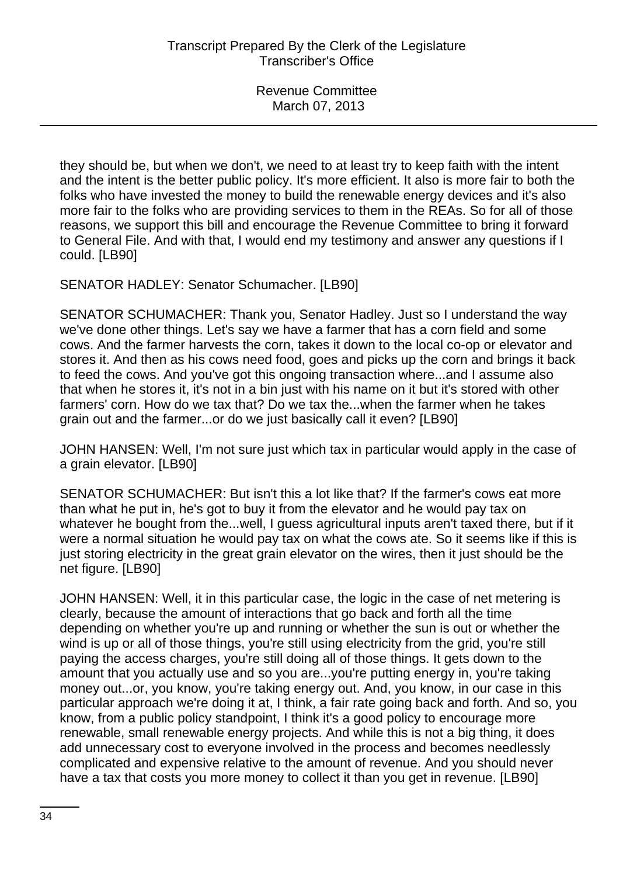they should be, but when we don't, we need to at least try to keep faith with the intent and the intent is the better public policy. It's more efficient. It also is more fair to both the folks who have invested the money to build the renewable energy devices and it's also more fair to the folks who are providing services to them in the REAs. So for all of those reasons, we support this bill and encourage the Revenue Committee to bring it forward to General File. And with that, I would end my testimony and answer any questions if I could. [LB90]

SENATOR HADLEY: Senator Schumacher. [LB90]

SENATOR SCHUMACHER: Thank you, Senator Hadley. Just so I understand the way we've done other things. Let's say we have a farmer that has a corn field and some cows. And the farmer harvests the corn, takes it down to the local co-op or elevator and stores it. And then as his cows need food, goes and picks up the corn and brings it back to feed the cows. And you've got this ongoing transaction where...and I assume also that when he stores it, it's not in a bin just with his name on it but it's stored with other farmers' corn. How do we tax that? Do we tax the...when the farmer when he takes grain out and the farmer...or do we just basically call it even? [LB90]

JOHN HANSEN: Well, I'm not sure just which tax in particular would apply in the case of a grain elevator. [LB90]

SENATOR SCHUMACHER: But isn't this a lot like that? If the farmer's cows eat more than what he put in, he's got to buy it from the elevator and he would pay tax on whatever he bought from the...well, I guess agricultural inputs aren't taxed there, but if it were a normal situation he would pay tax on what the cows ate. So it seems like if this is just storing electricity in the great grain elevator on the wires, then it just should be the net figure. [LB90]

JOHN HANSEN: Well, it in this particular case, the logic in the case of net metering is clearly, because the amount of interactions that go back and forth all the time depending on whether you're up and running or whether the sun is out or whether the wind is up or all of those things, you're still using electricity from the grid, you're still paying the access charges, you're still doing all of those things. It gets down to the amount that you actually use and so you are...you're putting energy in, you're taking money out...or, you know, you're taking energy out. And, you know, in our case in this particular approach we're doing it at, I think, a fair rate going back and forth. And so, you know, from a public policy standpoint, I think it's a good policy to encourage more renewable, small renewable energy projects. And while this is not a big thing, it does add unnecessary cost to everyone involved in the process and becomes needlessly complicated and expensive relative to the amount of revenue. And you should never have a tax that costs you more money to collect it than you get in revenue. [LB90]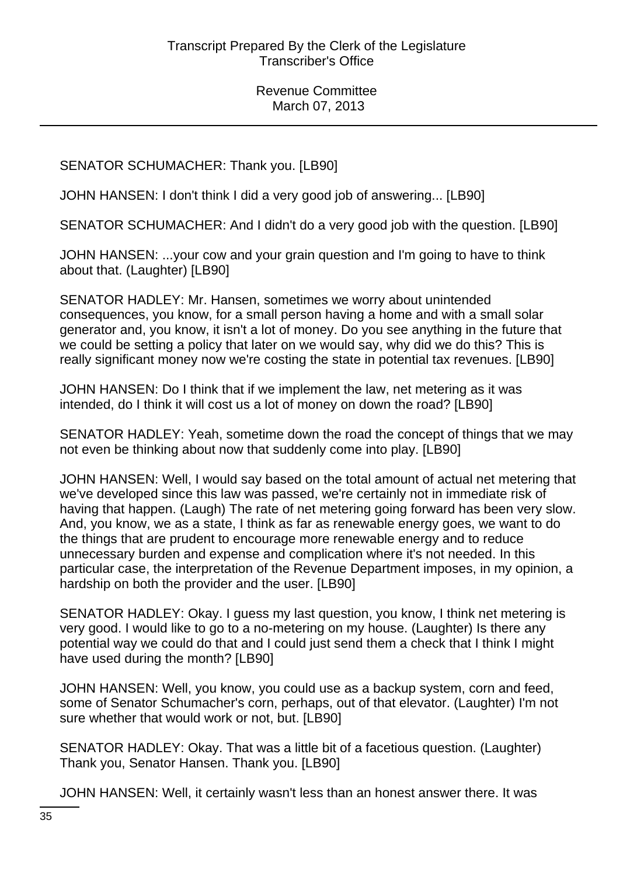# SENATOR SCHUMACHER: Thank you. [LB90]

JOHN HANSEN: I don't think I did a very good job of answering... [LB90]

SENATOR SCHUMACHER: And I didn't do a very good job with the question. [LB90]

JOHN HANSEN: ...your cow and your grain question and I'm going to have to think about that. (Laughter) [LB90]

SENATOR HADLEY: Mr. Hansen, sometimes we worry about unintended consequences, you know, for a small person having a home and with a small solar generator and, you know, it isn't a lot of money. Do you see anything in the future that we could be setting a policy that later on we would say, why did we do this? This is really significant money now we're costing the state in potential tax revenues. [LB90]

JOHN HANSEN: Do I think that if we implement the law, net metering as it was intended, do I think it will cost us a lot of money on down the road? [LB90]

SENATOR HADLEY: Yeah, sometime down the road the concept of things that we may not even be thinking about now that suddenly come into play. [LB90]

JOHN HANSEN: Well, I would say based on the total amount of actual net metering that we've developed since this law was passed, we're certainly not in immediate risk of having that happen. (Laugh) The rate of net metering going forward has been very slow. And, you know, we as a state, I think as far as renewable energy goes, we want to do the things that are prudent to encourage more renewable energy and to reduce unnecessary burden and expense and complication where it's not needed. In this particular case, the interpretation of the Revenue Department imposes, in my opinion, a hardship on both the provider and the user. [LB90]

SENATOR HADLEY: Okay. I guess my last question, you know, I think net metering is very good. I would like to go to a no-metering on my house. (Laughter) Is there any potential way we could do that and I could just send them a check that I think I might have used during the month? [LB90]

JOHN HANSEN: Well, you know, you could use as a backup system, corn and feed, some of Senator Schumacher's corn, perhaps, out of that elevator. (Laughter) I'm not sure whether that would work or not, but. [LB90]

SENATOR HADLEY: Okay. That was a little bit of a facetious question. (Laughter) Thank you, Senator Hansen. Thank you. [LB90]

JOHN HANSEN: Well, it certainly wasn't less than an honest answer there. It was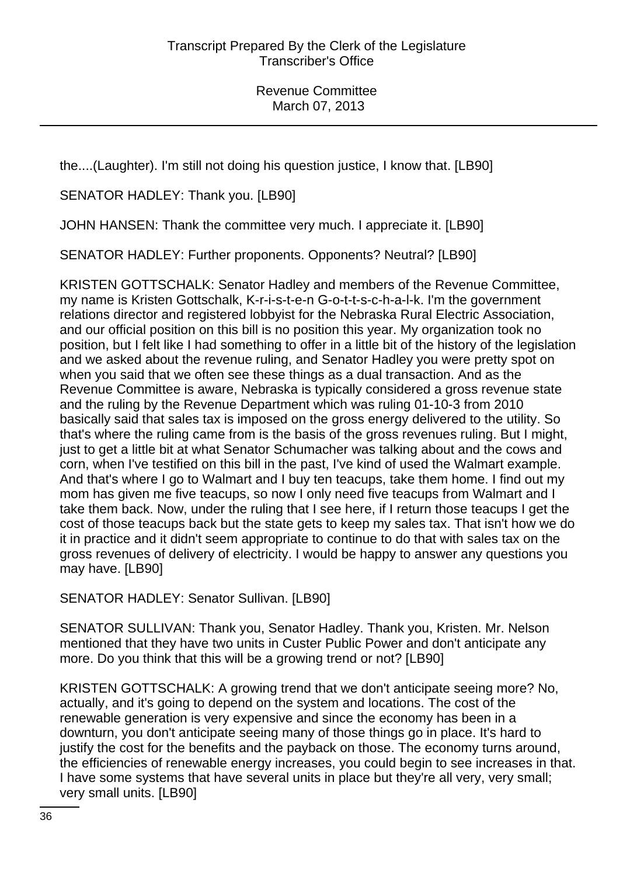the....(Laughter). I'm still not doing his question justice, I know that. [LB90]

SENATOR HADLEY: Thank you. [LB90]

JOHN HANSEN: Thank the committee very much. I appreciate it. [LB90]

SENATOR HADLEY: Further proponents. Opponents? Neutral? [LB90]

KRISTEN GOTTSCHALK: Senator Hadley and members of the Revenue Committee, my name is Kristen Gottschalk, K-r-i-s-t-e-n G-o-t-t-s-c-h-a-l-k. I'm the government relations director and registered lobbyist for the Nebraska Rural Electric Association, and our official position on this bill is no position this year. My organization took no position, but I felt like I had something to offer in a little bit of the history of the legislation and we asked about the revenue ruling, and Senator Hadley you were pretty spot on when you said that we often see these things as a dual transaction. And as the Revenue Committee is aware, Nebraska is typically considered a gross revenue state and the ruling by the Revenue Department which was ruling 01-10-3 from 2010 basically said that sales tax is imposed on the gross energy delivered to the utility. So that's where the ruling came from is the basis of the gross revenues ruling. But I might, just to get a little bit at what Senator Schumacher was talking about and the cows and corn, when I've testified on this bill in the past, I've kind of used the Walmart example. And that's where I go to Walmart and I buy ten teacups, take them home. I find out my mom has given me five teacups, so now I only need five teacups from Walmart and I take them back. Now, under the ruling that I see here, if I return those teacups I get the cost of those teacups back but the state gets to keep my sales tax. That isn't how we do it in practice and it didn't seem appropriate to continue to do that with sales tax on the gross revenues of delivery of electricity. I would be happy to answer any questions you may have. [LB90]

SENATOR HADLEY: Senator Sullivan. [LB90]

SENATOR SULLIVAN: Thank you, Senator Hadley. Thank you, Kristen. Mr. Nelson mentioned that they have two units in Custer Public Power and don't anticipate any more. Do you think that this will be a growing trend or not? [LB90]

KRISTEN GOTTSCHALK: A growing trend that we don't anticipate seeing more? No, actually, and it's going to depend on the system and locations. The cost of the renewable generation is very expensive and since the economy has been in a downturn, you don't anticipate seeing many of those things go in place. It's hard to justify the cost for the benefits and the payback on those. The economy turns around, the efficiencies of renewable energy increases, you could begin to see increases in that. I have some systems that have several units in place but they're all very, very small; very small units. [LB90]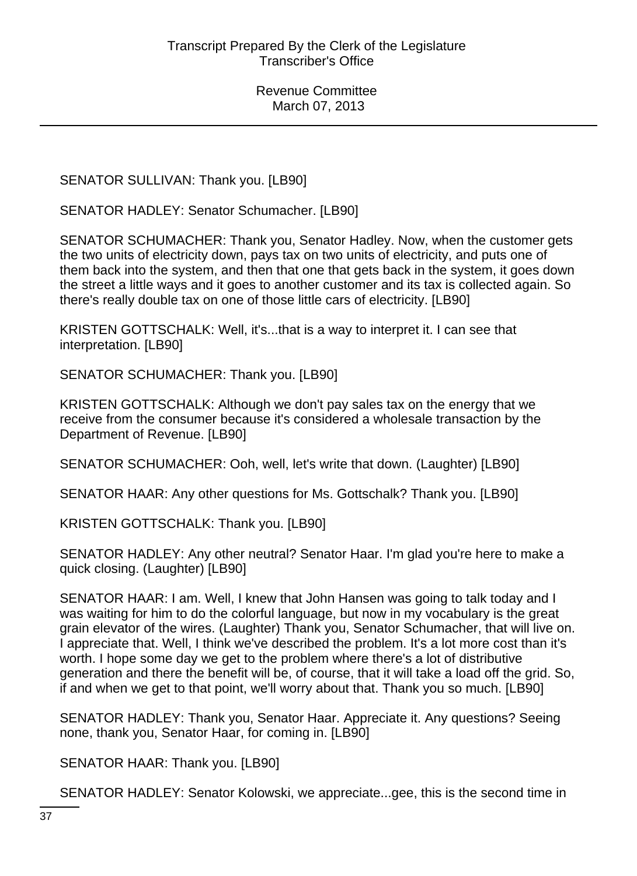SENATOR SULLIVAN: Thank you. [LB90]

SENATOR HADLEY: Senator Schumacher. [LB90]

SENATOR SCHUMACHER: Thank you, Senator Hadley. Now, when the customer gets the two units of electricity down, pays tax on two units of electricity, and puts one of them back into the system, and then that one that gets back in the system, it goes down the street a little ways and it goes to another customer and its tax is collected again. So there's really double tax on one of those little cars of electricity. [LB90]

KRISTEN GOTTSCHALK: Well, it's...that is a way to interpret it. I can see that interpretation. [LB90]

SENATOR SCHUMACHER: Thank you. [LB90]

KRISTEN GOTTSCHALK: Although we don't pay sales tax on the energy that we receive from the consumer because it's considered a wholesale transaction by the Department of Revenue. [LB90]

SENATOR SCHUMACHER: Ooh, well, let's write that down. (Laughter) [LB90]

SENATOR HAAR: Any other questions for Ms. Gottschalk? Thank you. [LB90]

KRISTEN GOTTSCHALK: Thank you. [LB90]

SENATOR HADLEY: Any other neutral? Senator Haar. I'm glad you're here to make a quick closing. (Laughter) [LB90]

SENATOR HAAR: I am. Well, I knew that John Hansen was going to talk today and I was waiting for him to do the colorful language, but now in my vocabulary is the great grain elevator of the wires. (Laughter) Thank you, Senator Schumacher, that will live on. I appreciate that. Well, I think we've described the problem. It's a lot more cost than it's worth. I hope some day we get to the problem where there's a lot of distributive generation and there the benefit will be, of course, that it will take a load off the grid. So, if and when we get to that point, we'll worry about that. Thank you so much. [LB90]

SENATOR HADLEY: Thank you, Senator Haar. Appreciate it. Any questions? Seeing none, thank you, Senator Haar, for coming in. [LB90]

SENATOR HAAR: Thank you. [LB90]

SENATOR HADLEY: Senator Kolowski, we appreciate...gee, this is the second time in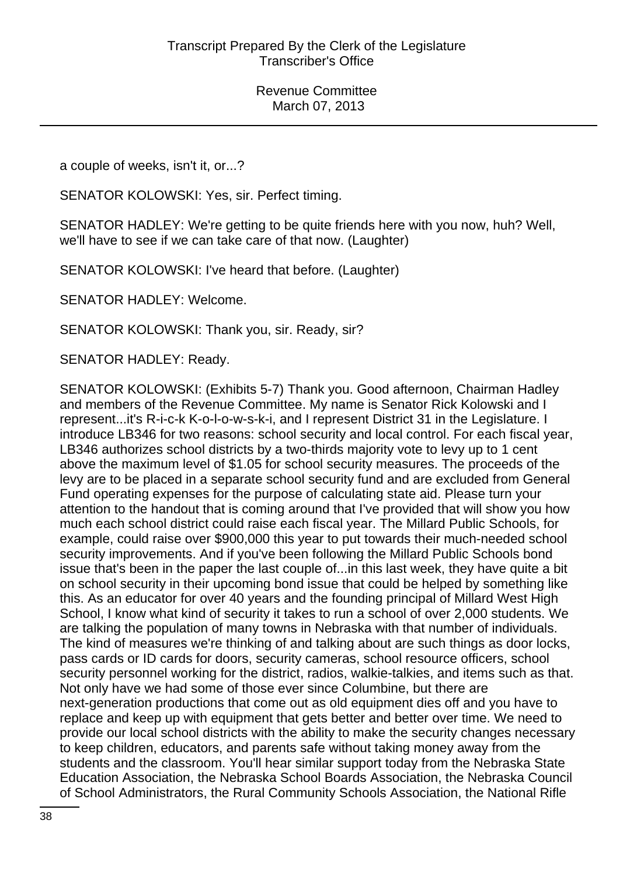a couple of weeks, isn't it, or...?

SENATOR KOLOWSKI: Yes, sir. Perfect timing.

SENATOR HADLEY: We're getting to be quite friends here with you now, huh? Well, we'll have to see if we can take care of that now. (Laughter)

SENATOR KOLOWSKI: I've heard that before. (Laughter)

SENATOR HADLEY: Welcome.

SENATOR KOLOWSKI: Thank you, sir. Ready, sir?

SENATOR HADLEY: Ready.

SENATOR KOLOWSKI: (Exhibits 5-7) Thank you. Good afternoon, Chairman Hadley and members of the Revenue Committee. My name is Senator Rick Kolowski and I represent...it's R-i-c-k K-o-l-o-w-s-k-i, and I represent District 31 in the Legislature. I introduce LB346 for two reasons: school security and local control. For each fiscal year, LB346 authorizes school districts by a two-thirds majority vote to levy up to 1 cent above the maximum level of \$1.05 for school security measures. The proceeds of the levy are to be placed in a separate school security fund and are excluded from General Fund operating expenses for the purpose of calculating state aid. Please turn your attention to the handout that is coming around that I've provided that will show you how much each school district could raise each fiscal year. The Millard Public Schools, for example, could raise over \$900,000 this year to put towards their much-needed school security improvements. And if you've been following the Millard Public Schools bond issue that's been in the paper the last couple of...in this last week, they have quite a bit on school security in their upcoming bond issue that could be helped by something like this. As an educator for over 40 years and the founding principal of Millard West High School, I know what kind of security it takes to run a school of over 2,000 students. We are talking the population of many towns in Nebraska with that number of individuals. The kind of measures we're thinking of and talking about are such things as door locks, pass cards or ID cards for doors, security cameras, school resource officers, school security personnel working for the district, radios, walkie-talkies, and items such as that. Not only have we had some of those ever since Columbine, but there are next-generation productions that come out as old equipment dies off and you have to replace and keep up with equipment that gets better and better over time. We need to provide our local school districts with the ability to make the security changes necessary to keep children, educators, and parents safe without taking money away from the students and the classroom. You'll hear similar support today from the Nebraska State Education Association, the Nebraska School Boards Association, the Nebraska Council of School Administrators, the Rural Community Schools Association, the National Rifle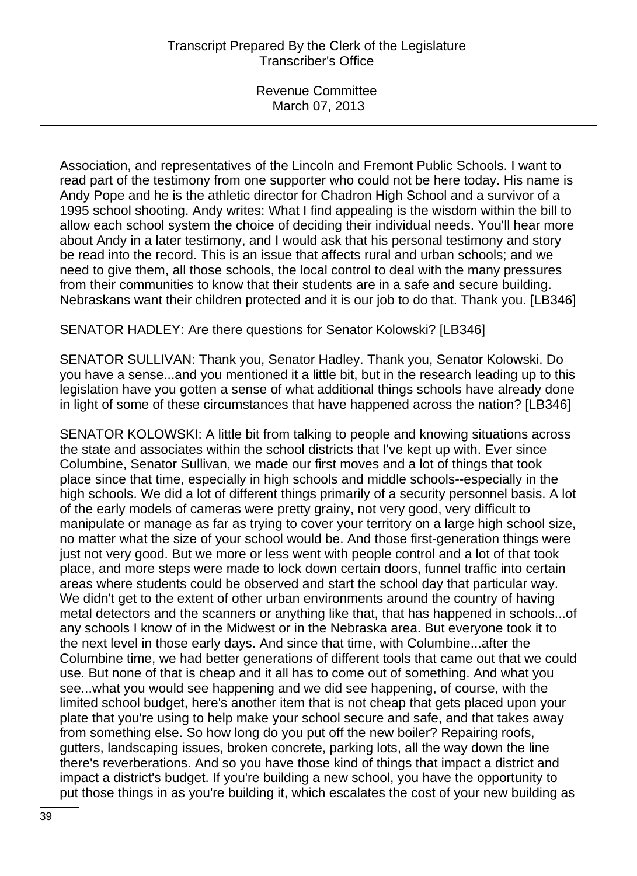Association, and representatives of the Lincoln and Fremont Public Schools. I want to read part of the testimony from one supporter who could not be here today. His name is Andy Pope and he is the athletic director for Chadron High School and a survivor of a 1995 school shooting. Andy writes: What I find appealing is the wisdom within the bill to allow each school system the choice of deciding their individual needs. You'll hear more about Andy in a later testimony, and I would ask that his personal testimony and story be read into the record. This is an issue that affects rural and urban schools; and we need to give them, all those schools, the local control to deal with the many pressures from their communities to know that their students are in a safe and secure building. Nebraskans want their children protected and it is our job to do that. Thank you. [LB346]

SENATOR HADLEY: Are there questions for Senator Kolowski? [LB346]

SENATOR SULLIVAN: Thank you, Senator Hadley. Thank you, Senator Kolowski. Do you have a sense...and you mentioned it a little bit, but in the research leading up to this legislation have you gotten a sense of what additional things schools have already done in light of some of these circumstances that have happened across the nation? [LB346]

SENATOR KOLOWSKI: A little bit from talking to people and knowing situations across the state and associates within the school districts that I've kept up with. Ever since Columbine, Senator Sullivan, we made our first moves and a lot of things that took place since that time, especially in high schools and middle schools--especially in the high schools. We did a lot of different things primarily of a security personnel basis. A lot of the early models of cameras were pretty grainy, not very good, very difficult to manipulate or manage as far as trying to cover your territory on a large high school size, no matter what the size of your school would be. And those first-generation things were just not very good. But we more or less went with people control and a lot of that took place, and more steps were made to lock down certain doors, funnel traffic into certain areas where students could be observed and start the school day that particular way. We didn't get to the extent of other urban environments around the country of having metal detectors and the scanners or anything like that, that has happened in schools...of any schools I know of in the Midwest or in the Nebraska area. But everyone took it to the next level in those early days. And since that time, with Columbine...after the Columbine time, we had better generations of different tools that came out that we could use. But none of that is cheap and it all has to come out of something. And what you see...what you would see happening and we did see happening, of course, with the limited school budget, here's another item that is not cheap that gets placed upon your plate that you're using to help make your school secure and safe, and that takes away from something else. So how long do you put off the new boiler? Repairing roofs, gutters, landscaping issues, broken concrete, parking lots, all the way down the line there's reverberations. And so you have those kind of things that impact a district and impact a district's budget. If you're building a new school, you have the opportunity to put those things in as you're building it, which escalates the cost of your new building as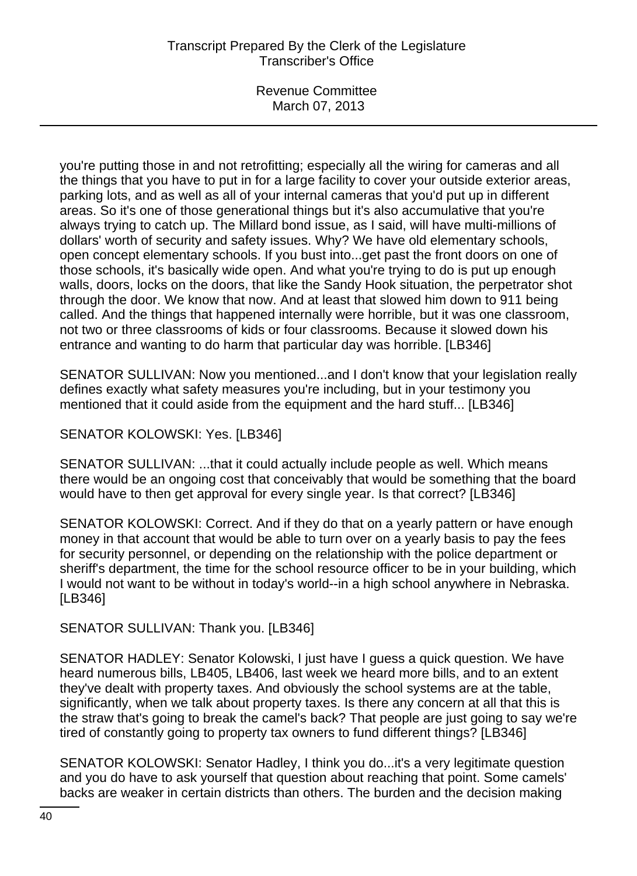Revenue Committee March 07, 2013

you're putting those in and not retrofitting; especially all the wiring for cameras and all the things that you have to put in for a large facility to cover your outside exterior areas, parking lots, and as well as all of your internal cameras that you'd put up in different areas. So it's one of those generational things but it's also accumulative that you're always trying to catch up. The Millard bond issue, as I said, will have multi-millions of dollars' worth of security and safety issues. Why? We have old elementary schools, open concept elementary schools. If you bust into...get past the front doors on one of those schools, it's basically wide open. And what you're trying to do is put up enough walls, doors, locks on the doors, that like the Sandy Hook situation, the perpetrator shot through the door. We know that now. And at least that slowed him down to 911 being called. And the things that happened internally were horrible, but it was one classroom, not two or three classrooms of kids or four classrooms. Because it slowed down his entrance and wanting to do harm that particular day was horrible. [LB346]

SENATOR SULLIVAN: Now you mentioned...and I don't know that your legislation really defines exactly what safety measures you're including, but in your testimony you mentioned that it could aside from the equipment and the hard stuff... [LB346]

SENATOR KOLOWSKI: Yes. [LB346]

SENATOR SULLIVAN: ...that it could actually include people as well. Which means there would be an ongoing cost that conceivably that would be something that the board would have to then get approval for every single year. Is that correct? [LB346]

SENATOR KOLOWSKI: Correct. And if they do that on a yearly pattern or have enough money in that account that would be able to turn over on a yearly basis to pay the fees for security personnel, or depending on the relationship with the police department or sheriff's department, the time for the school resource officer to be in your building, which I would not want to be without in today's world--in a high school anywhere in Nebraska. [LB346]

SENATOR SULLIVAN: Thank you. [LB346]

SENATOR HADLEY: Senator Kolowski, I just have I guess a quick question. We have heard numerous bills, LB405, LB406, last week we heard more bills, and to an extent they've dealt with property taxes. And obviously the school systems are at the table, significantly, when we talk about property taxes. Is there any concern at all that this is the straw that's going to break the camel's back? That people are just going to say we're tired of constantly going to property tax owners to fund different things? [LB346]

SENATOR KOLOWSKI: Senator Hadley, I think you do...it's a very legitimate question and you do have to ask yourself that question about reaching that point. Some camels' backs are weaker in certain districts than others. The burden and the decision making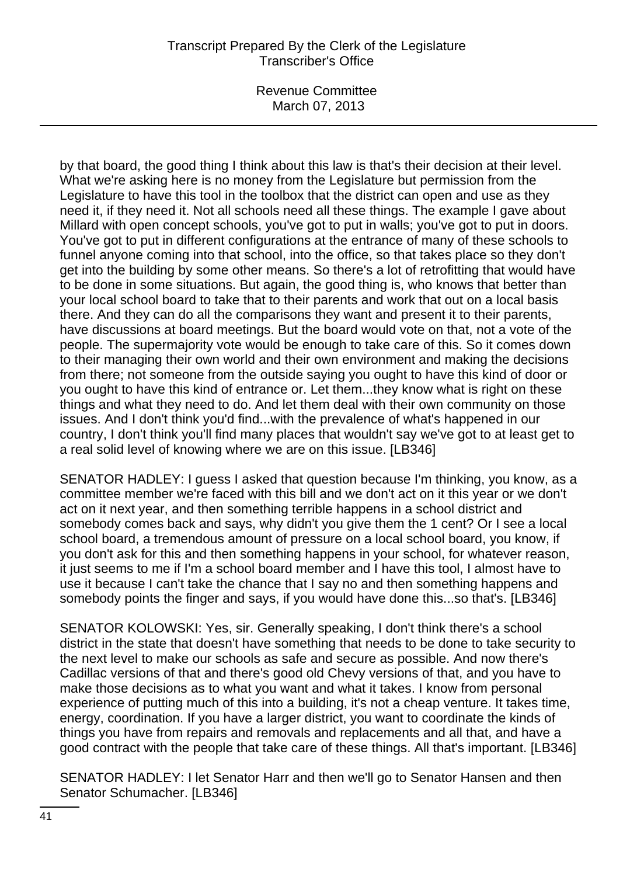Revenue Committee March 07, 2013

by that board, the good thing I think about this law is that's their decision at their level. What we're asking here is no money from the Legislature but permission from the Legislature to have this tool in the toolbox that the district can open and use as they need it, if they need it. Not all schools need all these things. The example I gave about Millard with open concept schools, you've got to put in walls; you've got to put in doors. You've got to put in different configurations at the entrance of many of these schools to funnel anyone coming into that school, into the office, so that takes place so they don't get into the building by some other means. So there's a lot of retrofitting that would have to be done in some situations. But again, the good thing is, who knows that better than your local school board to take that to their parents and work that out on a local basis there. And they can do all the comparisons they want and present it to their parents, have discussions at board meetings. But the board would vote on that, not a vote of the people. The supermajority vote would be enough to take care of this. So it comes down to their managing their own world and their own environment and making the decisions from there; not someone from the outside saying you ought to have this kind of door or you ought to have this kind of entrance or. Let them...they know what is right on these things and what they need to do. And let them deal with their own community on those issues. And I don't think you'd find...with the prevalence of what's happened in our country, I don't think you'll find many places that wouldn't say we've got to at least get to a real solid level of knowing where we are on this issue. [LB346]

SENATOR HADLEY: I guess I asked that question because I'm thinking, you know, as a committee member we're faced with this bill and we don't act on it this year or we don't act on it next year, and then something terrible happens in a school district and somebody comes back and says, why didn't you give them the 1 cent? Or I see a local school board, a tremendous amount of pressure on a local school board, you know, if you don't ask for this and then something happens in your school, for whatever reason, it just seems to me if I'm a school board member and I have this tool, I almost have to use it because I can't take the chance that I say no and then something happens and somebody points the finger and says, if you would have done this...so that's. [LB346]

SENATOR KOLOWSKI: Yes, sir. Generally speaking, I don't think there's a school district in the state that doesn't have something that needs to be done to take security to the next level to make our schools as safe and secure as possible. And now there's Cadillac versions of that and there's good old Chevy versions of that, and you have to make those decisions as to what you want and what it takes. I know from personal experience of putting much of this into a building, it's not a cheap venture. It takes time, energy, coordination. If you have a larger district, you want to coordinate the kinds of things you have from repairs and removals and replacements and all that, and have a good contract with the people that take care of these things. All that's important. [LB346]

SENATOR HADLEY: I let Senator Harr and then we'll go to Senator Hansen and then Senator Schumacher. [LB346]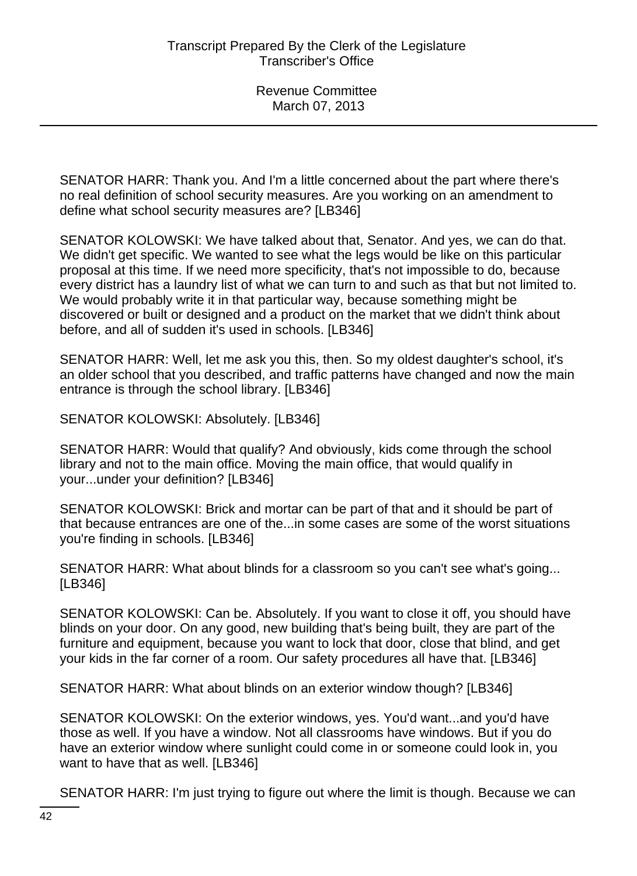SENATOR HARR: Thank you. And I'm a little concerned about the part where there's no real definition of school security measures. Are you working on an amendment to define what school security measures are? [LB346]

SENATOR KOLOWSKI: We have talked about that, Senator. And yes, we can do that. We didn't get specific. We wanted to see what the legs would be like on this particular proposal at this time. If we need more specificity, that's not impossible to do, because every district has a laundry list of what we can turn to and such as that but not limited to. We would probably write it in that particular way, because something might be discovered or built or designed and a product on the market that we didn't think about before, and all of sudden it's used in schools. [LB346]

SENATOR HARR: Well, let me ask you this, then. So my oldest daughter's school, it's an older school that you described, and traffic patterns have changed and now the main entrance is through the school library. [LB346]

SENATOR KOLOWSKI: Absolutely. [LB346]

SENATOR HARR: Would that qualify? And obviously, kids come through the school library and not to the main office. Moving the main office, that would qualify in your...under your definition? [LB346]

SENATOR KOLOWSKI: Brick and mortar can be part of that and it should be part of that because entrances are one of the...in some cases are some of the worst situations you're finding in schools. [LB346]

SENATOR HARR: What about blinds for a classroom so you can't see what's going... [LB346]

SENATOR KOLOWSKI: Can be. Absolutely. If you want to close it off, you should have blinds on your door. On any good, new building that's being built, they are part of the furniture and equipment, because you want to lock that door, close that blind, and get your kids in the far corner of a room. Our safety procedures all have that. [LB346]

SENATOR HARR: What about blinds on an exterior window though? [LB346]

SENATOR KOLOWSKI: On the exterior windows, yes. You'd want...and you'd have those as well. If you have a window. Not all classrooms have windows. But if you do have an exterior window where sunlight could come in or someone could look in, you want to have that as well. [LB346]

SENATOR HARR: I'm just trying to figure out where the limit is though. Because we can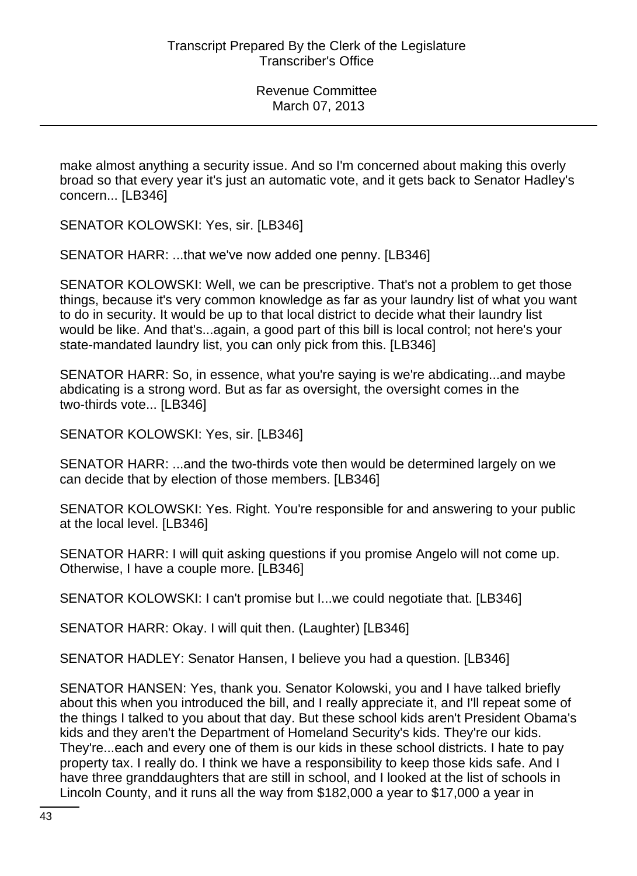make almost anything a security issue. And so I'm concerned about making this overly broad so that every year it's just an automatic vote, and it gets back to Senator Hadley's concern... [LB346]

SENATOR KOLOWSKI: Yes, sir. [LB346]

SENATOR HARR: ...that we've now added one penny. [LB346]

SENATOR KOLOWSKI: Well, we can be prescriptive. That's not a problem to get those things, because it's very common knowledge as far as your laundry list of what you want to do in security. It would be up to that local district to decide what their laundry list would be like. And that's...again, a good part of this bill is local control; not here's your state-mandated laundry list, you can only pick from this. [LB346]

SENATOR HARR: So, in essence, what you're saying is we're abdicating...and maybe abdicating is a strong word. But as far as oversight, the oversight comes in the two-thirds vote... [LB346]

SENATOR KOLOWSKI: Yes, sir. [LB346]

SENATOR HARR: ...and the two-thirds vote then would be determined largely on we can decide that by election of those members. [LB346]

SENATOR KOLOWSKI: Yes. Right. You're responsible for and answering to your public at the local level. [LB346]

SENATOR HARR: I will quit asking questions if you promise Angelo will not come up. Otherwise, I have a couple more. [LB346]

SENATOR KOLOWSKI: I can't promise but I...we could negotiate that. [LB346]

SENATOR HARR: Okay. I will quit then. (Laughter) [LB346]

SENATOR HADLEY: Senator Hansen, I believe you had a question. [LB346]

SENATOR HANSEN: Yes, thank you. Senator Kolowski, you and I have talked briefly about this when you introduced the bill, and I really appreciate it, and I'll repeat some of the things I talked to you about that day. But these school kids aren't President Obama's kids and they aren't the Department of Homeland Security's kids. They're our kids. They're...each and every one of them is our kids in these school districts. I hate to pay property tax. I really do. I think we have a responsibility to keep those kids safe. And I have three granddaughters that are still in school, and I looked at the list of schools in Lincoln County, and it runs all the way from \$182,000 a year to \$17,000 a year in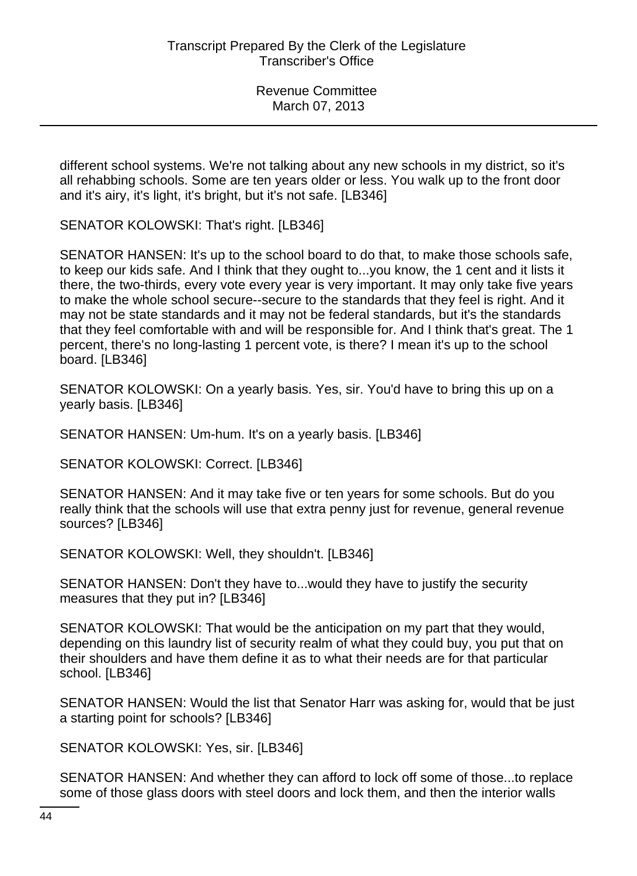different school systems. We're not talking about any new schools in my district, so it's all rehabbing schools. Some are ten years older or less. You walk up to the front door and it's airy, it's light, it's bright, but it's not safe. [LB346]

SENATOR KOLOWSKI: That's right. [LB346]

SENATOR HANSEN: It's up to the school board to do that, to make those schools safe, to keep our kids safe. And I think that they ought to...you know, the 1 cent and it lists it there, the two-thirds, every vote every year is very important. It may only take five years to make the whole school secure--secure to the standards that they feel is right. And it may not be state standards and it may not be federal standards, but it's the standards that they feel comfortable with and will be responsible for. And I think that's great. The 1 percent, there's no long-lasting 1 percent vote, is there? I mean it's up to the school board. [LB346]

SENATOR KOLOWSKI: On a yearly basis. Yes, sir. You'd have to bring this up on a yearly basis. [LB346]

SENATOR HANSEN: Um-hum. It's on a yearly basis. [LB346]

SENATOR KOLOWSKI: Correct. [LB346]

SENATOR HANSEN: And it may take five or ten years for some schools. But do you really think that the schools will use that extra penny just for revenue, general revenue sources? [LB346]

SENATOR KOLOWSKI: Well, they shouldn't. [LB346]

SENATOR HANSEN: Don't they have to...would they have to justify the security measures that they put in? [LB346]

SENATOR KOLOWSKI: That would be the anticipation on my part that they would, depending on this laundry list of security realm of what they could buy, you put that on their shoulders and have them define it as to what their needs are for that particular school. [LB346]

SENATOR HANSEN: Would the list that Senator Harr was asking for, would that be just a starting point for schools? [LB346]

SENATOR KOLOWSKI: Yes, sir. [LB346]

SENATOR HANSEN: And whether they can afford to lock off some of those...to replace some of those glass doors with steel doors and lock them, and then the interior walls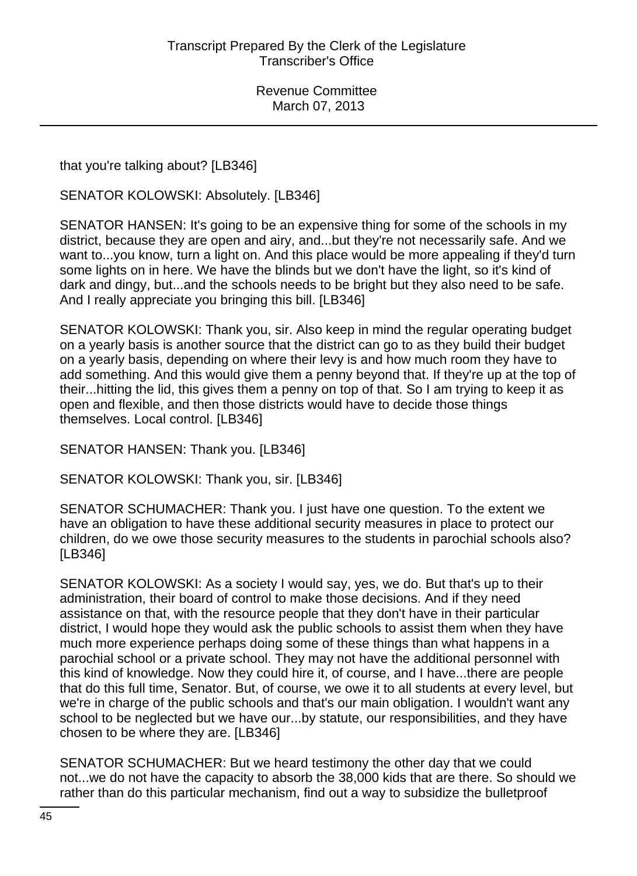that you're talking about? [LB346]

SENATOR KOLOWSKI: Absolutely. [LB346]

SENATOR HANSEN: It's going to be an expensive thing for some of the schools in my district, because they are open and airy, and...but they're not necessarily safe. And we want to...you know, turn a light on. And this place would be more appealing if they'd turn some lights on in here. We have the blinds but we don't have the light, so it's kind of dark and dingy, but...and the schools needs to be bright but they also need to be safe. And I really appreciate you bringing this bill. [LB346]

SENATOR KOLOWSKI: Thank you, sir. Also keep in mind the regular operating budget on a yearly basis is another source that the district can go to as they build their budget on a yearly basis, depending on where their levy is and how much room they have to add something. And this would give them a penny beyond that. If they're up at the top of their...hitting the lid, this gives them a penny on top of that. So I am trying to keep it as open and flexible, and then those districts would have to decide those things themselves. Local control. [LB346]

SENATOR HANSEN: Thank you. [LB346]

SENATOR KOLOWSKI: Thank you, sir. [LB346]

SENATOR SCHUMACHER: Thank you. I just have one question. To the extent we have an obligation to have these additional security measures in place to protect our children, do we owe those security measures to the students in parochial schools also? [LB346]

SENATOR KOLOWSKI: As a society I would say, yes, we do. But that's up to their administration, their board of control to make those decisions. And if they need assistance on that, with the resource people that they don't have in their particular district, I would hope they would ask the public schools to assist them when they have much more experience perhaps doing some of these things than what happens in a parochial school or a private school. They may not have the additional personnel with this kind of knowledge. Now they could hire it, of course, and I have...there are people that do this full time, Senator. But, of course, we owe it to all students at every level, but we're in charge of the public schools and that's our main obligation. I wouldn't want any school to be neglected but we have our...by statute, our responsibilities, and they have chosen to be where they are. [LB346]

SENATOR SCHUMACHER: But we heard testimony the other day that we could not...we do not have the capacity to absorb the 38,000 kids that are there. So should we rather than do this particular mechanism, find out a way to subsidize the bulletproof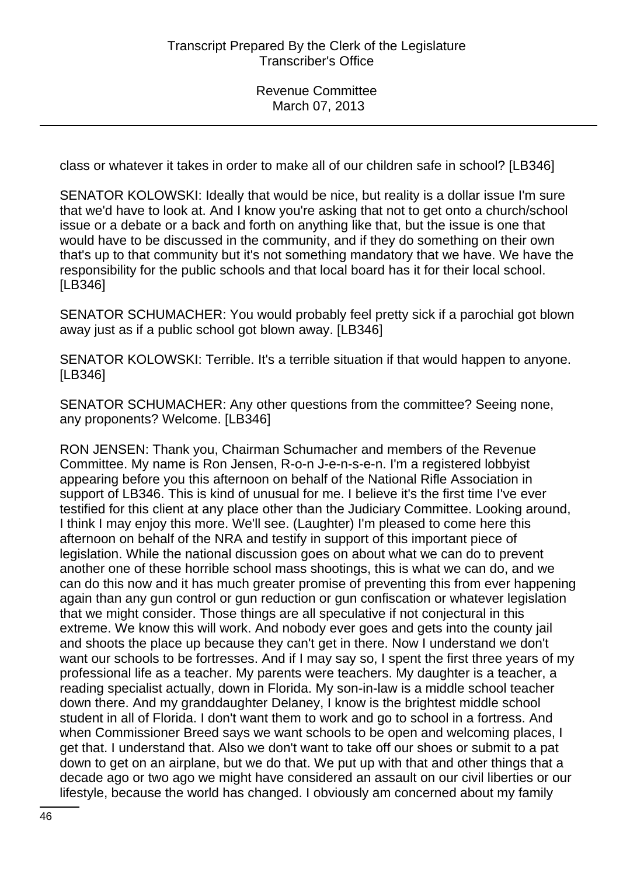class or whatever it takes in order to make all of our children safe in school? [LB346]

SENATOR KOLOWSKI: Ideally that would be nice, but reality is a dollar issue I'm sure that we'd have to look at. And I know you're asking that not to get onto a church/school issue or a debate or a back and forth on anything like that, but the issue is one that would have to be discussed in the community, and if they do something on their own that's up to that community but it's not something mandatory that we have. We have the responsibility for the public schools and that local board has it for their local school. [LB346]

SENATOR SCHUMACHER: You would probably feel pretty sick if a parochial got blown away just as if a public school got blown away. [LB346]

SENATOR KOLOWSKI: Terrible. It's a terrible situation if that would happen to anyone. [LB346]

SENATOR SCHUMACHER: Any other questions from the committee? Seeing none, any proponents? Welcome. [LB346]

RON JENSEN: Thank you, Chairman Schumacher and members of the Revenue Committee. My name is Ron Jensen, R-o-n J-e-n-s-e-n. I'm a registered lobbyist appearing before you this afternoon on behalf of the National Rifle Association in support of LB346. This is kind of unusual for me. I believe it's the first time I've ever testified for this client at any place other than the Judiciary Committee. Looking around, I think I may enjoy this more. We'll see. (Laughter) I'm pleased to come here this afternoon on behalf of the NRA and testify in support of this important piece of legislation. While the national discussion goes on about what we can do to prevent another one of these horrible school mass shootings, this is what we can do, and we can do this now and it has much greater promise of preventing this from ever happening again than any gun control or gun reduction or gun confiscation or whatever legislation that we might consider. Those things are all speculative if not conjectural in this extreme. We know this will work. And nobody ever goes and gets into the county jail and shoots the place up because they can't get in there. Now I understand we don't want our schools to be fortresses. And if I may say so, I spent the first three years of my professional life as a teacher. My parents were teachers. My daughter is a teacher, a reading specialist actually, down in Florida. My son-in-law is a middle school teacher down there. And my granddaughter Delaney, I know is the brightest middle school student in all of Florida. I don't want them to work and go to school in a fortress. And when Commissioner Breed says we want schools to be open and welcoming places, I get that. I understand that. Also we don't want to take off our shoes or submit to a pat down to get on an airplane, but we do that. We put up with that and other things that a decade ago or two ago we might have considered an assault on our civil liberties or our lifestyle, because the world has changed. I obviously am concerned about my family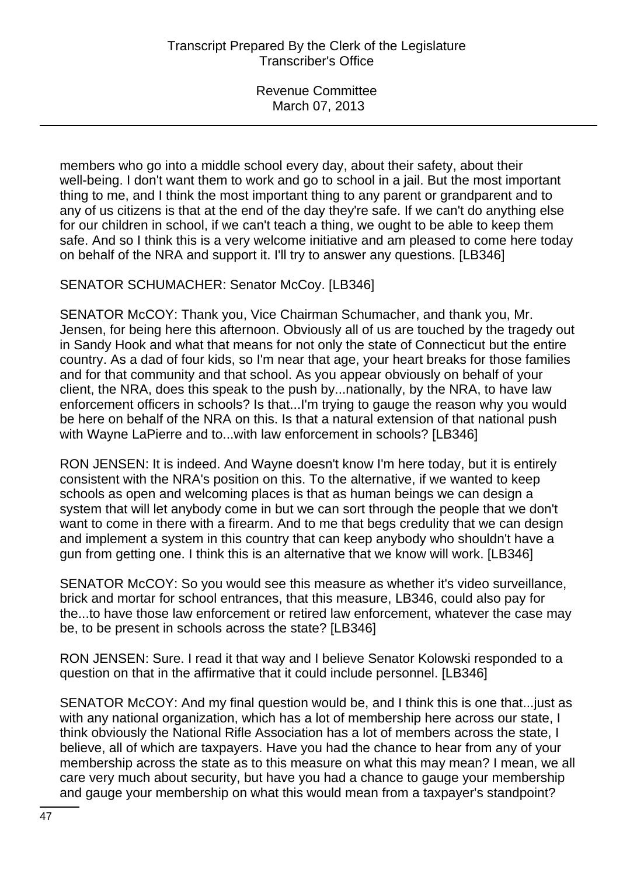members who go into a middle school every day, about their safety, about their well-being. I don't want them to work and go to school in a jail. But the most important thing to me, and I think the most important thing to any parent or grandparent and to any of us citizens is that at the end of the day they're safe. If we can't do anything else for our children in school, if we can't teach a thing, we ought to be able to keep them safe. And so I think this is a very welcome initiative and am pleased to come here today on behalf of the NRA and support it. I'll try to answer any questions. [LB346]

SENATOR SCHUMACHER: Senator McCoy. [LB346]

SENATOR McCOY: Thank you, Vice Chairman Schumacher, and thank you, Mr. Jensen, for being here this afternoon. Obviously all of us are touched by the tragedy out in Sandy Hook and what that means for not only the state of Connecticut but the entire country. As a dad of four kids, so I'm near that age, your heart breaks for those families and for that community and that school. As you appear obviously on behalf of your client, the NRA, does this speak to the push by...nationally, by the NRA, to have law enforcement officers in schools? Is that...I'm trying to gauge the reason why you would be here on behalf of the NRA on this. Is that a natural extension of that national push with Wayne LaPierre and to...with law enforcement in schools? [LB346]

RON JENSEN: It is indeed. And Wayne doesn't know I'm here today, but it is entirely consistent with the NRA's position on this. To the alternative, if we wanted to keep schools as open and welcoming places is that as human beings we can design a system that will let anybody come in but we can sort through the people that we don't want to come in there with a firearm. And to me that begs credulity that we can design and implement a system in this country that can keep anybody who shouldn't have a gun from getting one. I think this is an alternative that we know will work. [LB346]

SENATOR McCOY: So you would see this measure as whether it's video surveillance, brick and mortar for school entrances, that this measure, LB346, could also pay for the...to have those law enforcement or retired law enforcement, whatever the case may be, to be present in schools across the state? [LB346]

RON JENSEN: Sure. I read it that way and I believe Senator Kolowski responded to a question on that in the affirmative that it could include personnel. [LB346]

SENATOR McCOY: And my final question would be, and I think this is one that...just as with any national organization, which has a lot of membership here across our state, I think obviously the National Rifle Association has a lot of members across the state, I believe, all of which are taxpayers. Have you had the chance to hear from any of your membership across the state as to this measure on what this may mean? I mean, we all care very much about security, but have you had a chance to gauge your membership and gauge your membership on what this would mean from a taxpayer's standpoint?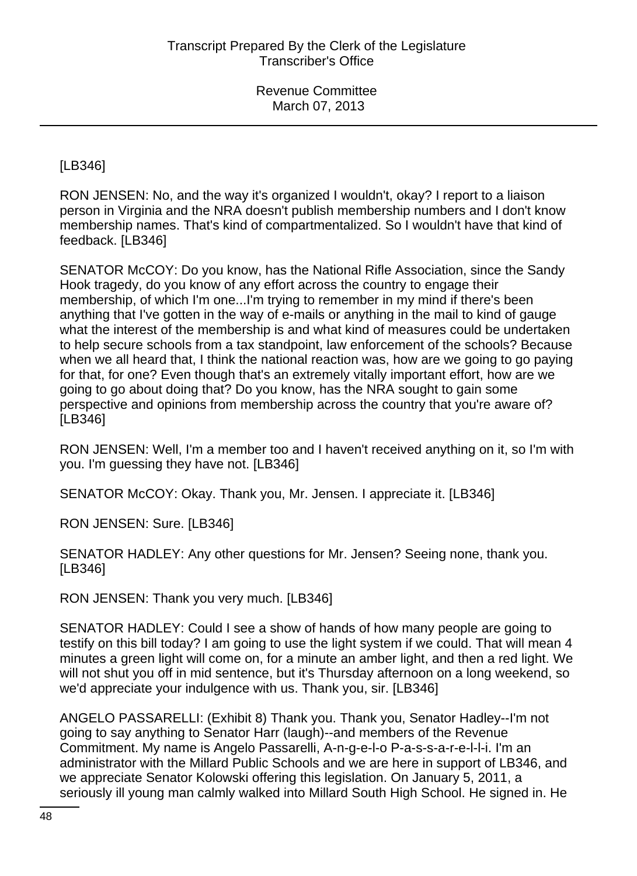[LB346]

RON JENSEN: No, and the way it's organized I wouldn't, okay? I report to a liaison person in Virginia and the NRA doesn't publish membership numbers and I don't know membership names. That's kind of compartmentalized. So I wouldn't have that kind of feedback. [LB346]

SENATOR McCOY: Do you know, has the National Rifle Association, since the Sandy Hook tragedy, do you know of any effort across the country to engage their membership, of which I'm one...I'm trying to remember in my mind if there's been anything that I've gotten in the way of e-mails or anything in the mail to kind of gauge what the interest of the membership is and what kind of measures could be undertaken to help secure schools from a tax standpoint, law enforcement of the schools? Because when we all heard that, I think the national reaction was, how are we going to go paying for that, for one? Even though that's an extremely vitally important effort, how are we going to go about doing that? Do you know, has the NRA sought to gain some perspective and opinions from membership across the country that you're aware of? [LB346]

RON JENSEN: Well, I'm a member too and I haven't received anything on it, so I'm with you. I'm guessing they have not. [LB346]

SENATOR McCOY: Okay. Thank you, Mr. Jensen. I appreciate it. [LB346]

RON JENSEN: Sure. [LB346]

SENATOR HADLEY: Any other questions for Mr. Jensen? Seeing none, thank you. [LB346]

RON JENSEN: Thank you very much. [LB346]

SENATOR HADLEY: Could I see a show of hands of how many people are going to testify on this bill today? I am going to use the light system if we could. That will mean 4 minutes a green light will come on, for a minute an amber light, and then a red light. We will not shut you off in mid sentence, but it's Thursday afternoon on a long weekend, so we'd appreciate your indulgence with us. Thank you, sir. [LB346]

ANGELO PASSARELLI: (Exhibit 8) Thank you. Thank you, Senator Hadley--I'm not going to say anything to Senator Harr (laugh)--and members of the Revenue Commitment. My name is Angelo Passarelli, A-n-g-e-l-o P-a-s-s-a-r-e-l-l-i. I'm an administrator with the Millard Public Schools and we are here in support of LB346, and we appreciate Senator Kolowski offering this legislation. On January 5, 2011, a seriously ill young man calmly walked into Millard South High School. He signed in. He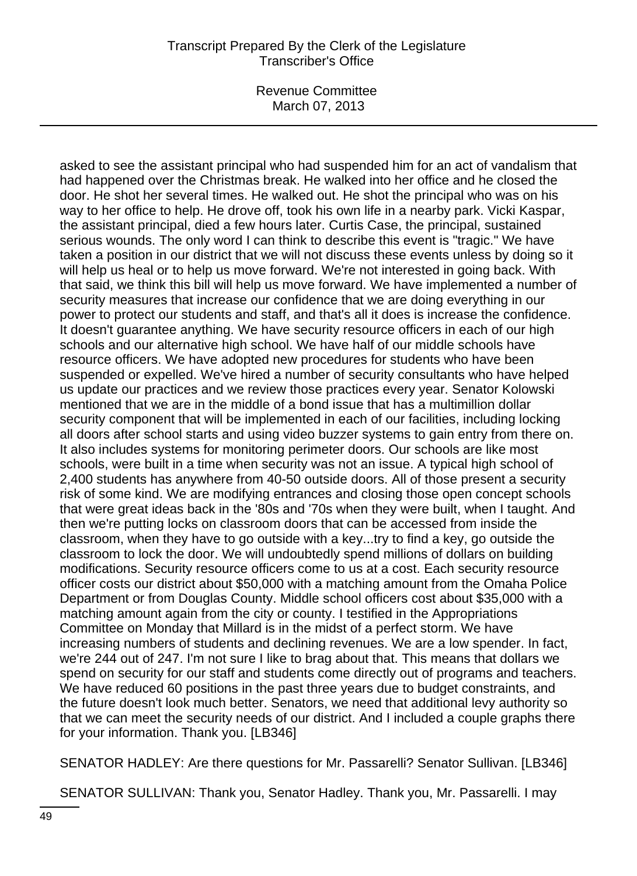Revenue Committee March 07, 2013

asked to see the assistant principal who had suspended him for an act of vandalism that had happened over the Christmas break. He walked into her office and he closed the door. He shot her several times. He walked out. He shot the principal who was on his way to her office to help. He drove off, took his own life in a nearby park. Vicki Kaspar, the assistant principal, died a few hours later. Curtis Case, the principal, sustained serious wounds. The only word I can think to describe this event is "tragic." We have taken a position in our district that we will not discuss these events unless by doing so it will help us heal or to help us move forward. We're not interested in going back. With that said, we think this bill will help us move forward. We have implemented a number of security measures that increase our confidence that we are doing everything in our power to protect our students and staff, and that's all it does is increase the confidence. It doesn't guarantee anything. We have security resource officers in each of our high schools and our alternative high school. We have half of our middle schools have resource officers. We have adopted new procedures for students who have been suspended or expelled. We've hired a number of security consultants who have helped us update our practices and we review those practices every year. Senator Kolowski mentioned that we are in the middle of a bond issue that has a multimillion dollar security component that will be implemented in each of our facilities, including locking all doors after school starts and using video buzzer systems to gain entry from there on. It also includes systems for monitoring perimeter doors. Our schools are like most schools, were built in a time when security was not an issue. A typical high school of 2,400 students has anywhere from 40-50 outside doors. All of those present a security risk of some kind. We are modifying entrances and closing those open concept schools that were great ideas back in the '80s and '70s when they were built, when I taught. And then we're putting locks on classroom doors that can be accessed from inside the classroom, when they have to go outside with a key...try to find a key, go outside the classroom to lock the door. We will undoubtedly spend millions of dollars on building modifications. Security resource officers come to us at a cost. Each security resource officer costs our district about \$50,000 with a matching amount from the Omaha Police Department or from Douglas County. Middle school officers cost about \$35,000 with a matching amount again from the city or county. I testified in the Appropriations Committee on Monday that Millard is in the midst of a perfect storm. We have increasing numbers of students and declining revenues. We are a low spender. In fact, we're 244 out of 247. I'm not sure I like to brag about that. This means that dollars we spend on security for our staff and students come directly out of programs and teachers. We have reduced 60 positions in the past three years due to budget constraints, and the future doesn't look much better. Senators, we need that additional levy authority so that we can meet the security needs of our district. And I included a couple graphs there for your information. Thank you. [LB346]

SENATOR HADLEY: Are there questions for Mr. Passarelli? Senator Sullivan. [LB346]

SENATOR SULLIVAN: Thank you, Senator Hadley. Thank you, Mr. Passarelli. I may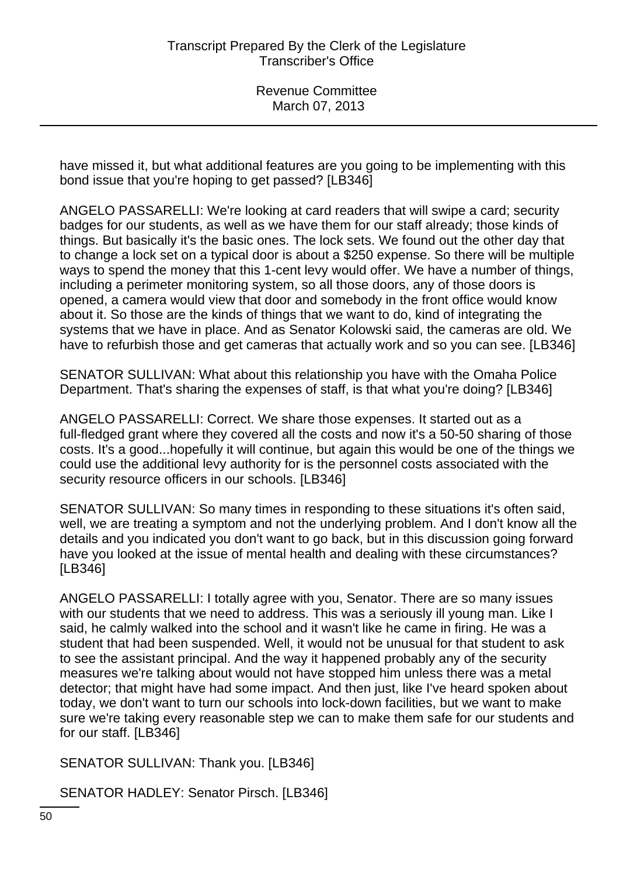have missed it, but what additional features are you going to be implementing with this bond issue that you're hoping to get passed? [LB346]

ANGELO PASSARELLI: We're looking at card readers that will swipe a card; security badges for our students, as well as we have them for our staff already; those kinds of things. But basically it's the basic ones. The lock sets. We found out the other day that to change a lock set on a typical door is about a \$250 expense. So there will be multiple ways to spend the money that this 1-cent levy would offer. We have a number of things, including a perimeter monitoring system, so all those doors, any of those doors is opened, a camera would view that door and somebody in the front office would know about it. So those are the kinds of things that we want to do, kind of integrating the systems that we have in place. And as Senator Kolowski said, the cameras are old. We have to refurbish those and get cameras that actually work and so you can see. [LB346]

SENATOR SULLIVAN: What about this relationship you have with the Omaha Police Department. That's sharing the expenses of staff, is that what you're doing? [LB346]

ANGELO PASSARELLI: Correct. We share those expenses. It started out as a full-fledged grant where they covered all the costs and now it's a 50-50 sharing of those costs. It's a good...hopefully it will continue, but again this would be one of the things we could use the additional levy authority for is the personnel costs associated with the security resource officers in our schools. [LB346]

SENATOR SULLIVAN: So many times in responding to these situations it's often said, well, we are treating a symptom and not the underlying problem. And I don't know all the details and you indicated you don't want to go back, but in this discussion going forward have you looked at the issue of mental health and dealing with these circumstances? [LB346]

ANGELO PASSARELLI: I totally agree with you, Senator. There are so many issues with our students that we need to address. This was a seriously ill young man. Like I said, he calmly walked into the school and it wasn't like he came in firing. He was a student that had been suspended. Well, it would not be unusual for that student to ask to see the assistant principal. And the way it happened probably any of the security measures we're talking about would not have stopped him unless there was a metal detector; that might have had some impact. And then just, like I've heard spoken about today, we don't want to turn our schools into lock-down facilities, but we want to make sure we're taking every reasonable step we can to make them safe for our students and for our staff. [LB346]

SENATOR SULLIVAN: Thank you. [LB346]

SENATOR HADLEY: Senator Pirsch. [LB346]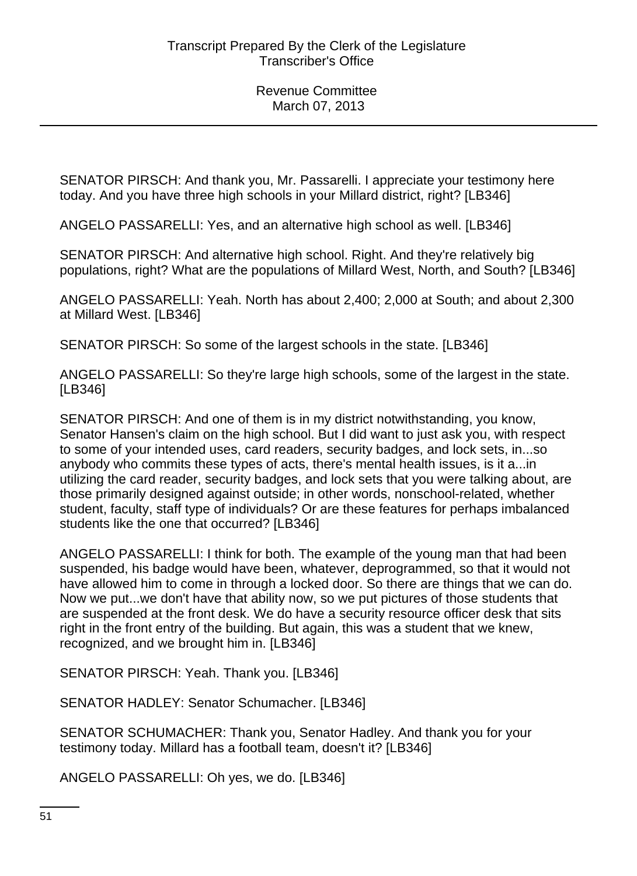SENATOR PIRSCH: And thank you, Mr. Passarelli. I appreciate your testimony here today. And you have three high schools in your Millard district, right? [LB346]

ANGELO PASSARELLI: Yes, and an alternative high school as well. [LB346]

SENATOR PIRSCH: And alternative high school. Right. And they're relatively big populations, right? What are the populations of Millard West, North, and South? [LB346]

ANGELO PASSARELLI: Yeah. North has about 2,400; 2,000 at South; and about 2,300 at Millard West. [LB346]

SENATOR PIRSCH: So some of the largest schools in the state. [LB346]

ANGELO PASSARELLI: So they're large high schools, some of the largest in the state. [LB346]

SENATOR PIRSCH: And one of them is in my district notwithstanding, you know, Senator Hansen's claim on the high school. But I did want to just ask you, with respect to some of your intended uses, card readers, security badges, and lock sets, in...so anybody who commits these types of acts, there's mental health issues, is it a...in utilizing the card reader, security badges, and lock sets that you were talking about, are those primarily designed against outside; in other words, nonschool-related, whether student, faculty, staff type of individuals? Or are these features for perhaps imbalanced students like the one that occurred? [LB346]

ANGELO PASSARELLI: I think for both. The example of the young man that had been suspended, his badge would have been, whatever, deprogrammed, so that it would not have allowed him to come in through a locked door. So there are things that we can do. Now we put...we don't have that ability now, so we put pictures of those students that are suspended at the front desk. We do have a security resource officer desk that sits right in the front entry of the building. But again, this was a student that we knew, recognized, and we brought him in. [LB346]

SENATOR PIRSCH: Yeah. Thank you. [LB346]

SENATOR HADLEY: Senator Schumacher. [LB346]

SENATOR SCHUMACHER: Thank you, Senator Hadley. And thank you for your testimony today. Millard has a football team, doesn't it? [LB346]

ANGELO PASSARELLI: Oh yes, we do. [LB346]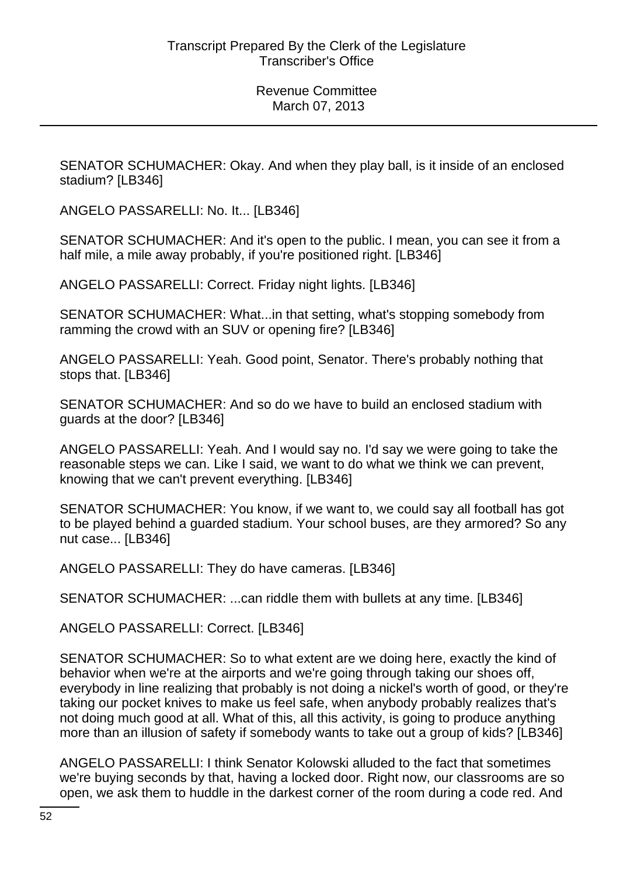SENATOR SCHUMACHER: Okay. And when they play ball, is it inside of an enclosed stadium? [LB346]

ANGELO PASSARELLI: No. It... [LB346]

SENATOR SCHUMACHER: And it's open to the public. I mean, you can see it from a half mile, a mile away probably, if you're positioned right. [LB346]

ANGELO PASSARELLI: Correct. Friday night lights. [LB346]

SENATOR SCHUMACHER: What...in that setting, what's stopping somebody from ramming the crowd with an SUV or opening fire? [LB346]

ANGELO PASSARELLI: Yeah. Good point, Senator. There's probably nothing that stops that. [LB346]

SENATOR SCHUMACHER: And so do we have to build an enclosed stadium with guards at the door? [LB346]

ANGELO PASSARELLI: Yeah. And I would say no. I'd say we were going to take the reasonable steps we can. Like I said, we want to do what we think we can prevent, knowing that we can't prevent everything. [LB346]

SENATOR SCHUMACHER: You know, if we want to, we could say all football has got to be played behind a guarded stadium. Your school buses, are they armored? So any nut case... [LB346]

ANGELO PASSARELLI: They do have cameras. [LB346]

SENATOR SCHUMACHER: ...can riddle them with bullets at any time. [LB346]

ANGELO PASSARELLI: Correct. [LB346]

SENATOR SCHUMACHER: So to what extent are we doing here, exactly the kind of behavior when we're at the airports and we're going through taking our shoes off, everybody in line realizing that probably is not doing a nickel's worth of good, or they're taking our pocket knives to make us feel safe, when anybody probably realizes that's not doing much good at all. What of this, all this activity, is going to produce anything more than an illusion of safety if somebody wants to take out a group of kids? [LB346]

ANGELO PASSARELLI: I think Senator Kolowski alluded to the fact that sometimes we're buying seconds by that, having a locked door. Right now, our classrooms are so open, we ask them to huddle in the darkest corner of the room during a code red. And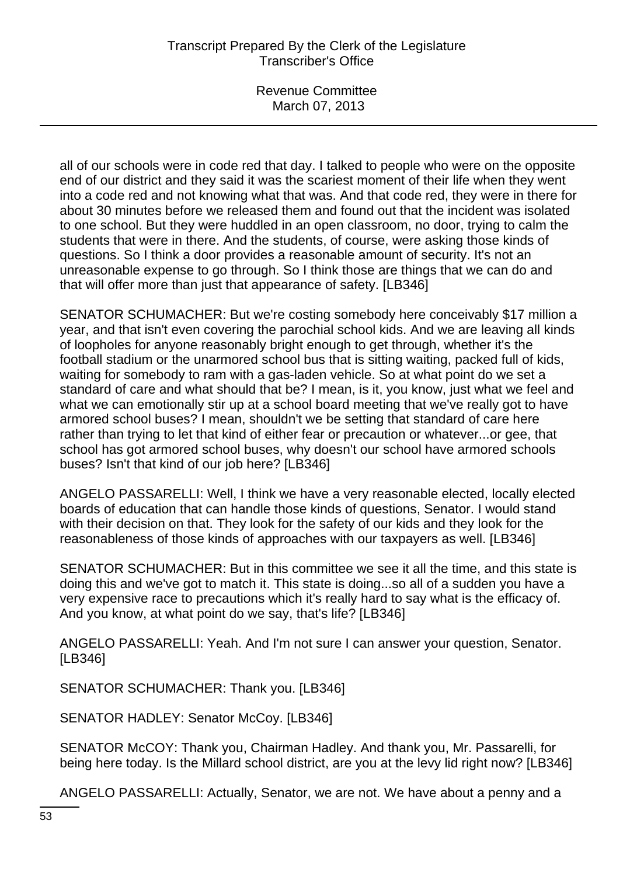Revenue Committee March 07, 2013

all of our schools were in code red that day. I talked to people who were on the opposite end of our district and they said it was the scariest moment of their life when they went into a code red and not knowing what that was. And that code red, they were in there for about 30 minutes before we released them and found out that the incident was isolated to one school. But they were huddled in an open classroom, no door, trying to calm the students that were in there. And the students, of course, were asking those kinds of questions. So I think a door provides a reasonable amount of security. It's not an unreasonable expense to go through. So I think those are things that we can do and that will offer more than just that appearance of safety. [LB346]

SENATOR SCHUMACHER: But we're costing somebody here conceivably \$17 million a year, and that isn't even covering the parochial school kids. And we are leaving all kinds of loopholes for anyone reasonably bright enough to get through, whether it's the football stadium or the unarmored school bus that is sitting waiting, packed full of kids, waiting for somebody to ram with a gas-laden vehicle. So at what point do we set a standard of care and what should that be? I mean, is it, you know, just what we feel and what we can emotionally stir up at a school board meeting that we've really got to have armored school buses? I mean, shouldn't we be setting that standard of care here rather than trying to let that kind of either fear or precaution or whatever...or gee, that school has got armored school buses, why doesn't our school have armored schools buses? Isn't that kind of our job here? [LB346]

ANGELO PASSARELLI: Well, I think we have a very reasonable elected, locally elected boards of education that can handle those kinds of questions, Senator. I would stand with their decision on that. They look for the safety of our kids and they look for the reasonableness of those kinds of approaches with our taxpayers as well. [LB346]

SENATOR SCHUMACHER: But in this committee we see it all the time, and this state is doing this and we've got to match it. This state is doing...so all of a sudden you have a very expensive race to precautions which it's really hard to say what is the efficacy of. And you know, at what point do we say, that's life? [LB346]

ANGELO PASSARELLI: Yeah. And I'm not sure I can answer your question, Senator. [LB346]

SENATOR SCHUMACHER: Thank you. [LB346]

SENATOR HADLEY: Senator McCoy. [LB346]

SENATOR McCOY: Thank you, Chairman Hadley. And thank you, Mr. Passarelli, for being here today. Is the Millard school district, are you at the levy lid right now? [LB346]

ANGELO PASSARELLI: Actually, Senator, we are not. We have about a penny and a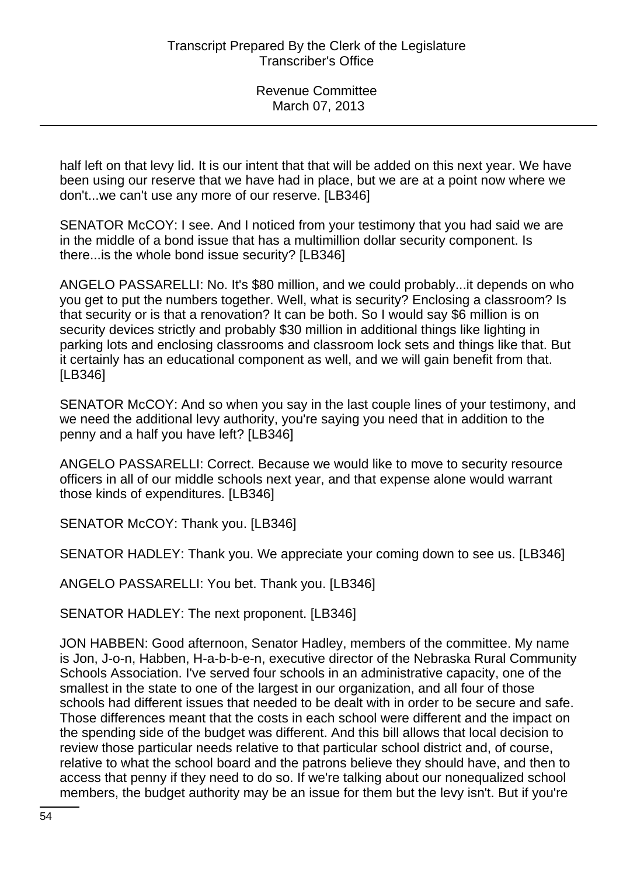half left on that levy lid. It is our intent that that will be added on this next year. We have been using our reserve that we have had in place, but we are at a point now where we don't...we can't use any more of our reserve. [LB346]

SENATOR McCOY: I see. And I noticed from your testimony that you had said we are in the middle of a bond issue that has a multimillion dollar security component. Is there...is the whole bond issue security? [LB346]

ANGELO PASSARELLI: No. It's \$80 million, and we could probably...it depends on who you get to put the numbers together. Well, what is security? Enclosing a classroom? Is that security or is that a renovation? It can be both. So I would say \$6 million is on security devices strictly and probably \$30 million in additional things like lighting in parking lots and enclosing classrooms and classroom lock sets and things like that. But it certainly has an educational component as well, and we will gain benefit from that. [LB346]

SENATOR McCOY: And so when you say in the last couple lines of your testimony, and we need the additional levy authority, you're saying you need that in addition to the penny and a half you have left? [LB346]

ANGELO PASSARELLI: Correct. Because we would like to move to security resource officers in all of our middle schools next year, and that expense alone would warrant those kinds of expenditures. [LB346]

SENATOR McCOY: Thank you. [LB346]

SENATOR HADLEY: Thank you. We appreciate your coming down to see us. [LB346]

ANGELO PASSARELLI: You bet. Thank you. [LB346]

SENATOR HADLEY: The next proponent. [LB346]

JON HABBEN: Good afternoon, Senator Hadley, members of the committee. My name is Jon, J-o-n, Habben, H-a-b-b-e-n, executive director of the Nebraska Rural Community Schools Association. I've served four schools in an administrative capacity, one of the smallest in the state to one of the largest in our organization, and all four of those schools had different issues that needed to be dealt with in order to be secure and safe. Those differences meant that the costs in each school were different and the impact on the spending side of the budget was different. And this bill allows that local decision to review those particular needs relative to that particular school district and, of course, relative to what the school board and the patrons believe they should have, and then to access that penny if they need to do so. If we're talking about our nonequalized school members, the budget authority may be an issue for them but the levy isn't. But if you're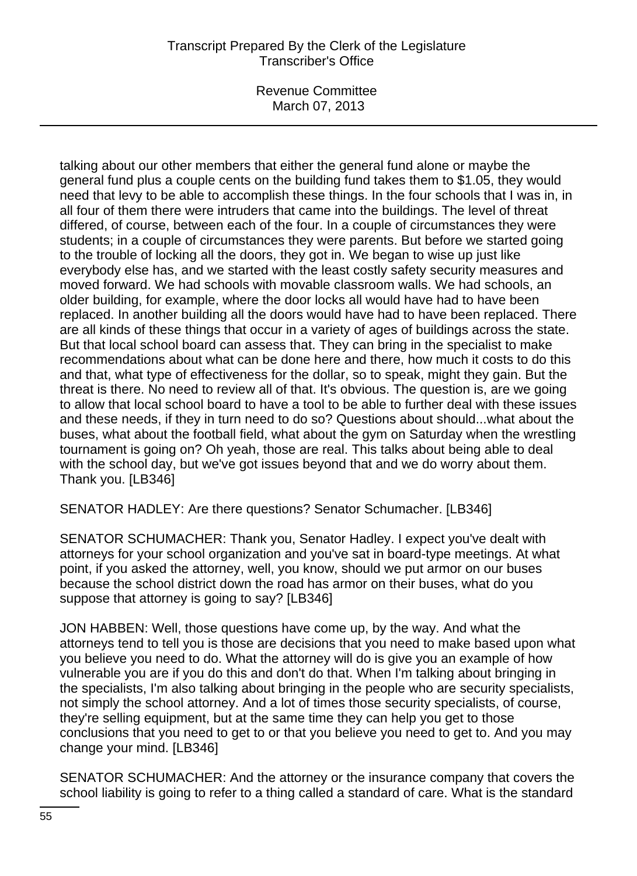Revenue Committee March 07, 2013

talking about our other members that either the general fund alone or maybe the general fund plus a couple cents on the building fund takes them to \$1.05, they would need that levy to be able to accomplish these things. In the four schools that I was in, in all four of them there were intruders that came into the buildings. The level of threat differed, of course, between each of the four. In a couple of circumstances they were students; in a couple of circumstances they were parents. But before we started going to the trouble of locking all the doors, they got in. We began to wise up just like everybody else has, and we started with the least costly safety security measures and moved forward. We had schools with movable classroom walls. We had schools, an older building, for example, where the door locks all would have had to have been replaced. In another building all the doors would have had to have been replaced. There are all kinds of these things that occur in a variety of ages of buildings across the state. But that local school board can assess that. They can bring in the specialist to make recommendations about what can be done here and there, how much it costs to do this and that, what type of effectiveness for the dollar, so to speak, might they gain. But the threat is there. No need to review all of that. It's obvious. The question is, are we going to allow that local school board to have a tool to be able to further deal with these issues and these needs, if they in turn need to do so? Questions about should...what about the buses, what about the football field, what about the gym on Saturday when the wrestling tournament is going on? Oh yeah, those are real. This talks about being able to deal with the school day, but we've got issues beyond that and we do worry about them. Thank you. [LB346]

SENATOR HADLEY: Are there questions? Senator Schumacher. [LB346]

SENATOR SCHUMACHER: Thank you, Senator Hadley. I expect you've dealt with attorneys for your school organization and you've sat in board-type meetings. At what point, if you asked the attorney, well, you know, should we put armor on our buses because the school district down the road has armor on their buses, what do you suppose that attorney is going to say? [LB346]

JON HABBEN: Well, those questions have come up, by the way. And what the attorneys tend to tell you is those are decisions that you need to make based upon what you believe you need to do. What the attorney will do is give you an example of how vulnerable you are if you do this and don't do that. When I'm talking about bringing in the specialists, I'm also talking about bringing in the people who are security specialists, not simply the school attorney. And a lot of times those security specialists, of course, they're selling equipment, but at the same time they can help you get to those conclusions that you need to get to or that you believe you need to get to. And you may change your mind. [LB346]

SENATOR SCHUMACHER: And the attorney or the insurance company that covers the school liability is going to refer to a thing called a standard of care. What is the standard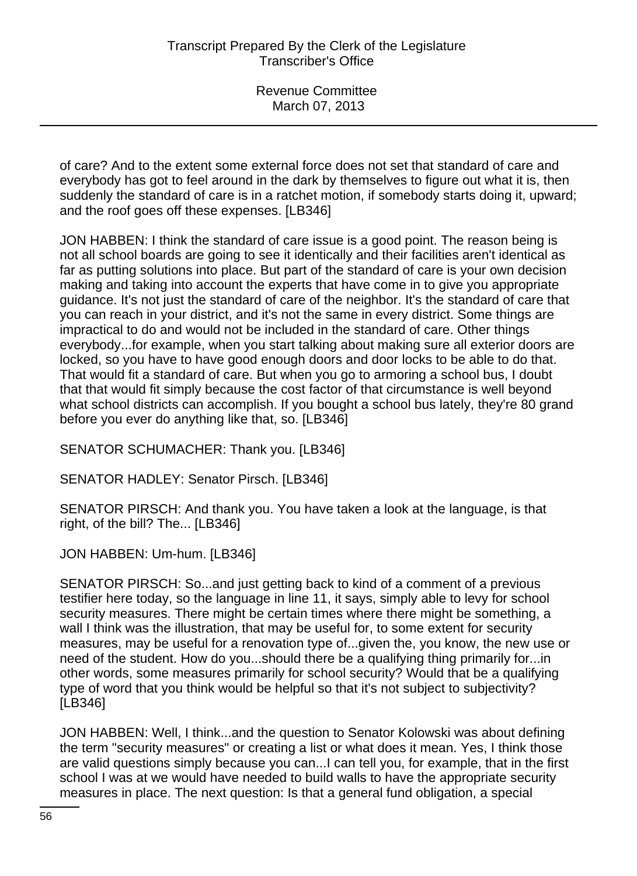of care? And to the extent some external force does not set that standard of care and everybody has got to feel around in the dark by themselves to figure out what it is, then suddenly the standard of care is in a ratchet motion, if somebody starts doing it, upward; and the roof goes off these expenses. [LB346]

JON HABBEN: I think the standard of care issue is a good point. The reason being is not all school boards are going to see it identically and their facilities aren't identical as far as putting solutions into place. But part of the standard of care is your own decision making and taking into account the experts that have come in to give you appropriate guidance. It's not just the standard of care of the neighbor. It's the standard of care that you can reach in your district, and it's not the same in every district. Some things are impractical to do and would not be included in the standard of care. Other things everybody...for example, when you start talking about making sure all exterior doors are locked, so you have to have good enough doors and door locks to be able to do that. That would fit a standard of care. But when you go to armoring a school bus, I doubt that that would fit simply because the cost factor of that circumstance is well beyond what school districts can accomplish. If you bought a school bus lately, they're 80 grand before you ever do anything like that, so. [LB346]

SENATOR SCHUMACHER: Thank you. [LB346]

SENATOR HADLEY: Senator Pirsch. [LB346]

SENATOR PIRSCH: And thank you. You have taken a look at the language, is that right, of the bill? The... [LB346]

JON HABBEN: Um-hum. [LB346]

SENATOR PIRSCH: So...and just getting back to kind of a comment of a previous testifier here today, so the language in line 11, it says, simply able to levy for school security measures. There might be certain times where there might be something, a wall I think was the illustration, that may be useful for, to some extent for security measures, may be useful for a renovation type of...given the, you know, the new use or need of the student. How do you...should there be a qualifying thing primarily for...in other words, some measures primarily for school security? Would that be a qualifying type of word that you think would be helpful so that it's not subject to subjectivity? [LB346]

JON HABBEN: Well, I think...and the question to Senator Kolowski was about defining the term "security measures" or creating a list or what does it mean. Yes, I think those are valid questions simply because you can...I can tell you, for example, that in the first school I was at we would have needed to build walls to have the appropriate security measures in place. The next question: Is that a general fund obligation, a special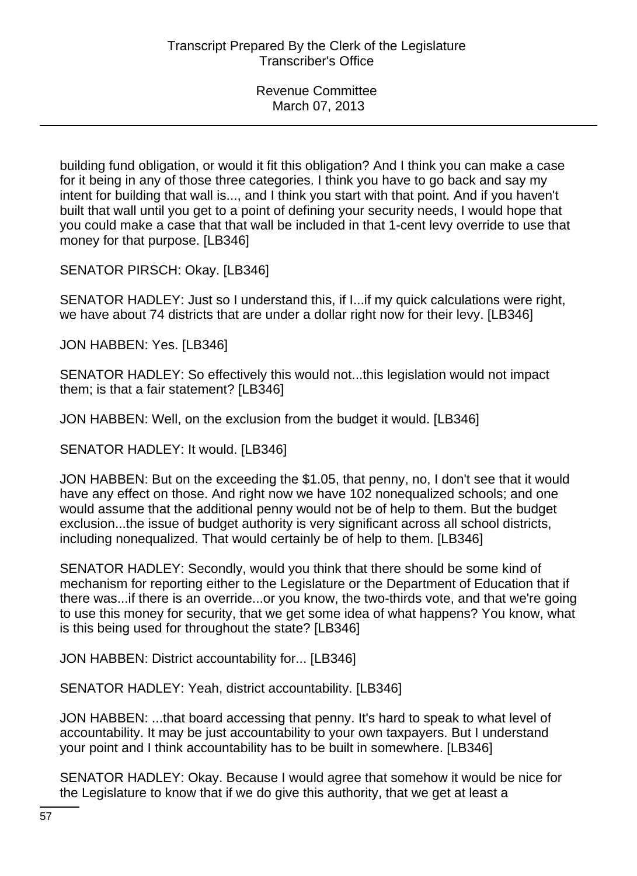building fund obligation, or would it fit this obligation? And I think you can make a case for it being in any of those three categories. I think you have to go back and say my intent for building that wall is..., and I think you start with that point. And if you haven't built that wall until you get to a point of defining your security needs, I would hope that you could make a case that that wall be included in that 1-cent levy override to use that money for that purpose. [LB346]

SENATOR PIRSCH: Okay. [LB346]

SENATOR HADLEY: Just so I understand this, if I...if my quick calculations were right, we have about 74 districts that are under a dollar right now for their levy. [LB346]

JON HABBEN: Yes. [LB346]

SENATOR HADLEY: So effectively this would not...this legislation would not impact them; is that a fair statement? [LB346]

JON HABBEN: Well, on the exclusion from the budget it would. [LB346]

SENATOR HADLEY: It would. [LB346]

JON HABBEN: But on the exceeding the \$1.05, that penny, no, I don't see that it would have any effect on those. And right now we have 102 nonequalized schools; and one would assume that the additional penny would not be of help to them. But the budget exclusion...the issue of budget authority is very significant across all school districts, including nonequalized. That would certainly be of help to them. [LB346]

SENATOR HADLEY: Secondly, would you think that there should be some kind of mechanism for reporting either to the Legislature or the Department of Education that if there was...if there is an override...or you know, the two-thirds vote, and that we're going to use this money for security, that we get some idea of what happens? You know, what is this being used for throughout the state? [LB346]

JON HABBEN: District accountability for... [LB346]

SENATOR HADLEY: Yeah, district accountability. [LB346]

JON HABBEN: ...that board accessing that penny. It's hard to speak to what level of accountability. It may be just accountability to your own taxpayers. But I understand your point and I think accountability has to be built in somewhere. [LB346]

SENATOR HADLEY: Okay. Because I would agree that somehow it would be nice for the Legislature to know that if we do give this authority, that we get at least a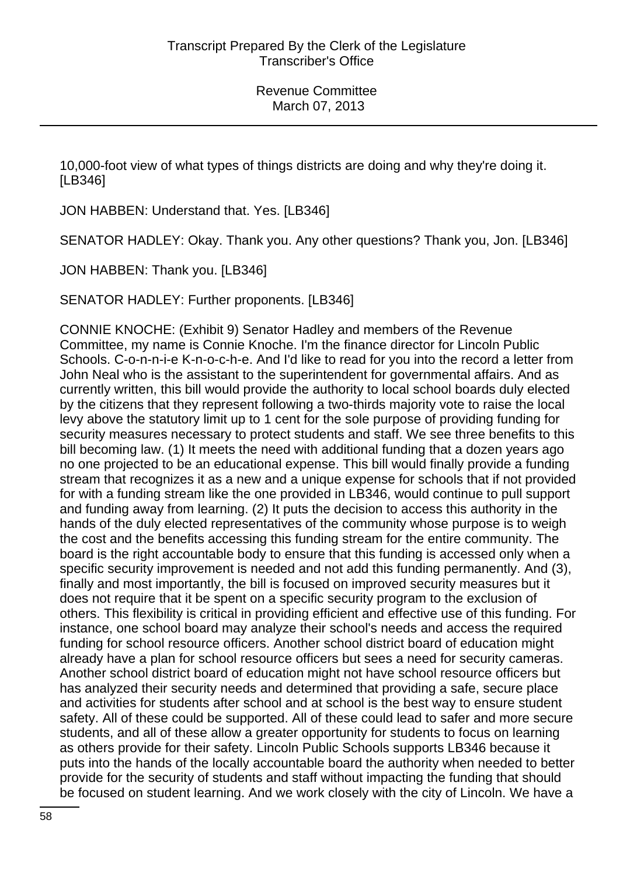10,000-foot view of what types of things districts are doing and why they're doing it. [LB346]

JON HABBEN: Understand that. Yes. [LB346]

SENATOR HADLEY: Okay. Thank you. Any other questions? Thank you, Jon. [LB346]

JON HABBEN: Thank you. [LB346]

SENATOR HADLEY: Further proponents. [LB346]

CONNIE KNOCHE: (Exhibit 9) Senator Hadley and members of the Revenue Committee, my name is Connie Knoche. I'm the finance director for Lincoln Public Schools. C-o-n-n-i-e K-n-o-c-h-e. And I'd like to read for you into the record a letter from John Neal who is the assistant to the superintendent for governmental affairs. And as currently written, this bill would provide the authority to local school boards duly elected by the citizens that they represent following a two-thirds majority vote to raise the local levy above the statutory limit up to 1 cent for the sole purpose of providing funding for security measures necessary to protect students and staff. We see three benefits to this bill becoming law. (1) It meets the need with additional funding that a dozen years ago no one projected to be an educational expense. This bill would finally provide a funding stream that recognizes it as a new and a unique expense for schools that if not provided for with a funding stream like the one provided in LB346, would continue to pull support and funding away from learning. (2) It puts the decision to access this authority in the hands of the duly elected representatives of the community whose purpose is to weigh the cost and the benefits accessing this funding stream for the entire community. The board is the right accountable body to ensure that this funding is accessed only when a specific security improvement is needed and not add this funding permanently. And (3), finally and most importantly, the bill is focused on improved security measures but it does not require that it be spent on a specific security program to the exclusion of others. This flexibility is critical in providing efficient and effective use of this funding. For instance, one school board may analyze their school's needs and access the required funding for school resource officers. Another school district board of education might already have a plan for school resource officers but sees a need for security cameras. Another school district board of education might not have school resource officers but has analyzed their security needs and determined that providing a safe, secure place and activities for students after school and at school is the best way to ensure student safety. All of these could be supported. All of these could lead to safer and more secure students, and all of these allow a greater opportunity for students to focus on learning as others provide for their safety. Lincoln Public Schools supports LB346 because it puts into the hands of the locally accountable board the authority when needed to better provide for the security of students and staff without impacting the funding that should be focused on student learning. And we work closely with the city of Lincoln. We have a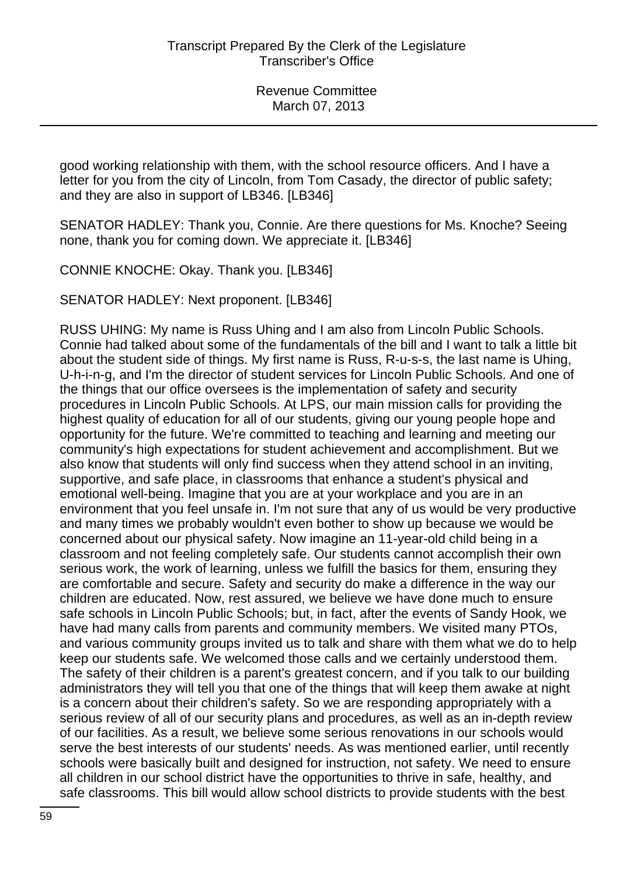good working relationship with them, with the school resource officers. And I have a letter for you from the city of Lincoln, from Tom Casady, the director of public safety; and they are also in support of LB346. [LB346]

SENATOR HADLEY: Thank you, Connie. Are there questions for Ms. Knoche? Seeing none, thank you for coming down. We appreciate it. [LB346]

CONNIE KNOCHE: Okay. Thank you. [LB346]

SENATOR HADLEY: Next proponent. [LB346]

RUSS UHING: My name is Russ Uhing and I am also from Lincoln Public Schools. Connie had talked about some of the fundamentals of the bill and I want to talk a little bit about the student side of things. My first name is Russ, R-u-s-s, the last name is Uhing, U-h-i-n-g, and I'm the director of student services for Lincoln Public Schools. And one of the things that our office oversees is the implementation of safety and security procedures in Lincoln Public Schools. At LPS, our main mission calls for providing the highest quality of education for all of our students, giving our young people hope and opportunity for the future. We're committed to teaching and learning and meeting our community's high expectations for student achievement and accomplishment. But we also know that students will only find success when they attend school in an inviting, supportive, and safe place, in classrooms that enhance a student's physical and emotional well-being. Imagine that you are at your workplace and you are in an environment that you feel unsafe in. I'm not sure that any of us would be very productive and many times we probably wouldn't even bother to show up because we would be concerned about our physical safety. Now imagine an 11-year-old child being in a classroom and not feeling completely safe. Our students cannot accomplish their own serious work, the work of learning, unless we fulfill the basics for them, ensuring they are comfortable and secure. Safety and security do make a difference in the way our children are educated. Now, rest assured, we believe we have done much to ensure safe schools in Lincoln Public Schools; but, in fact, after the events of Sandy Hook, we have had many calls from parents and community members. We visited many PTOs, and various community groups invited us to talk and share with them what we do to help keep our students safe. We welcomed those calls and we certainly understood them. The safety of their children is a parent's greatest concern, and if you talk to our building administrators they will tell you that one of the things that will keep them awake at night is a concern about their children's safety. So we are responding appropriately with a serious review of all of our security plans and procedures, as well as an in-depth review of our facilities. As a result, we believe some serious renovations in our schools would serve the best interests of our students' needs. As was mentioned earlier, until recently schools were basically built and designed for instruction, not safety. We need to ensure all children in our school district have the opportunities to thrive in safe, healthy, and safe classrooms. This bill would allow school districts to provide students with the best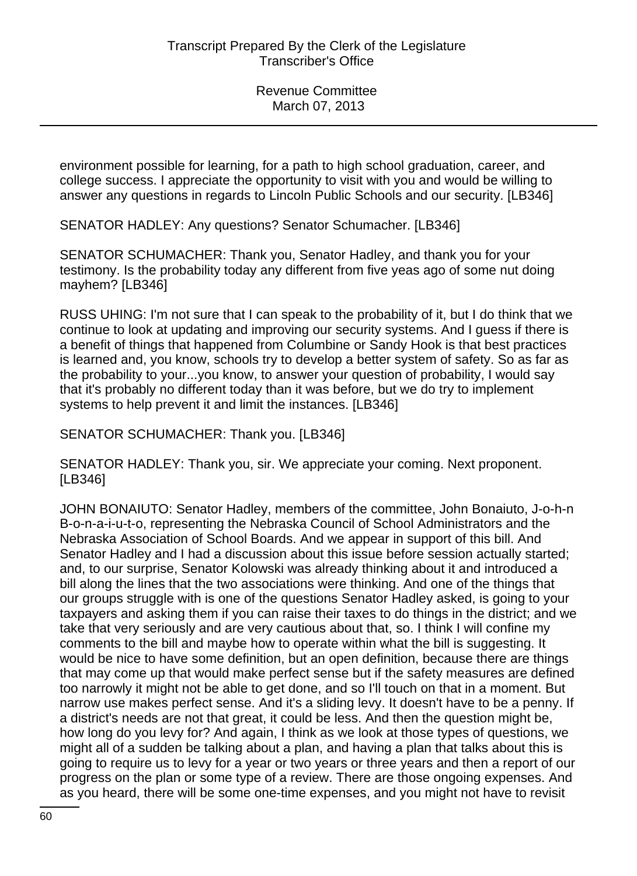environment possible for learning, for a path to high school graduation, career, and college success. I appreciate the opportunity to visit with you and would be willing to answer any questions in regards to Lincoln Public Schools and our security. [LB346]

SENATOR HADLEY: Any questions? Senator Schumacher. [LB346]

SENATOR SCHUMACHER: Thank you, Senator Hadley, and thank you for your testimony. Is the probability today any different from five yeas ago of some nut doing mayhem? [LB346]

RUSS UHING: I'm not sure that I can speak to the probability of it, but I do think that we continue to look at updating and improving our security systems. And I guess if there is a benefit of things that happened from Columbine or Sandy Hook is that best practices is learned and, you know, schools try to develop a better system of safety. So as far as the probability to your...you know, to answer your question of probability, I would say that it's probably no different today than it was before, but we do try to implement systems to help prevent it and limit the instances. [LB346]

SENATOR SCHUMACHER: Thank you. [LB346]

SENATOR HADLEY: Thank you, sir. We appreciate your coming. Next proponent. [LB346]

JOHN BONAIUTO: Senator Hadley, members of the committee, John Bonaiuto, J-o-h-n B-o-n-a-i-u-t-o, representing the Nebraska Council of School Administrators and the Nebraska Association of School Boards. And we appear in support of this bill. And Senator Hadley and I had a discussion about this issue before session actually started; and, to our surprise, Senator Kolowski was already thinking about it and introduced a bill along the lines that the two associations were thinking. And one of the things that our groups struggle with is one of the questions Senator Hadley asked, is going to your taxpayers and asking them if you can raise their taxes to do things in the district; and we take that very seriously and are very cautious about that, so. I think I will confine my comments to the bill and maybe how to operate within what the bill is suggesting. It would be nice to have some definition, but an open definition, because there are things that may come up that would make perfect sense but if the safety measures are defined too narrowly it might not be able to get done, and so I'll touch on that in a moment. But narrow use makes perfect sense. And it's a sliding levy. It doesn't have to be a penny. If a district's needs are not that great, it could be less. And then the question might be, how long do you levy for? And again, I think as we look at those types of questions, we might all of a sudden be talking about a plan, and having a plan that talks about this is going to require us to levy for a year or two years or three years and then a report of our progress on the plan or some type of a review. There are those ongoing expenses. And as you heard, there will be some one-time expenses, and you might not have to revisit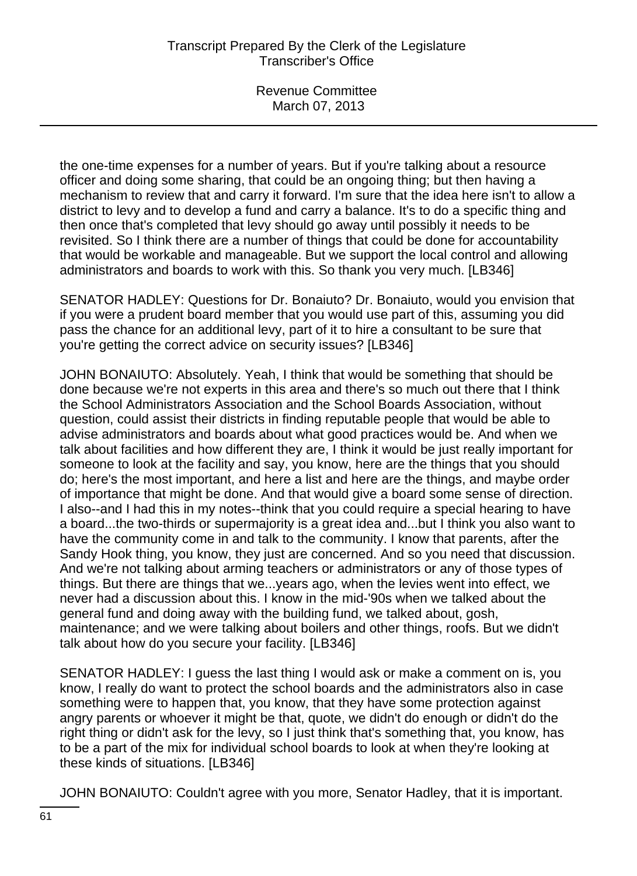the one-time expenses for a number of years. But if you're talking about a resource officer and doing some sharing, that could be an ongoing thing; but then having a mechanism to review that and carry it forward. I'm sure that the idea here isn't to allow a district to levy and to develop a fund and carry a balance. It's to do a specific thing and then once that's completed that levy should go away until possibly it needs to be revisited. So I think there are a number of things that could be done for accountability that would be workable and manageable. But we support the local control and allowing administrators and boards to work with this. So thank you very much. [LB346]

SENATOR HADLEY: Questions for Dr. Bonaiuto? Dr. Bonaiuto, would you envision that if you were a prudent board member that you would use part of this, assuming you did pass the chance for an additional levy, part of it to hire a consultant to be sure that you're getting the correct advice on security issues? [LB346]

JOHN BONAIUTO: Absolutely. Yeah, I think that would be something that should be done because we're not experts in this area and there's so much out there that I think the School Administrators Association and the School Boards Association, without question, could assist their districts in finding reputable people that would be able to advise administrators and boards about what good practices would be. And when we talk about facilities and how different they are, I think it would be just really important for someone to look at the facility and say, you know, here are the things that you should do; here's the most important, and here a list and here are the things, and maybe order of importance that might be done. And that would give a board some sense of direction. I also--and I had this in my notes--think that you could require a special hearing to have a board...the two-thirds or supermajority is a great idea and...but I think you also want to have the community come in and talk to the community. I know that parents, after the Sandy Hook thing, you know, they just are concerned. And so you need that discussion. And we're not talking about arming teachers or administrators or any of those types of things. But there are things that we...years ago, when the levies went into effect, we never had a discussion about this. I know in the mid-'90s when we talked about the general fund and doing away with the building fund, we talked about, gosh, maintenance; and we were talking about boilers and other things, roofs. But we didn't talk about how do you secure your facility. [LB346]

SENATOR HADLEY: I guess the last thing I would ask or make a comment on is, you know, I really do want to protect the school boards and the administrators also in case something were to happen that, you know, that they have some protection against angry parents or whoever it might be that, quote, we didn't do enough or didn't do the right thing or didn't ask for the levy, so I just think that's something that, you know, has to be a part of the mix for individual school boards to look at when they're looking at these kinds of situations. [LB346]

JOHN BONAIUTO: Couldn't agree with you more, Senator Hadley, that it is important.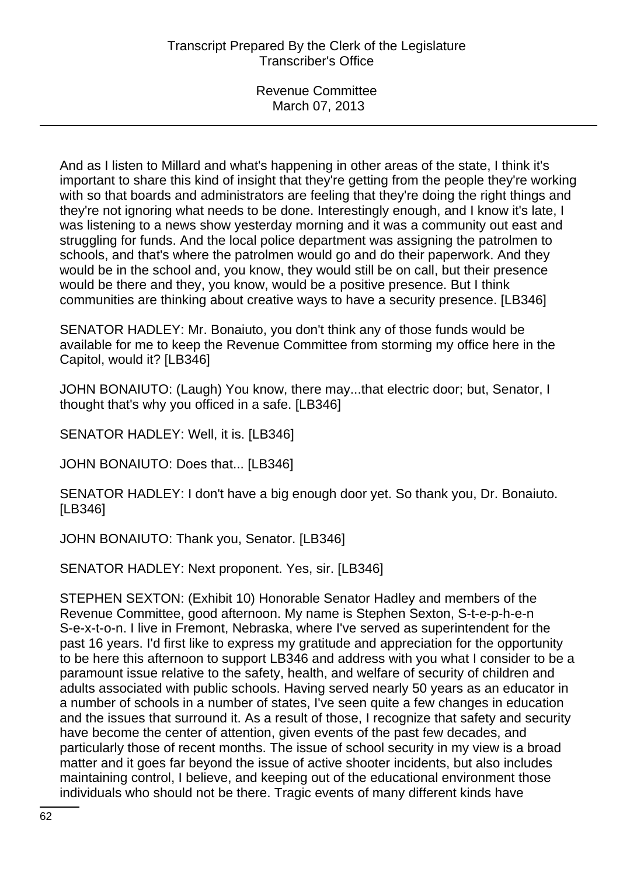And as I listen to Millard and what's happening in other areas of the state, I think it's important to share this kind of insight that they're getting from the people they're working with so that boards and administrators are feeling that they're doing the right things and they're not ignoring what needs to be done. Interestingly enough, and I know it's late, I was listening to a news show yesterday morning and it was a community out east and struggling for funds. And the local police department was assigning the patrolmen to schools, and that's where the patrolmen would go and do their paperwork. And they would be in the school and, you know, they would still be on call, but their presence would be there and they, you know, would be a positive presence. But I think communities are thinking about creative ways to have a security presence. [LB346]

SENATOR HADLEY: Mr. Bonaiuto, you don't think any of those funds would be available for me to keep the Revenue Committee from storming my office here in the Capitol, would it? [LB346]

JOHN BONAIUTO: (Laugh) You know, there may...that electric door; but, Senator, I thought that's why you officed in a safe. [LB346]

SENATOR HADLEY: Well, it is. [LB346]

JOHN BONAIUTO: Does that... [LB346]

SENATOR HADLEY: I don't have a big enough door yet. So thank you, Dr. Bonaiuto. [LB346]

JOHN BONAIUTO: Thank you, Senator. [LB346]

SENATOR HADLEY: Next proponent. Yes, sir. [LB346]

STEPHEN SEXTON: (Exhibit 10) Honorable Senator Hadley and members of the Revenue Committee, good afternoon. My name is Stephen Sexton, S-t-e-p-h-e-n S-e-x-t-o-n. I live in Fremont, Nebraska, where I've served as superintendent for the past 16 years. I'd first like to express my gratitude and appreciation for the opportunity to be here this afternoon to support LB346 and address with you what I consider to be a paramount issue relative to the safety, health, and welfare of security of children and adults associated with public schools. Having served nearly 50 years as an educator in a number of schools in a number of states, I've seen quite a few changes in education and the issues that surround it. As a result of those, I recognize that safety and security have become the center of attention, given events of the past few decades, and particularly those of recent months. The issue of school security in my view is a broad matter and it goes far beyond the issue of active shooter incidents, but also includes maintaining control, I believe, and keeping out of the educational environment those individuals who should not be there. Tragic events of many different kinds have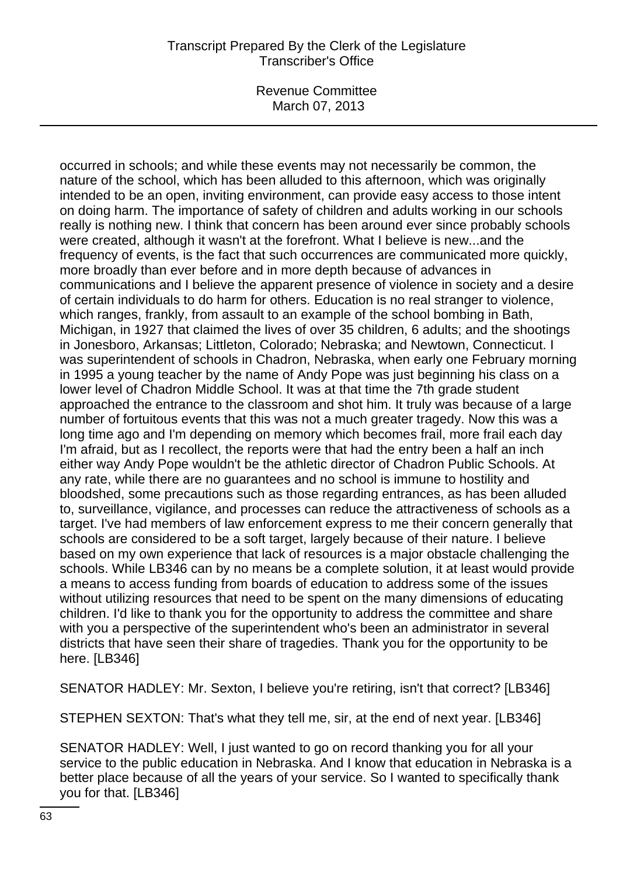Revenue Committee March 07, 2013

occurred in schools; and while these events may not necessarily be common, the nature of the school, which has been alluded to this afternoon, which was originally intended to be an open, inviting environment, can provide easy access to those intent on doing harm. The importance of safety of children and adults working in our schools really is nothing new. I think that concern has been around ever since probably schools were created, although it wasn't at the forefront. What I believe is new...and the frequency of events, is the fact that such occurrences are communicated more quickly, more broadly than ever before and in more depth because of advances in communications and I believe the apparent presence of violence in society and a desire of certain individuals to do harm for others. Education is no real stranger to violence, which ranges, frankly, from assault to an example of the school bombing in Bath, Michigan, in 1927 that claimed the lives of over 35 children, 6 adults; and the shootings in Jonesboro, Arkansas; Littleton, Colorado; Nebraska; and Newtown, Connecticut. I was superintendent of schools in Chadron, Nebraska, when early one February morning in 1995 a young teacher by the name of Andy Pope was just beginning his class on a lower level of Chadron Middle School. It was at that time the 7th grade student approached the entrance to the classroom and shot him. It truly was because of a large number of fortuitous events that this was not a much greater tragedy. Now this was a long time ago and I'm depending on memory which becomes frail, more frail each day I'm afraid, but as I recollect, the reports were that had the entry been a half an inch either way Andy Pope wouldn't be the athletic director of Chadron Public Schools. At any rate, while there are no guarantees and no school is immune to hostility and bloodshed, some precautions such as those regarding entrances, as has been alluded to, surveillance, vigilance, and processes can reduce the attractiveness of schools as a target. I've had members of law enforcement express to me their concern generally that schools are considered to be a soft target, largely because of their nature. I believe based on my own experience that lack of resources is a major obstacle challenging the schools. While LB346 can by no means be a complete solution, it at least would provide a means to access funding from boards of education to address some of the issues without utilizing resources that need to be spent on the many dimensions of educating children. I'd like to thank you for the opportunity to address the committee and share with you a perspective of the superintendent who's been an administrator in several districts that have seen their share of tragedies. Thank you for the opportunity to be here. [LB346]

SENATOR HADLEY: Mr. Sexton, I believe you're retiring, isn't that correct? [LB346]

STEPHEN SEXTON: That's what they tell me, sir, at the end of next year. [LB346]

SENATOR HADLEY: Well, I just wanted to go on record thanking you for all your service to the public education in Nebraska. And I know that education in Nebraska is a better place because of all the years of your service. So I wanted to specifically thank you for that. [LB346]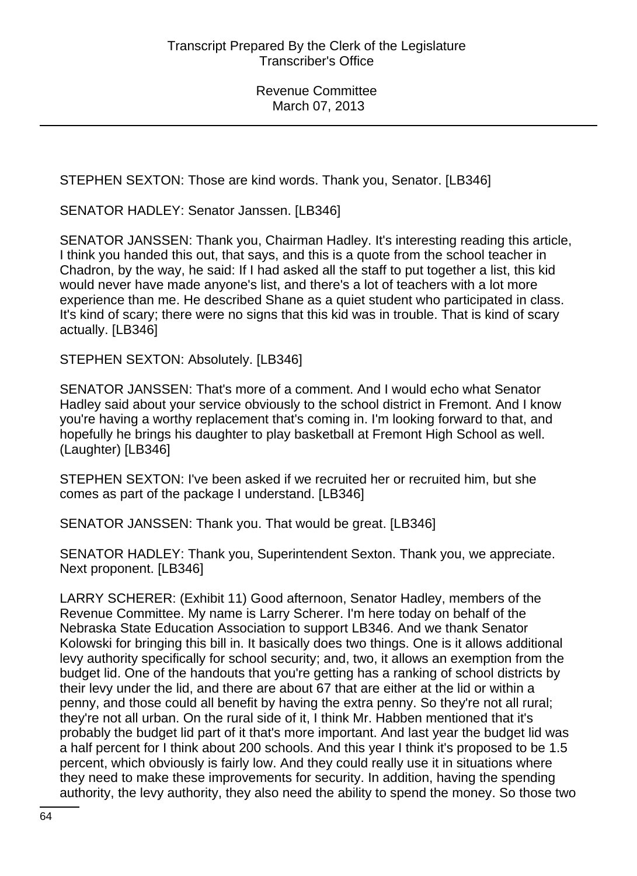STEPHEN SEXTON: Those are kind words. Thank you, Senator. [LB346]

SENATOR HADLEY: Senator Janssen. [LB346]

SENATOR JANSSEN: Thank you, Chairman Hadley. It's interesting reading this article, I think you handed this out, that says, and this is a quote from the school teacher in Chadron, by the way, he said: If I had asked all the staff to put together a list, this kid would never have made anyone's list, and there's a lot of teachers with a lot more experience than me. He described Shane as a quiet student who participated in class. It's kind of scary; there were no signs that this kid was in trouble. That is kind of scary actually. [LB346]

STEPHEN SEXTON: Absolutely. [LB346]

SENATOR JANSSEN: That's more of a comment. And I would echo what Senator Hadley said about your service obviously to the school district in Fremont. And I know you're having a worthy replacement that's coming in. I'm looking forward to that, and hopefully he brings his daughter to play basketball at Fremont High School as well. (Laughter) [LB346]

STEPHEN SEXTON: I've been asked if we recruited her or recruited him, but she comes as part of the package I understand. [LB346]

SENATOR JANSSEN: Thank you. That would be great. [LB346]

SENATOR HADLEY: Thank you, Superintendent Sexton. Thank you, we appreciate. Next proponent. [LB346]

LARRY SCHERER: (Exhibit 11) Good afternoon, Senator Hadley, members of the Revenue Committee. My name is Larry Scherer. I'm here today on behalf of the Nebraska State Education Association to support LB346. And we thank Senator Kolowski for bringing this bill in. It basically does two things. One is it allows additional levy authority specifically for school security; and, two, it allows an exemption from the budget lid. One of the handouts that you're getting has a ranking of school districts by their levy under the lid, and there are about 67 that are either at the lid or within a penny, and those could all benefit by having the extra penny. So they're not all rural; they're not all urban. On the rural side of it, I think Mr. Habben mentioned that it's probably the budget lid part of it that's more important. And last year the budget lid was a half percent for I think about 200 schools. And this year I think it's proposed to be 1.5 percent, which obviously is fairly low. And they could really use it in situations where they need to make these improvements for security. In addition, having the spending authority, the levy authority, they also need the ability to spend the money. So those two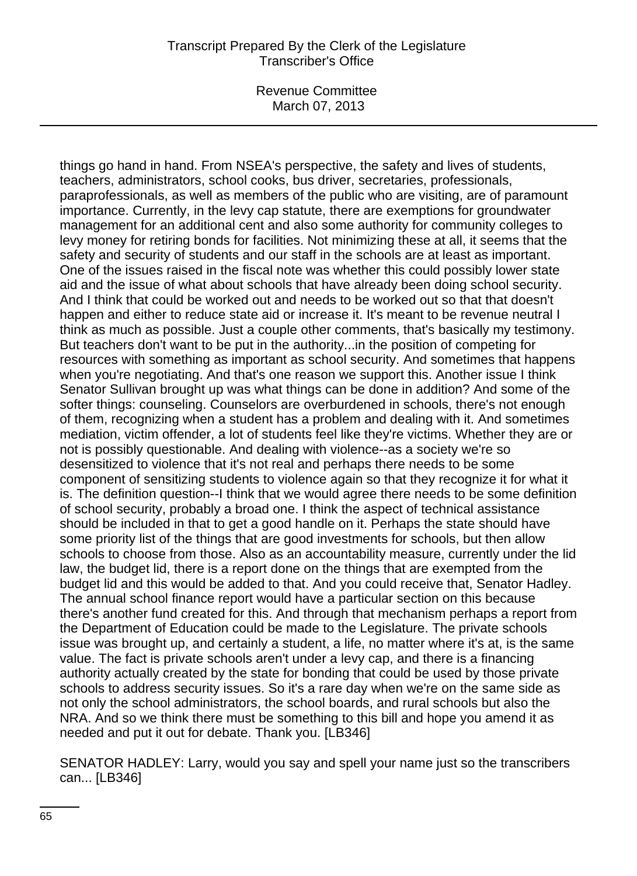things go hand in hand. From NSEA's perspective, the safety and lives of students, teachers, administrators, school cooks, bus driver, secretaries, professionals, paraprofessionals, as well as members of the public who are visiting, are of paramount importance. Currently, in the levy cap statute, there are exemptions for groundwater management for an additional cent and also some authority for community colleges to levy money for retiring bonds for facilities. Not minimizing these at all, it seems that the safety and security of students and our staff in the schools are at least as important. One of the issues raised in the fiscal note was whether this could possibly lower state aid and the issue of what about schools that have already been doing school security. And I think that could be worked out and needs to be worked out so that that doesn't happen and either to reduce state aid or increase it. It's meant to be revenue neutral I think as much as possible. Just a couple other comments, that's basically my testimony. But teachers don't want to be put in the authority...in the position of competing for resources with something as important as school security. And sometimes that happens when you're negotiating. And that's one reason we support this. Another issue I think Senator Sullivan brought up was what things can be done in addition? And some of the softer things: counseling. Counselors are overburdened in schools, there's not enough of them, recognizing when a student has a problem and dealing with it. And sometimes mediation, victim offender, a lot of students feel like they're victims. Whether they are or not is possibly questionable. And dealing with violence--as a society we're so desensitized to violence that it's not real and perhaps there needs to be some component of sensitizing students to violence again so that they recognize it for what it is. The definition question--I think that we would agree there needs to be some definition of school security, probably a broad one. I think the aspect of technical assistance should be included in that to get a good handle on it. Perhaps the state should have some priority list of the things that are good investments for schools, but then allow schools to choose from those. Also as an accountability measure, currently under the lid law, the budget lid, there is a report done on the things that are exempted from the budget lid and this would be added to that. And you could receive that, Senator Hadley. The annual school finance report would have a particular section on this because there's another fund created for this. And through that mechanism perhaps a report from the Department of Education could be made to the Legislature. The private schools issue was brought up, and certainly a student, a life, no matter where it's at, is the same value. The fact is private schools aren't under a levy cap, and there is a financing authority actually created by the state for bonding that could be used by those private schools to address security issues. So it's a rare day when we're on the same side as not only the school administrators, the school boards, and rural schools but also the NRA. And so we think there must be something to this bill and hope you amend it as needed and put it out for debate. Thank you. [LB346]

SENATOR HADLEY: Larry, would you say and spell your name just so the transcribers can... [LB346]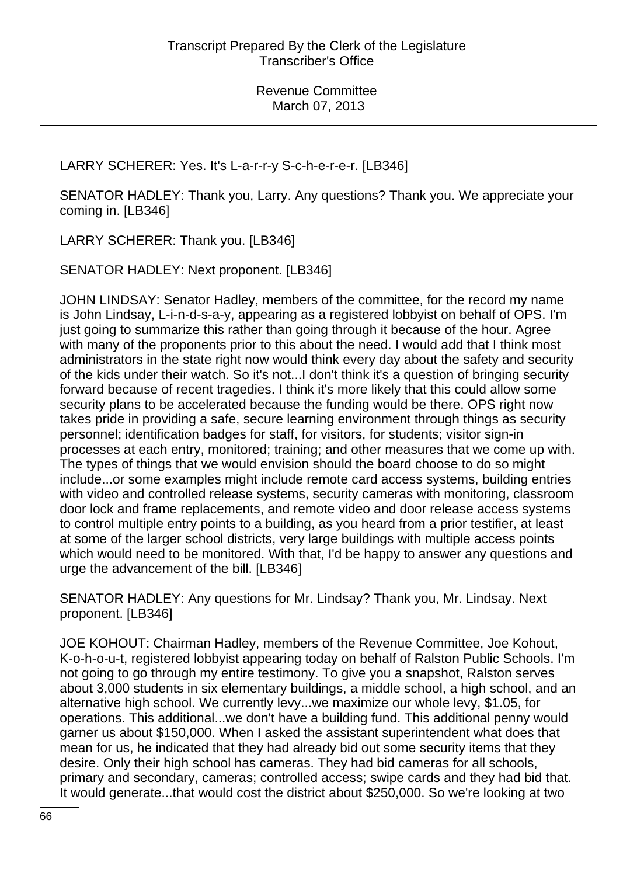LARRY SCHERER: Yes. It's L-a-r-r-y S-c-h-e-r-e-r. [LB346]

SENATOR HADLEY: Thank you, Larry. Any questions? Thank you. We appreciate your coming in. [LB346]

LARRY SCHERER: Thank you. [LB346]

SENATOR HADLEY: Next proponent. [LB346]

JOHN LINDSAY: Senator Hadley, members of the committee, for the record my name is John Lindsay, L-i-n-d-s-a-y, appearing as a registered lobbyist on behalf of OPS. I'm just going to summarize this rather than going through it because of the hour. Agree with many of the proponents prior to this about the need. I would add that I think most administrators in the state right now would think every day about the safety and security of the kids under their watch. So it's not...I don't think it's a question of bringing security forward because of recent tragedies. I think it's more likely that this could allow some security plans to be accelerated because the funding would be there. OPS right now takes pride in providing a safe, secure learning environment through things as security personnel; identification badges for staff, for visitors, for students; visitor sign-in processes at each entry, monitored; training; and other measures that we come up with. The types of things that we would envision should the board choose to do so might include...or some examples might include remote card access systems, building entries with video and controlled release systems, security cameras with monitoring, classroom door lock and frame replacements, and remote video and door release access systems to control multiple entry points to a building, as you heard from a prior testifier, at least at some of the larger school districts, very large buildings with multiple access points which would need to be monitored. With that, I'd be happy to answer any questions and urge the advancement of the bill. [LB346]

SENATOR HADLEY: Any questions for Mr. Lindsay? Thank you, Mr. Lindsay. Next proponent. [LB346]

JOE KOHOUT: Chairman Hadley, members of the Revenue Committee, Joe Kohout, K-o-h-o-u-t, registered lobbyist appearing today on behalf of Ralston Public Schools. I'm not going to go through my entire testimony. To give you a snapshot, Ralston serves about 3,000 students in six elementary buildings, a middle school, a high school, and an alternative high school. We currently levy...we maximize our whole levy, \$1.05, for operations. This additional...we don't have a building fund. This additional penny would garner us about \$150,000. When I asked the assistant superintendent what does that mean for us, he indicated that they had already bid out some security items that they desire. Only their high school has cameras. They had bid cameras for all schools, primary and secondary, cameras; controlled access; swipe cards and they had bid that. It would generate...that would cost the district about \$250,000. So we're looking at two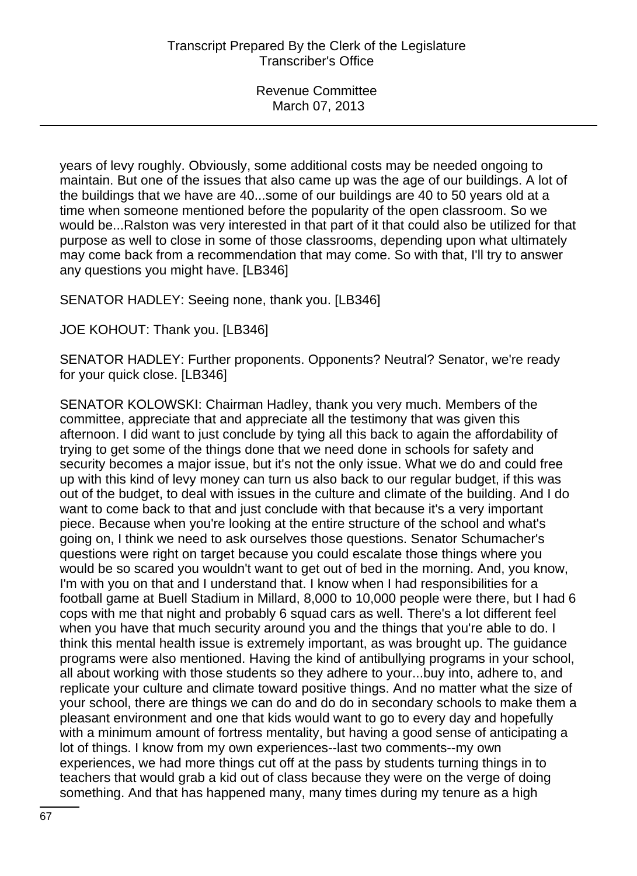years of levy roughly. Obviously, some additional costs may be needed ongoing to maintain. But one of the issues that also came up was the age of our buildings. A lot of the buildings that we have are 40...some of our buildings are 40 to 50 years old at a time when someone mentioned before the popularity of the open classroom. So we would be...Ralston was very interested in that part of it that could also be utilized for that purpose as well to close in some of those classrooms, depending upon what ultimately may come back from a recommendation that may come. So with that, I'll try to answer any questions you might have. [LB346]

SENATOR HADLEY: Seeing none, thank you. [LB346]

JOE KOHOUT: Thank you. [LB346]

SENATOR HADLEY: Further proponents. Opponents? Neutral? Senator, we're ready for your quick close. [LB346]

SENATOR KOLOWSKI: Chairman Hadley, thank you very much. Members of the committee, appreciate that and appreciate all the testimony that was given this afternoon. I did want to just conclude by tying all this back to again the affordability of trying to get some of the things done that we need done in schools for safety and security becomes a major issue, but it's not the only issue. What we do and could free up with this kind of levy money can turn us also back to our regular budget, if this was out of the budget, to deal with issues in the culture and climate of the building. And I do want to come back to that and just conclude with that because it's a very important piece. Because when you're looking at the entire structure of the school and what's going on, I think we need to ask ourselves those questions. Senator Schumacher's questions were right on target because you could escalate those things where you would be so scared you wouldn't want to get out of bed in the morning. And, you know, I'm with you on that and I understand that. I know when I had responsibilities for a football game at Buell Stadium in Millard, 8,000 to 10,000 people were there, but I had 6 cops with me that night and probably 6 squad cars as well. There's a lot different feel when you have that much security around you and the things that you're able to do. I think this mental health issue is extremely important, as was brought up. The guidance programs were also mentioned. Having the kind of antibullying programs in your school, all about working with those students so they adhere to your...buy into, adhere to, and replicate your culture and climate toward positive things. And no matter what the size of your school, there are things we can do and do do in secondary schools to make them a pleasant environment and one that kids would want to go to every day and hopefully with a minimum amount of fortress mentality, but having a good sense of anticipating a lot of things. I know from my own experiences--last two comments--my own experiences, we had more things cut off at the pass by students turning things in to teachers that would grab a kid out of class because they were on the verge of doing something. And that has happened many, many times during my tenure as a high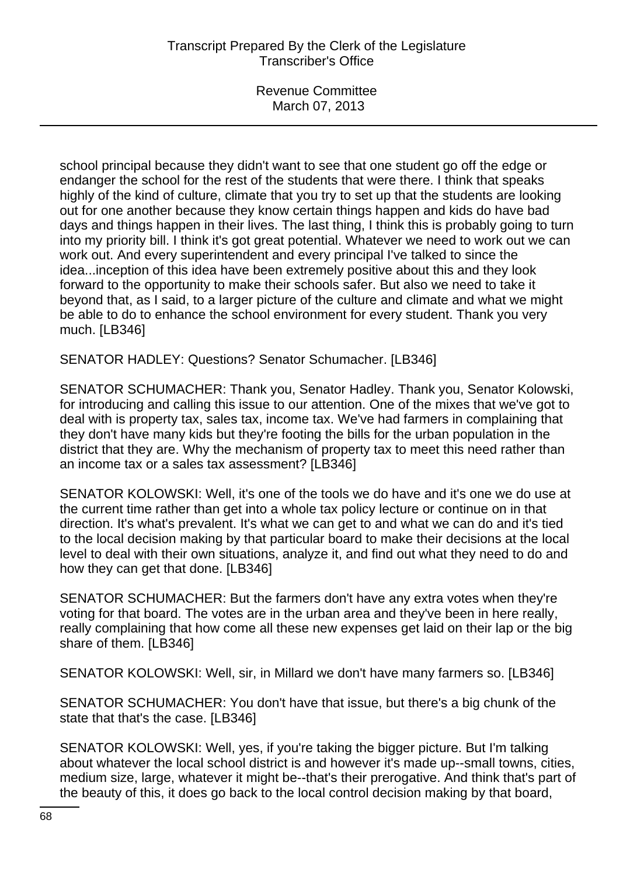school principal because they didn't want to see that one student go off the edge or endanger the school for the rest of the students that were there. I think that speaks highly of the kind of culture, climate that you try to set up that the students are looking out for one another because they know certain things happen and kids do have bad days and things happen in their lives. The last thing, I think this is probably going to turn into my priority bill. I think it's got great potential. Whatever we need to work out we can work out. And every superintendent and every principal I've talked to since the idea...inception of this idea have been extremely positive about this and they look forward to the opportunity to make their schools safer. But also we need to take it beyond that, as I said, to a larger picture of the culture and climate and what we might be able to do to enhance the school environment for every student. Thank you very much. [LB346]

SENATOR HADLEY: Questions? Senator Schumacher. [LB346]

SENATOR SCHUMACHER: Thank you, Senator Hadley. Thank you, Senator Kolowski, for introducing and calling this issue to our attention. One of the mixes that we've got to deal with is property tax, sales tax, income tax. We've had farmers in complaining that they don't have many kids but they're footing the bills for the urban population in the district that they are. Why the mechanism of property tax to meet this need rather than an income tax or a sales tax assessment? [LB346]

SENATOR KOLOWSKI: Well, it's one of the tools we do have and it's one we do use at the current time rather than get into a whole tax policy lecture or continue on in that direction. It's what's prevalent. It's what we can get to and what we can do and it's tied to the local decision making by that particular board to make their decisions at the local level to deal with their own situations, analyze it, and find out what they need to do and how they can get that done. [LB346]

SENATOR SCHUMACHER: But the farmers don't have any extra votes when they're voting for that board. The votes are in the urban area and they've been in here really, really complaining that how come all these new expenses get laid on their lap or the big share of them. [LB346]

SENATOR KOLOWSKI: Well, sir, in Millard we don't have many farmers so. [LB346]

SENATOR SCHUMACHER: You don't have that issue, but there's a big chunk of the state that that's the case. [LB346]

SENATOR KOLOWSKI: Well, yes, if you're taking the bigger picture. But I'm talking about whatever the local school district is and however it's made up--small towns, cities, medium size, large, whatever it might be--that's their prerogative. And think that's part of the beauty of this, it does go back to the local control decision making by that board,